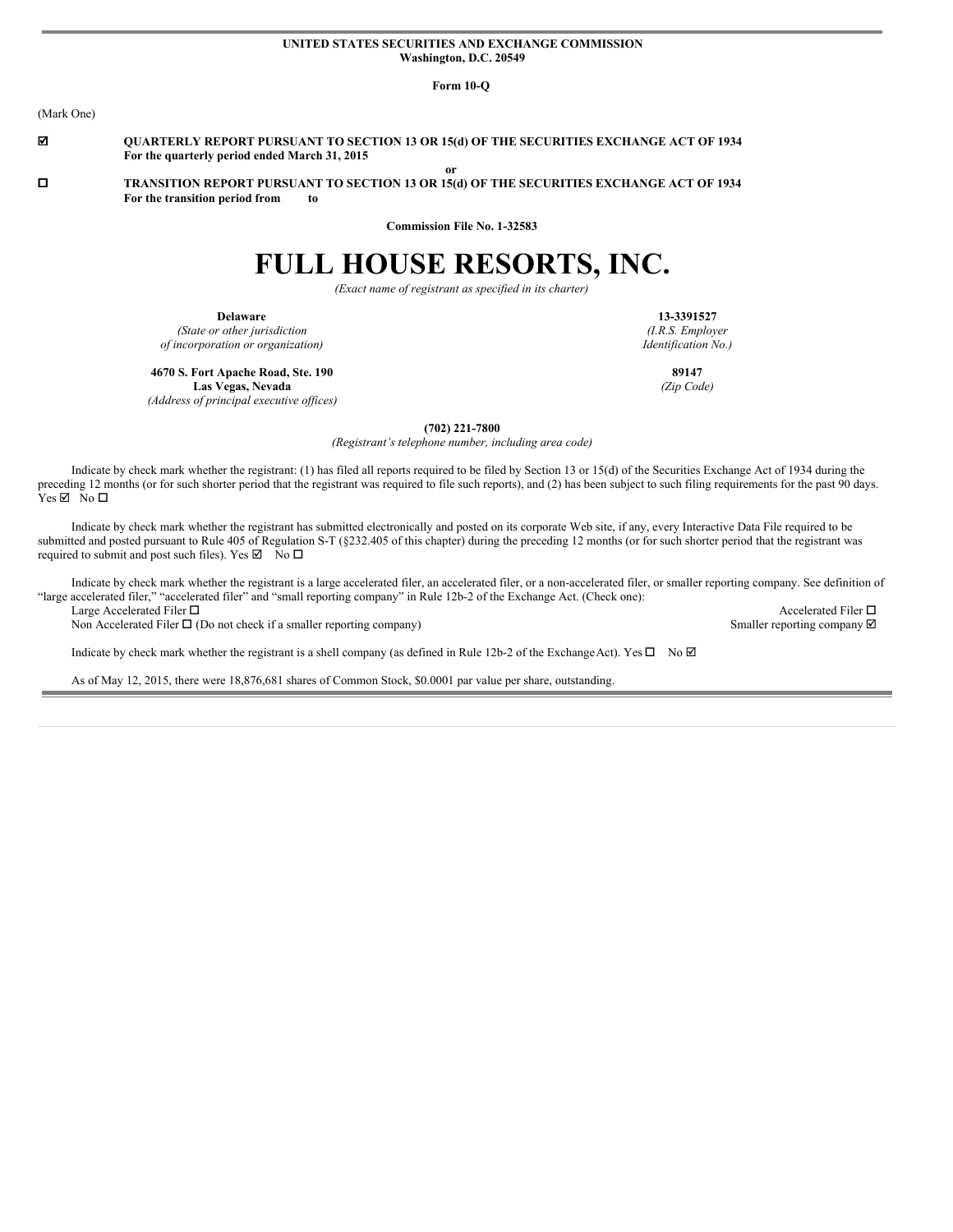#### **UNITED STATES SECURITIES AND EXCHANGE COMMISSION Washington, D.C. 20549**

**Form 10-Q**

(Mark One)

- þ **QUARTERLY REPORT PURSUANT TO SECTION 13 OR 15(d) OF THE SECURITIES EXCHANGE ACT OF 1934 For the quarterly period ended March 31, 2015**
- o **TRANSITION REPORT PURSUANT TO SECTION 13 OR 15(d) OF THE SECURITIES EXCHANGE ACT OF 1934 For the transition period from to**

**Commission File No. 1-32583**

**or**

# **FULL HOUSE RESORTS, INC.**

*(Exact name of registrant as specified in its charter)*

**Delaware**

*(State or other jurisdiction of incorporation or organization)*

**4670 S. Fort Apache Road, Ste. 190 Las Vegas, Nevada**

*(Address of principal executive of ices)*

**(702) 221-7800**

*(Registrant's telephone number, including area code)*

Indicate by check mark whether the registrant: (1) has filed all reports required to be filed by Section 13 or 15(d) of the Securities Exchange Act of 1934 during the preceding 12 months (or for such shorter period that the registrant was required to file such reports), and (2) has been subject to such filing requirements for the past 90 days.  $Yes \n  $No \square$$ 

Indicate by check mark whether the registrant has submitted electronically and posted on its corporate Web site, if any, every Interactive Data File required to be submitted and posted pursuant to Rule 405 of Regulation S-T (§232.405 of this chapter) during the preceding 12 months (or for such shorter period that the registrant was required to submit and post such files). Yes  $\boxtimes$  No  $\square$ 

Indicate by check mark whether the registrant is a large accelerated filer, an accelerated filer, or a non-accelerated filer, or smaller reporting company. See definition of "large accelerated filer," "accelerated filer" and "small reporting company" in Rule 12b-2 of the Exchange Act. (Check one): Large Accelerated Filer  $\Box$  Accelerated Filer  $\Box$  Accelerated Filer  $\Box$ 

Non Accelerated Filer □ (Do not check if a smaller reporting company) Smaller reporting company **D** 

Indicate by check mark whether the registrant is a shell company (as defined in Rule 12b-2 of the ExchangeAct). Yes  $\Box$  No  $\Box$ 

As of May 12, 2015, there were 18,876,681 shares of Common Stock, \$0.0001 par value per share, outstanding.

**13-3391527** *(I.R.S. Employer Identification No.)*

> **89147** *(Zip Code)*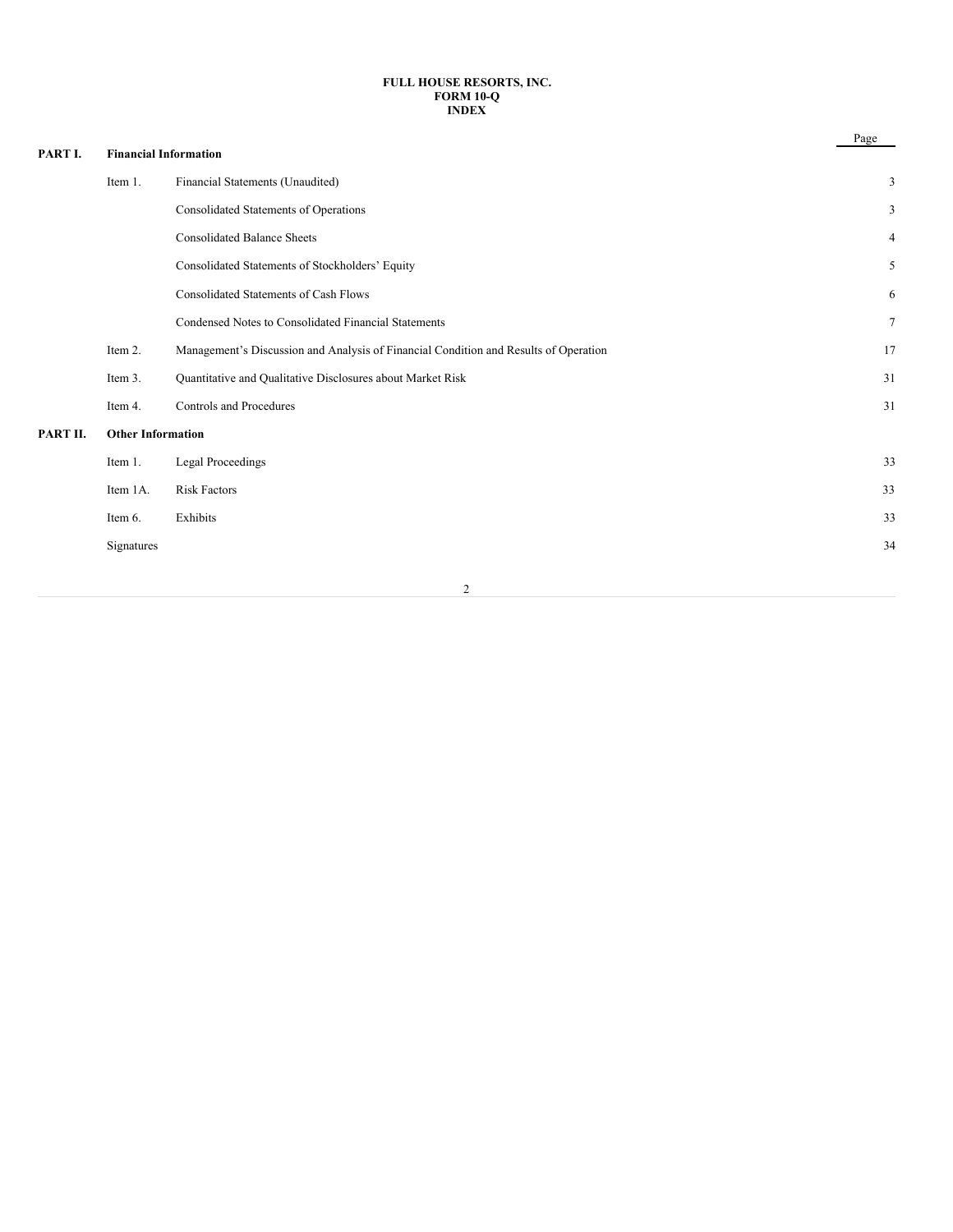#### **FULL HOUSE RESORTS, INC. FORM 10-Q INDEX**

|          |                              |                                                                                      | Page   |
|----------|------------------------------|--------------------------------------------------------------------------------------|--------|
| PART I.  | <b>Financial Information</b> |                                                                                      |        |
|          | Item 1.                      | Financial Statements (Unaudited)                                                     | 3      |
|          |                              | Consolidated Statements of Operations                                                | 3      |
|          |                              | <b>Consolidated Balance Sheets</b>                                                   | 4      |
|          |                              | Consolidated Statements of Stockholders' Equity                                      | 5      |
|          |                              | Consolidated Statements of Cash Flows                                                | 6      |
|          |                              | Condensed Notes to Consolidated Financial Statements                                 | $\tau$ |
|          | Item 2.                      | Management's Discussion and Analysis of Financial Condition and Results of Operation | 17     |
|          | Item 3.                      | Quantitative and Qualitative Disclosures about Market Risk                           | 31     |
|          | Item 4.                      | <b>Controls and Procedures</b>                                                       | 31     |
| PART II. | <b>Other Information</b>     |                                                                                      |        |
|          | Item 1.                      | Legal Proceedings                                                                    | 33     |
|          | Item 1A.                     | <b>Risk Factors</b>                                                                  | 33     |
|          | Item 6.                      | Exhibits                                                                             | 33     |
|          | Signatures                   |                                                                                      | 34     |
|          |                              |                                                                                      |        |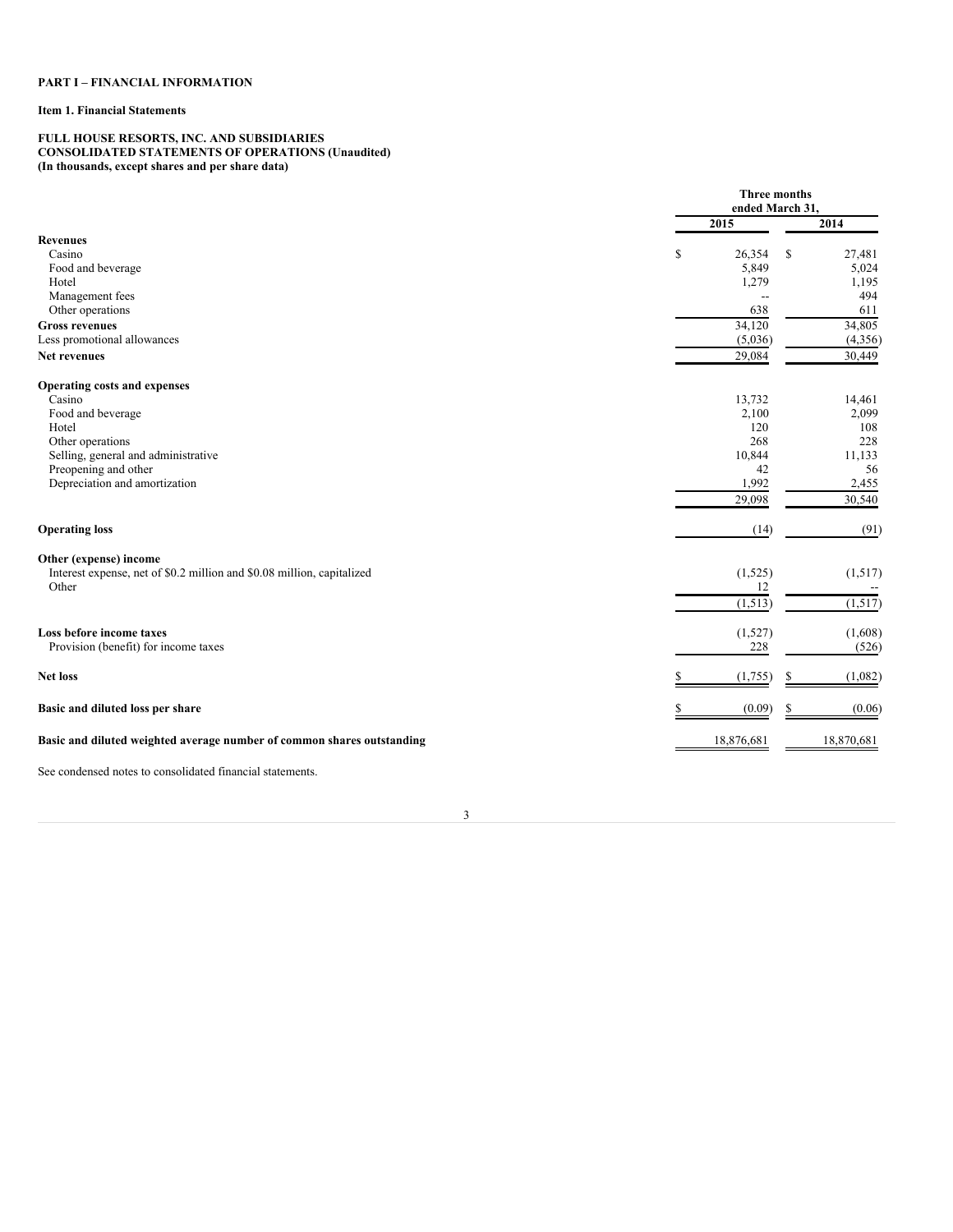# **PART I – FINANCIAL INFORMATION**

# **Item 1. Financial Statements**

#### **FULL HOUSE RESORTS, INC. AND SUBSIDIARIES CONSOLIDATED STATEMENTS OF OPERATIONS (Unaudited) (In thousands, except shares and per share data)**

|                                                                        |                          | <b>Three months</b><br>ended March 31. |
|------------------------------------------------------------------------|--------------------------|----------------------------------------|
|                                                                        | 2015                     | 2014                                   |
| <b>Revenues</b>                                                        |                          |                                        |
| Casino                                                                 | \$<br>26,354             | \$<br>27,481                           |
| Food and beverage                                                      | 5,849                    | 5,024                                  |
| Hotel                                                                  | 1,279                    | 1,195                                  |
| Management fees                                                        | $\overline{\phantom{a}}$ | 494                                    |
| Other operations                                                       | 638                      | 611                                    |
| <b>Gross revenues</b>                                                  | 34,120                   | 34,805                                 |
| Less promotional allowances                                            | (5,036)                  | (4,356)                                |
| Net revenues                                                           | 29,084                   | 30,449                                 |
| <b>Operating costs and expenses</b>                                    |                          |                                        |
| Casino                                                                 | 13,732                   | 14,461                                 |
| Food and beverage                                                      | 2,100                    | 2,099                                  |
| Hotel                                                                  | 120                      | 108                                    |
| Other operations                                                       | 268                      | 228                                    |
| Selling, general and administrative                                    | 10,844                   | 11,133                                 |
| Preopening and other                                                   | 42                       | 56                                     |
| Depreciation and amortization                                          | 1,992                    | 2,455                                  |
|                                                                        | 29,098                   | 30,540                                 |
| <b>Operating loss</b>                                                  | (14)                     | (91)                                   |
| Other (expense) income                                                 |                          |                                        |
| Interest expense, net of \$0.2 million and \$0.08 million, capitalized | (1, 525)                 | (1,517)                                |
| Other                                                                  | 12                       |                                        |
|                                                                        | (1, 513)                 | (1,517)                                |
| Loss before income taxes                                               | (1,527)                  | (1,608)                                |
| Provision (benefit) for income taxes                                   | 228                      | (526)                                  |
| <b>Net loss</b>                                                        | (1,755)                  | (1,082)                                |
| Basic and diluted loss per share                                       | (0.09)                   | (0.06)                                 |
| Basic and diluted weighted average number of common shares outstanding | 18,876,681               | 18,870,681                             |
|                                                                        |                          |                                        |
| See condensed notes to consolidated financial statements.              |                          |                                        |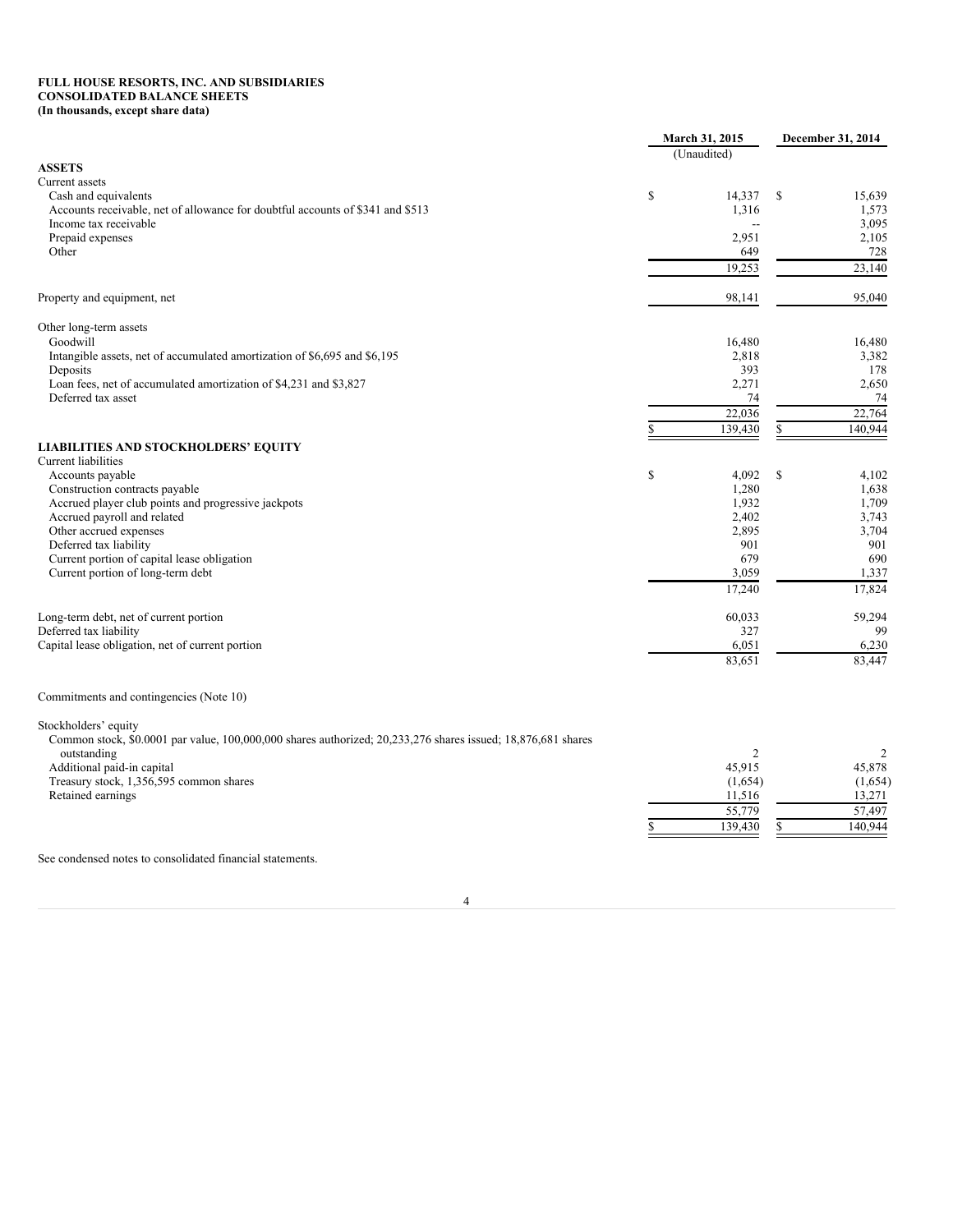# **FULL HOUSE RESORTS, INC. AND SUBSIDIARIES CONSOLIDATED BALANCE SHEETS (In thousands, except share data)**

|                                                                                |    | March 31, 2015<br>(Unaudited) |              | December 31, 2014   |
|--------------------------------------------------------------------------------|----|-------------------------------|--------------|---------------------|
| <b>ASSETS</b>                                                                  |    |                               |              |                     |
| Current assets                                                                 |    |                               |              |                     |
| Cash and equivalents                                                           | S  | 14.337                        | <sup>S</sup> | 15,639              |
| Accounts receivable, net of allowance for doubtful accounts of \$341 and \$513 |    | 1,316                         |              | 1,573               |
| Income tax receivable                                                          |    | $\overline{\phantom{a}}$      |              | 3,095               |
| Prepaid expenses                                                               |    | 2,951                         |              | 2,105               |
| Other                                                                          |    | 649                           |              | 728                 |
|                                                                                |    | 19,253                        |              | $\overline{23,140}$ |
| Property and equipment, net                                                    |    | 98,141                        |              | 95,040              |
| Other long-term assets                                                         |    |                               |              |                     |
| Goodwill                                                                       |    | 16,480                        |              | 16,480              |
| Intangible assets, net of accumulated amortization of \$6,695 and \$6,195      |    | 2,818                         |              | 3,382               |
| Deposits                                                                       |    | 393                           |              | 178                 |
| Loan fees, net of accumulated amortization of \$4,231 and \$3,827              |    | 2,271                         |              | 2,650               |
| Deferred tax asset                                                             |    | 74                            |              | 74                  |
|                                                                                |    | 22,036                        |              | 22,764              |
|                                                                                |    | 139,430                       | S.           | 140,944             |
| <b>LIABILITIES AND STOCKHOLDERS' EQUITY</b>                                    |    |                               |              |                     |
| <b>Current liabilities</b>                                                     |    |                               |              |                     |
| Accounts payable                                                               | \$ | 4,092                         | $\mathbb{S}$ | 4,102               |
| Construction contracts payable                                                 |    | 1,280                         |              | 1,638               |
| Accrued player club points and progressive jackpots                            |    | 1,932                         |              | 1,709               |
| Accrued payroll and related                                                    |    | 2,402                         |              | 3,743               |
| Other accrued expenses                                                         |    | 2,895                         |              | 3,704               |
| Deferred tax liability                                                         |    | 901                           |              | 901                 |
| Current portion of capital lease obligation                                    |    | 679                           |              | 690                 |
| Current portion of long-term debt                                              |    | 3,059                         |              | 1,337               |
|                                                                                |    | 17,240                        |              | 17,824              |
| Long-term debt, net of current portion                                         |    | 60,033                        |              | 59,294              |
| Deferred tax liability                                                         |    | 327                           |              | 99                  |
| Capital lease obligation, net of current portion                               |    | 6,051                         |              | 6,230               |
|                                                                                |    | 83,651                        |              | 83,447              |

#### Commitments and contingencies (Note 10)

Stockholders' equity Common stock, \$0.0001 par value, 100,000,000 shares authorized; 20,233,276 shares issued; 18,876,681 shares outstanding 2 2 Additional paid-in capital 45,878 45,878 (1,654) 45,878 45,878 (1,654) 46,915 45,878 46,915 45,878 45,878 (1,654) 45,878 and the control of the control of the control of the control of the control of the control of the con Treasury stock, 1,356,595 common shares (1,654) (1,654) (1,654) (1,654) (1,654) (1,654) (1,654) (1,654) (1,654 Retained earnings

See condensed notes to consolidated financial statements.

4

55,779 57,497 \$ 139,430 \$ 140,944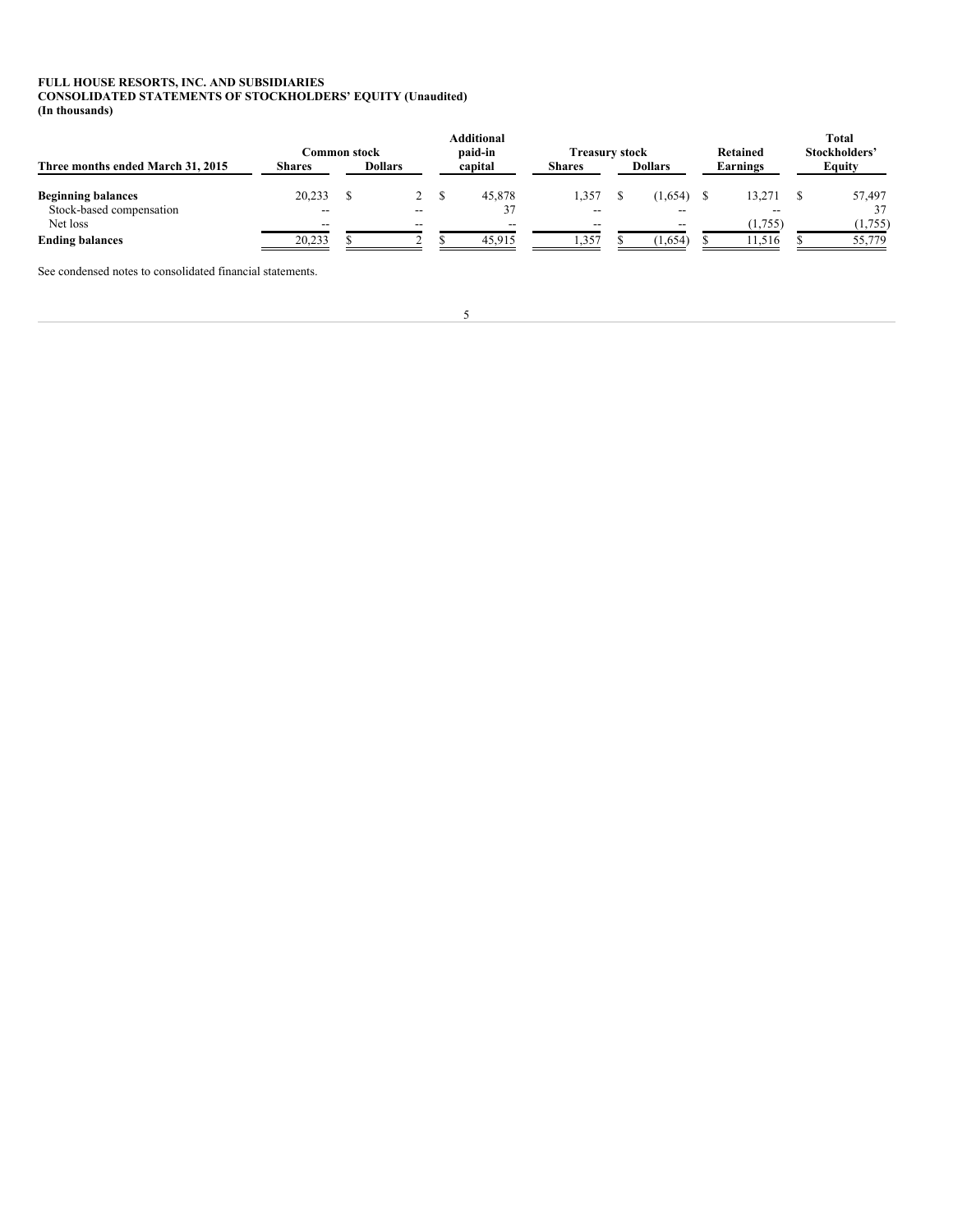# **FULL HOUSE RESORTS, INC. AND SUBSIDIARIES**

**CONSOLIDATED STATEMENTS OF STOCKHOLDERS' EQUITY (Unaudited)**

**(In thousands)**

| <b>Additional</b>                    |                               |  |                |  |                                |                                        | Total                             |                                     |                                |
|--------------------------------------|-------------------------------|--|----------------|--|--------------------------------|----------------------------------------|-----------------------------------|-------------------------------------|--------------------------------|
| Three months ended March 31, 2015    | Common stock<br><b>Shares</b> |  | <b>Dollars</b> |  | paid-in<br>capital             | <b>Treasury stock</b><br><b>Shares</b> | <b>Dollars</b>                    | Retained<br>Earnings                | Stockholders'<br><b>Equity</b> |
| <b>Beginning balances</b>            | 20,233                        |  |                |  | 45,878                         | 1,357                                  | (1,654)                           | 13.271                              | 57,497                         |
| Stock-based compensation<br>Net loss | $- -$<br>$- -$                |  | $- -$<br>$- -$ |  | 37<br>$\overline{\phantom{a}}$ | $- -$<br>$- -$                         | $\overline{\phantom{a}}$<br>$- -$ | $\overline{\phantom{a}}$<br>(1.755) | 37<br>(1,755)                  |
| <b>Ending balances</b>               | 20,233                        |  |                |  | 45.915                         | 1,357                                  | (1,654)                           | 11,516                              | 55,779                         |

See condensed notes to consolidated financial statements.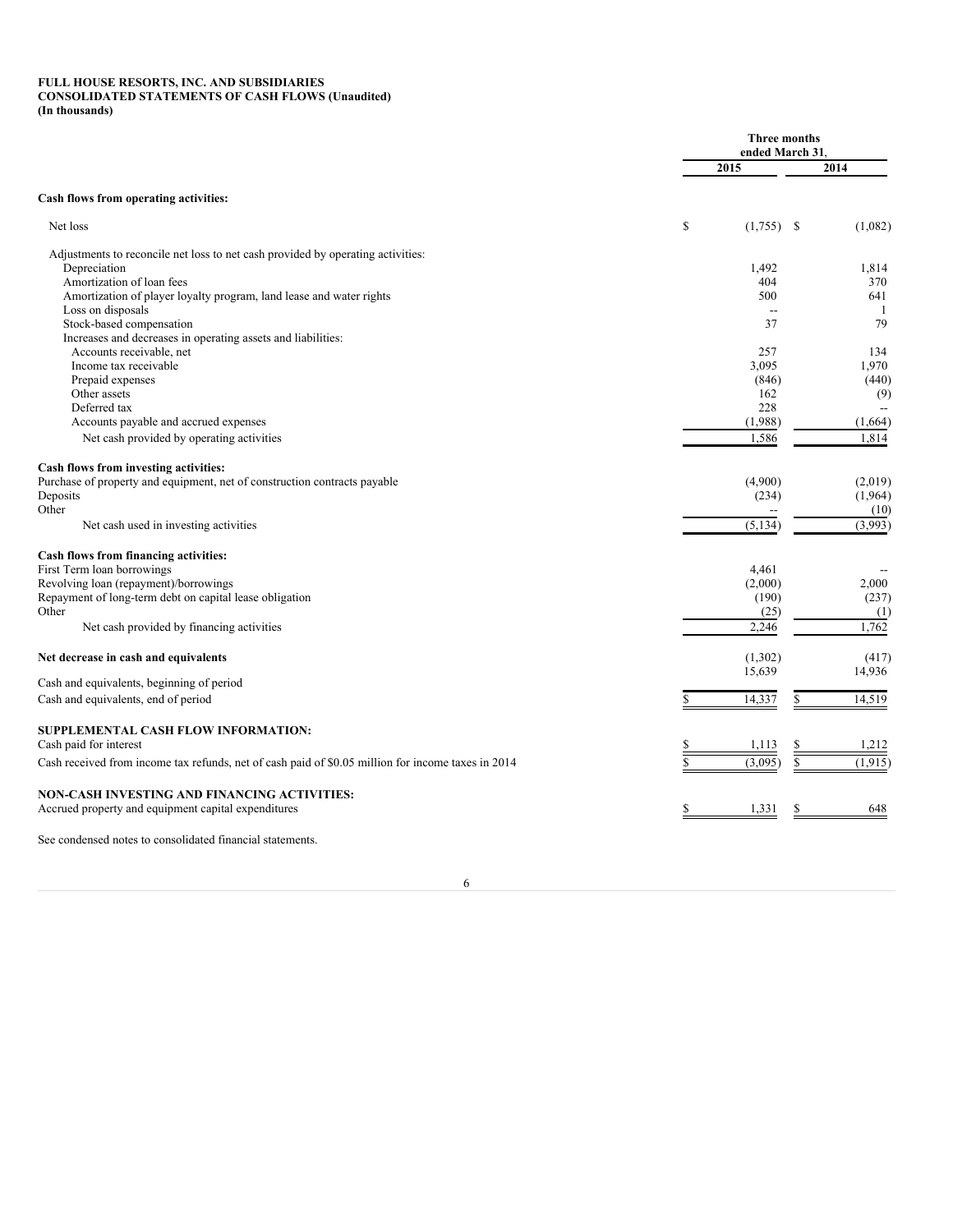## **FULL HOUSE RESORTS, INC. AND SUBSIDIARIES CONSOLIDATED STATEMENTS OF CASH FLOWS (Unaudited)**

**(In thousands)**

|                                                                                                    | <b>Three months</b><br>ended March 31. |                |      |         |
|----------------------------------------------------------------------------------------------------|----------------------------------------|----------------|------|---------|
|                                                                                                    |                                        | 2015           | 2014 |         |
| Cash flows from operating activities:                                                              |                                        |                |      |         |
| Net loss                                                                                           | \$                                     | (1,755)        | - \$ | (1,082) |
| Adjustments to reconcile net loss to net cash provided by operating activities:                    |                                        |                |      |         |
| Depreciation                                                                                       |                                        | 1,492          |      | 1,814   |
| Amortization of loan fees                                                                          |                                        | 404            |      | 370     |
| Amortization of player loyalty program, land lease and water rights                                |                                        | 500            |      | 641     |
| Loss on disposals                                                                                  |                                        | $\overline{a}$ |      | 1       |
| Stock-based compensation                                                                           |                                        | 37             |      | 79      |
| Increases and decreases in operating assets and liabilities:                                       |                                        |                |      |         |
| Accounts receivable, net                                                                           |                                        | 257            |      | 134     |
| Income tax receivable                                                                              |                                        | 3,095          |      | 1,970   |
| Prepaid expenses                                                                                   |                                        | (846)          |      | (440)   |
| Other assets                                                                                       |                                        | 162            |      | (9)     |
| Deferred tax                                                                                       |                                        | 228            |      |         |
| Accounts payable and accrued expenses                                                              |                                        | (1,988)        |      | (1,664) |
| Net cash provided by operating activities                                                          |                                        | 1,586          |      | 1,814   |
| Cash flows from investing activities:                                                              |                                        |                |      |         |
| Purchase of property and equipment, net of construction contracts payable                          |                                        | (4,900)        |      | (2,019) |
| Deposits                                                                                           |                                        | (234)          |      | (1,964) |
| Other                                                                                              |                                        |                |      | (10)    |
| Net cash used in investing activities                                                              |                                        | (5, 134)       |      | (3,993) |
| Cash flows from financing activities:                                                              |                                        |                |      |         |
| First Term loan borrowings                                                                         |                                        | 4,461          |      |         |
| Revolving loan (repayment)/borrowings                                                              |                                        | (2,000)        |      | 2,000   |
| Repayment of long-term debt on capital lease obligation                                            |                                        | (190)          |      | (237)   |
| Other                                                                                              |                                        | (25)           |      | (1)     |
| Net cash provided by financing activities                                                          |                                        | 2,246          |      | 1.762   |
| Net decrease in cash and equivalents                                                               |                                        | (1,302)        |      | (417)   |
| Cash and equivalents, beginning of period                                                          |                                        | 15,639         |      | 14,936  |
| Cash and equivalents, end of period                                                                |                                        | 14,337         | \$   | 14,519  |
| SUPPLEMENTAL CASH FLOW INFORMATION:                                                                |                                        |                |      |         |
| Cash paid for interest                                                                             |                                        | 1,113          |      | 1,212   |
| Cash received from income tax refunds, net of cash paid of \$0.05 million for income taxes in 2014 |                                        | (3,095)        | S    | (1,915) |
| NON-CASH INVESTING AND FINANCING ACTIVITIES:                                                       |                                        |                |      |         |
| Accrued property and equipment capital expenditures                                                |                                        | 1,331          |      | 648     |
| See condensed notes to consolidated financial statements.                                          |                                        |                |      |         |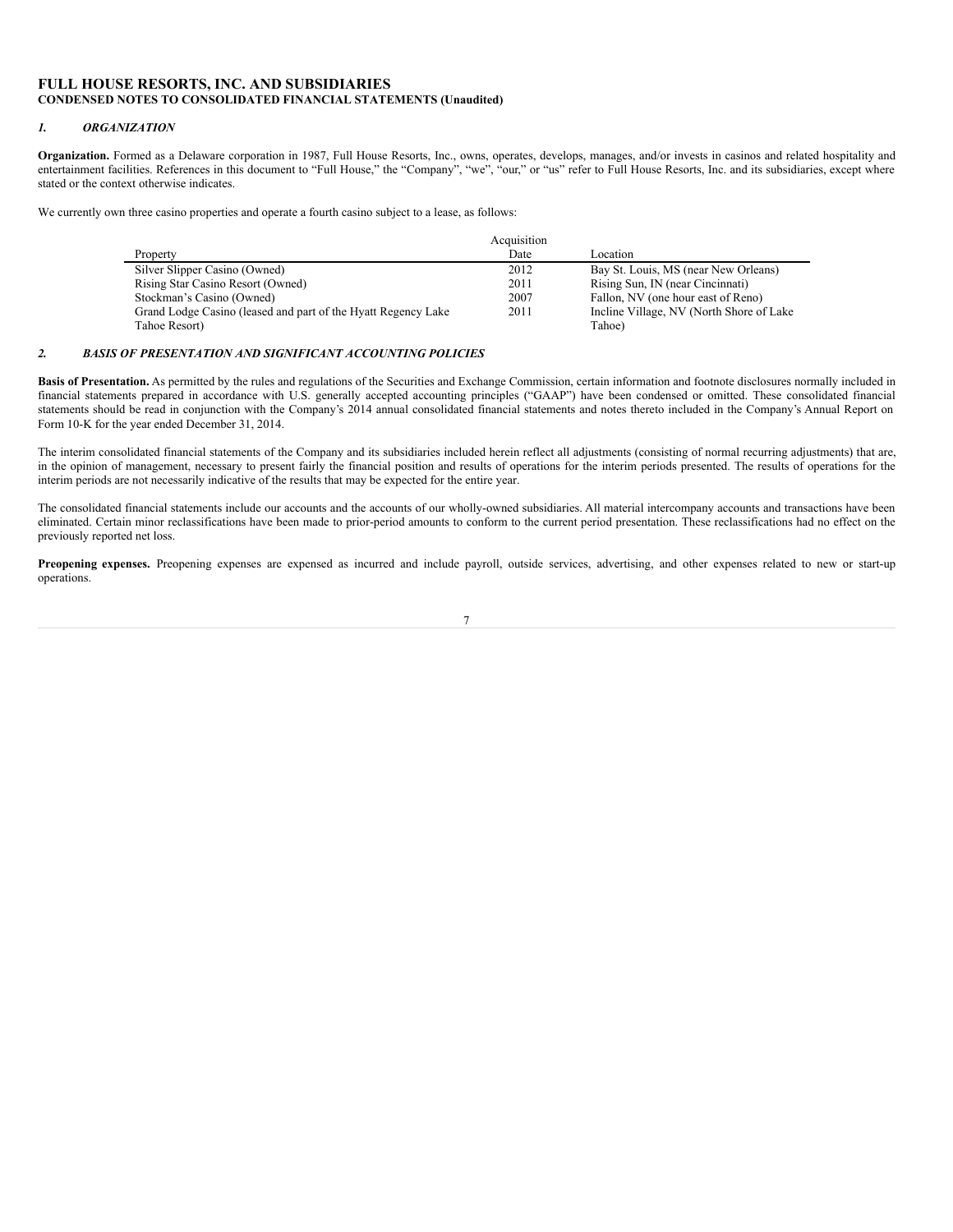# **FULL HOUSE RESORTS, INC. AND SUBSIDIARIES CONDENSED NOTES TO CONSOLIDATED FINANCIAL STATEMENTS (Unaudited)**

# *1. ORGANIZATION*

**Organization.** Formed as a Delaware corporation in 1987, Full House Resorts, Inc., owns, operates, develops, manages, and/or invests in casinos and related hospitality and entertainment facilities. References in this document to "Full House," the "Company", "we", "our," or "us" refer to Full House Resorts, Inc. and its subsidiaries, except where stated or the context otherwise indicates.

We currently own three casino properties and operate a fourth casino subject to a lease, as follows:

|                                                               | Acquisition |                                           |
|---------------------------------------------------------------|-------------|-------------------------------------------|
| Property                                                      | Date        | Location                                  |
| Silver Slipper Casino (Owned)                                 | 2012        | Bay St. Louis, MS (near New Orleans)      |
| Rising Star Casino Resort (Owned)                             | 2011        | Rising Sun, IN (near Cincinnati)          |
| Stockman's Casino (Owned)                                     | 2007        | Fallon, NV (one hour east of Reno)        |
| Grand Lodge Casino (leased and part of the Hyatt Regency Lake | 2011        | Incline Village, NV (North Shore of Lake) |
| Tahoe Resort)                                                 |             | Tahoe)                                    |

# *2. BASIS OF PRESENTATION AND SIGNIFICANT ACCOUNTING POLICIES*

**Basis of Presentation.** As permitted by the rules and regulations of the Securities and Exchange Commission, certain information and footnote disclosures normally included in financial statements prepared in accordance with U.S. generally accepted accounting principles ("GAAP") have been condensed or omitted. These consolidated financial statements should be read in conjunction with the Company's 2014 annual consolidated financial statements and notes thereto included in the Company's Annual Report on Form 10-K for the year ended December 31, 2014.

The interim consolidated financial statements of the Company and its subsidiaries included herein reflect all adjustments (consisting of normal recurring adjustments) that are, in the opinion of management, necessary to present fairly the financial position and results of operations for the interim periods presented. The results of operations for the interim periods are not necessarily indicative of the results that may be expected for the entire year.

The consolidated financial statements include our accounts and the accounts of our wholly-owned subsidiaries. All material intercompany accounts and transactions have been eliminated. Certain minor reclassifications have been made to prior-period amounts to conform to the current period presentation. These reclassifications had no effect on the previously reported net loss.

Preopening expenses. Preopening expenses are expensed as incurred and include payroll, outside services, advertising, and other expenses related to new or start-up operations.

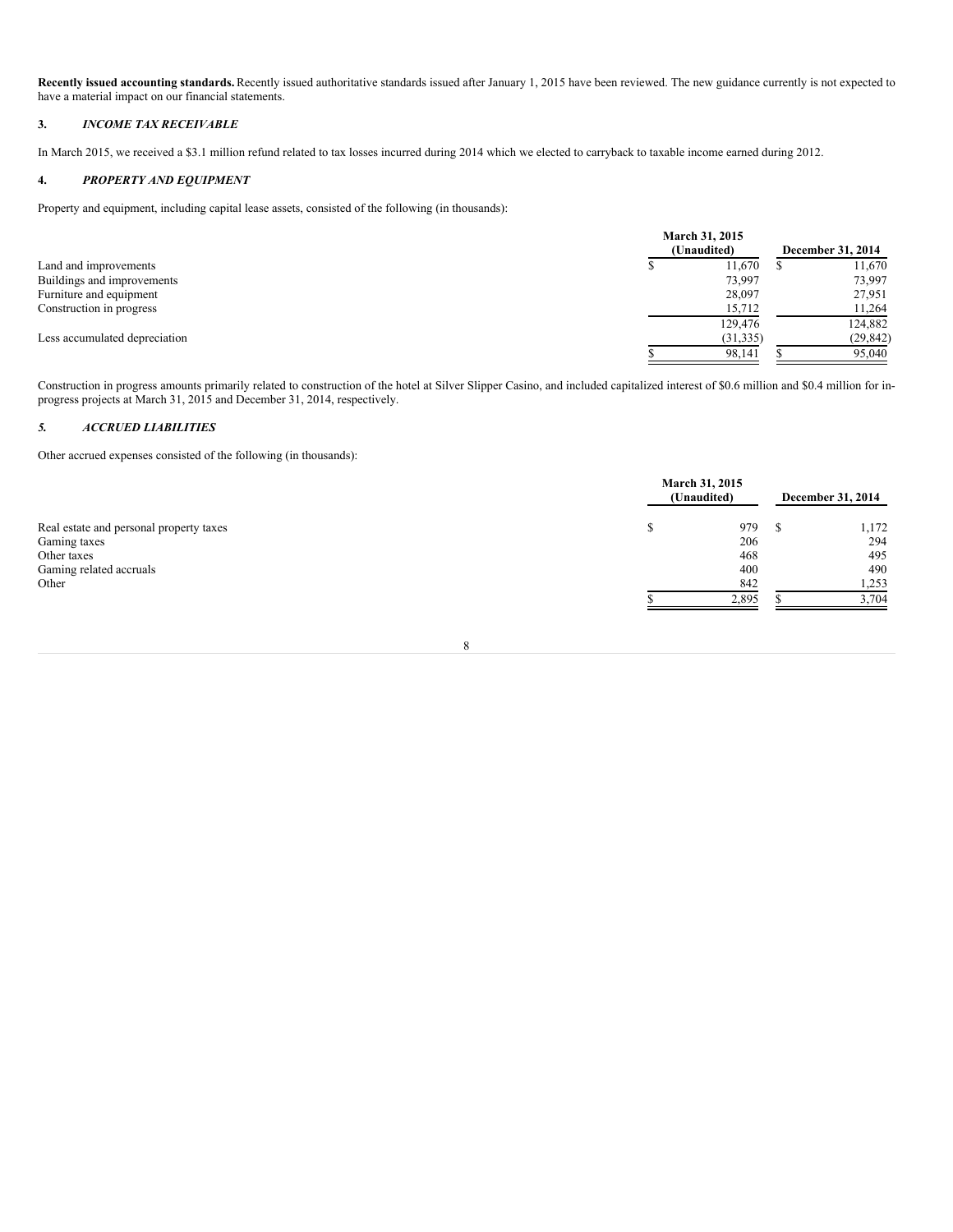**Recently issued accounting standards.** Recently issued authoritative standards issued after January 1, 2015 have been reviewed. The new guidance currently is not expected to have a material impact on our financial statements.

# **3.** *INCOME TAX RECEIVABLE*

In March 2015, we received a \$3.1 million refund related to tax losses incurred during 2014 which we elected to carryback to taxable income earned during 2012.

# **4.** *PROPERTY AND EQUIPMENT*

Property and equipment, including capital lease assets, consisted of the following (in thousands):

|                               | March 31, 2015 |           |                   |
|-------------------------------|----------------|-----------|-------------------|
|                               | (Unaudited)    |           | December 31, 2014 |
| Land and improvements         |                | 11,670    | 11,670            |
| Buildings and improvements    |                | 73.997    | 73,997            |
| Furniture and equipment       |                | 28,097    | 27,951            |
| Construction in progress      |                | 15,712    | 11,264            |
|                               |                | 129,476   | 124,882           |
| Less accumulated depreciation |                | (31, 335) | (29, 842)         |
|                               |                | 98,141    | 95,040            |

Construction in progress amounts primarily related to construction of the hotel at Silver Slipper Casino, and included capitalized interest of \$0.6 million and \$0.4 million for inprogress projects at March 31, 2015 and December 31, 2014, respectively.

# *5. ACCRUED LIABILITIES*

Other accrued expenses consisted of the following (in thousands):

|                                         |   | March 31, 2015<br>(Unaudited) | December 31, 2014 |
|-----------------------------------------|---|-------------------------------|-------------------|
| Real estate and personal property taxes | S | 979                           | 1,172             |
| Gaming taxes                            |   | 206                           | 294               |
| Other taxes                             |   | 468                           | 495               |
| Gaming related accruals                 |   | 400                           | 490               |
| Other                                   |   | 842                           | 1,253             |
|                                         |   | 2,895                         | 3,704             |
|                                         |   |                               |                   |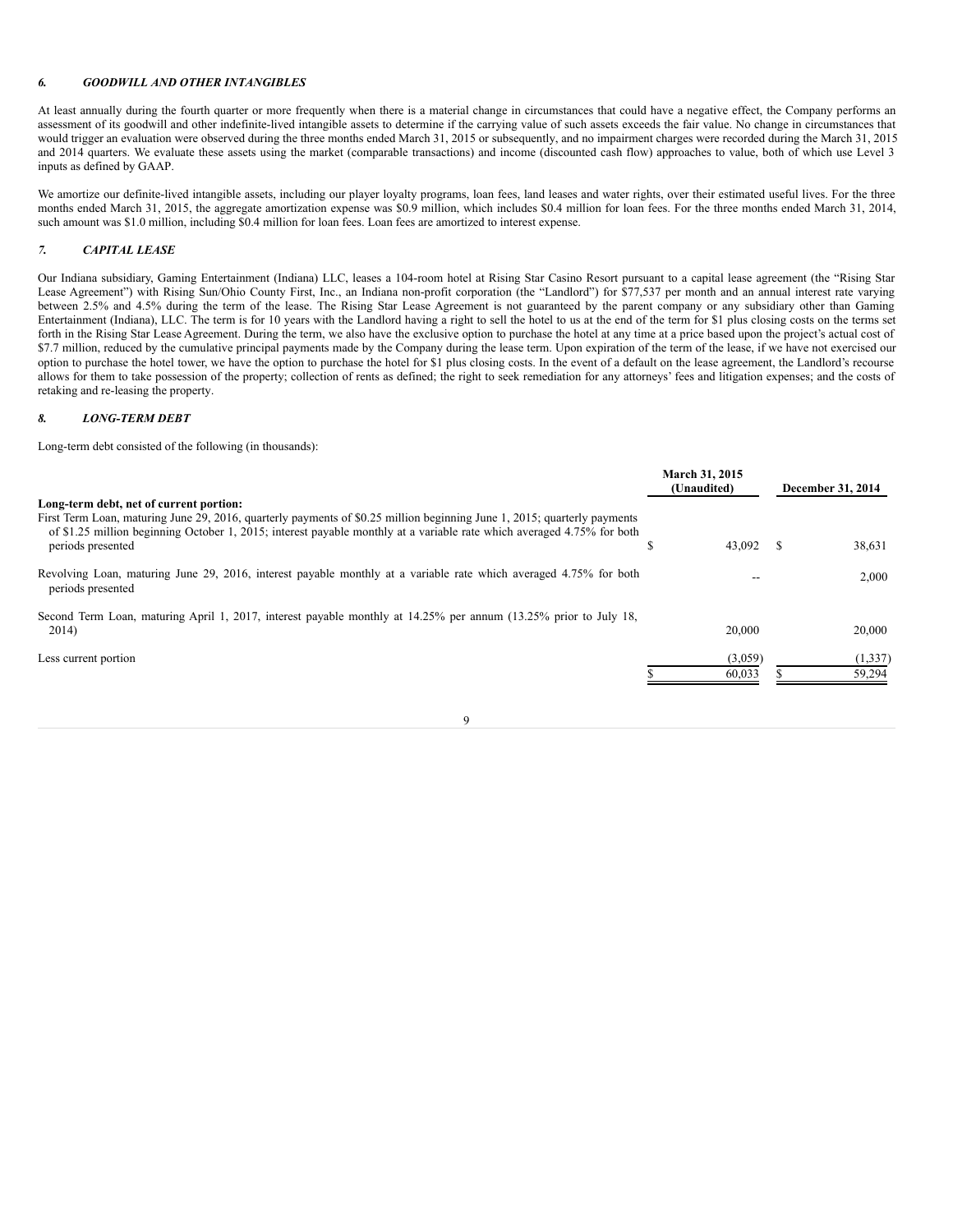## *6. GOODWILL AND OTHER INTANGIBLES*

At least annually during the fourth quarter or more frequently when there is a material change in circumstances that could have a negative effect, the Company performs an assessment of its goodwill and other indefinite-lived intangible assets to determine if the carrying value of such assets exceeds the fair value. No change in circumstances that would trigger an evaluation were observed during the three months ended March 31, 2015 or subsequently, and no impairment charges were recorded during the March 31, 2015 and 2014 quarters. We evaluate these assets using the market (comparable transactions) and income (discounted cash flow) approaches to value, both of which use Level 3 inputs as defined by GAAP.

We amortize our definite-lived intangible assets, including our player loyalty programs, loan fees, land leases and water rights, over their estimated useful lives. For the three months ended March 31, 2015, the aggregate amortization expense was \$0.9 million, which includes \$0.4 million for loan fees. For the three months ended March 31, 2014, such amount was \$1.0 million, including \$0.4 million for loan fees. Loan fees are amortized to interest expense.

# *7. CAPITAL LEASE*

Our Indiana subsidiary, Gaming Entertainment (Indiana) LLC, leases a 104-room hotel at Rising Star Casino Resort pursuant to a capital lease agreement (the "Rising Star Lease Agreement") with Rising Sun/Ohio County First, Inc., an Indiana non-profit corporation (the "Landlord") for \$77,537 per month and an annual interest rate varying between 2.5% and 4.5% during the term of the lease. The Rising Star Lease Agreement is not guaranteed by the parent company or any subsidiary other than Gaming Entertainment (Indiana), LLC. The term is for 10 years with the Landlord having a right to sell the hotel to us at the end of the term for \$1 plus closing costs on the terms set forth in the Rising Star Lease Agreement. During the term, we also have the exclusive option to purchase the hotel at any time at a price based upon the project's actual cost of \$7.7 million, reduced by the cumulative principal payments made by the Company during the lease term. Upon expiration of the term of the lease, if we have not exercised our option to purchase the hotel tower, we have the option to purchase the hotel for \$1 plus closing costs. In the event of a default on the lease agreement, the Landlord's recourse allows for them to take possession of the property; collection of rents as defined; the right to seek remediation for any attorneys' fees and litigation expenses; and the costs of retaking and re-leasing the property.

#### *8. LONG-TERM DEBT*

Long-term debt consisted of the following (in thousands):

|                                                                                                                                                                                                                                                                         | <b>March 31, 2015</b><br>(Unaudited) |         | December 31, 2014 |          |
|-------------------------------------------------------------------------------------------------------------------------------------------------------------------------------------------------------------------------------------------------------------------------|--------------------------------------|---------|-------------------|----------|
| Long-term debt, net of current portion:                                                                                                                                                                                                                                 |                                      |         |                   |          |
| First Term Loan, maturing June 29, 2016, quarterly payments of \$0.25 million beginning June 1, 2015; quarterly payments<br>of \$1.25 million beginning October 1, 2015; interest payable monthly at a variable rate which averaged 4.75% for both<br>periods presented |                                      | 43,092  | S                 | 38.631   |
| Revolving Loan, maturing June 29, 2016, interest payable monthly at a variable rate which averaged 4.75% for both<br>periods presented                                                                                                                                  |                                      |         |                   | 2.000    |
| Second Term Loan, maturing April 1, 2017, interest payable monthly at 14.25% per annum (13.25% prior to July 18,<br>2014)                                                                                                                                               |                                      | 20,000  |                   | 20,000   |
| Less current portion                                                                                                                                                                                                                                                    |                                      | (3,059) |                   | (1, 337) |
|                                                                                                                                                                                                                                                                         |                                      | 60,033  |                   | 59,294   |
|                                                                                                                                                                                                                                                                         |                                      |         |                   |          |

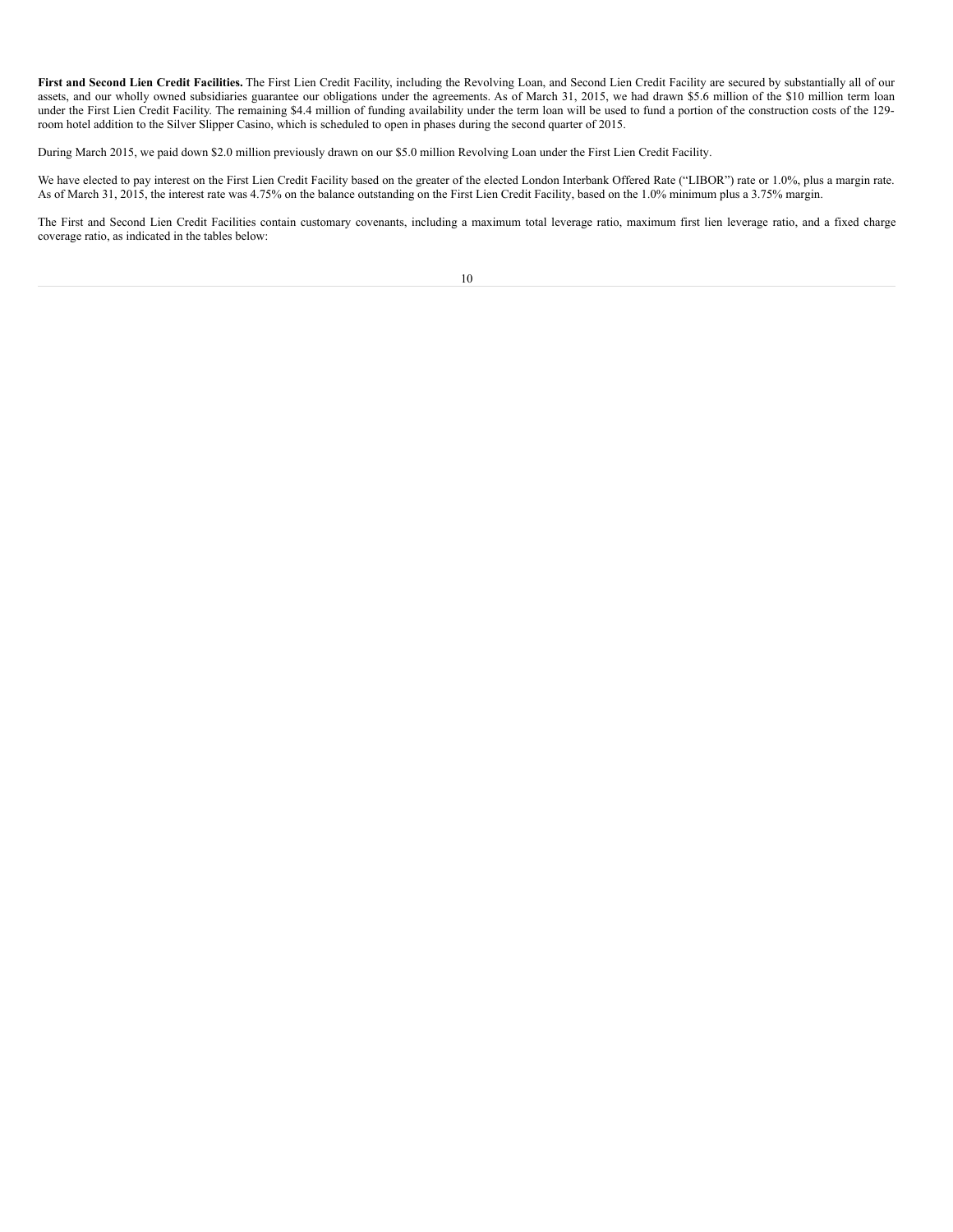**First and Second Lien Credit Facilities.** The First Lien Credit Facility, including the Revolving Loan, and Second Lien Credit Facility are secured by substantially all of our assets, and our wholly owned subsidiaries guarantee our obligations under the agreements. As of March 31, 2015, we had drawn \$5.6 million of the \$10 million term loan under the First Lien Credit Facility. The remaining \$4.4 million of funding availability under the term loan will be used to fund a portion of the construction costs of the 129 room hotel addition to the Silver Slipper Casino, which is scheduled to open in phases during the second quarter of 2015.

During March 2015, we paid down \$2.0 million previously drawn on our \$5.0 million Revolving Loan under the First Lien Credit Facility.

We have elected to pay interest on the First Lien Credit Facility based on the greater of the elected London Interbank Offered Rate ("LIBOR") rate or 1.0%, plus a margin rate. As of March 31, 2015, the interest rate was 4.75% on the balance outstanding on the First Lien Credit Facility, based on the 1.0% minimum plus a 3.75% margin.

The First and Second Lien Credit Facilities contain customary covenants, including a maximum total leverage ratio, maximum first lien leverage ratio, and a fixed charge coverage ratio, as indicated in the tables below: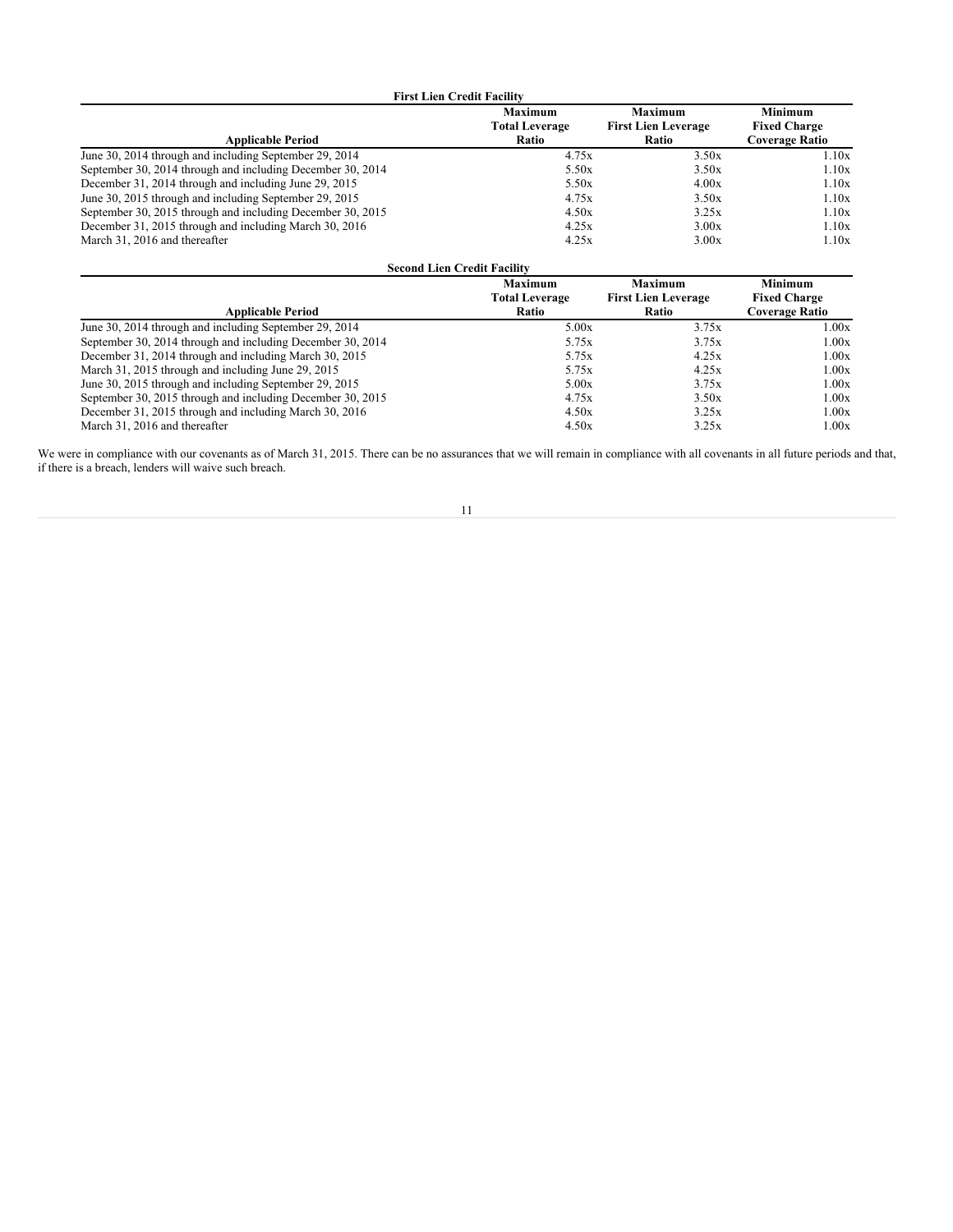| <b>First Lien Credit Facility</b>                          |                       |                            |                       |  |  |
|------------------------------------------------------------|-----------------------|----------------------------|-----------------------|--|--|
|                                                            | <b>Maximum</b>        | <b>Maximum</b>             | <b>Minimum</b>        |  |  |
|                                                            | <b>Total Leverage</b> | <b>First Lien Leverage</b> | <b>Fixed Charge</b>   |  |  |
| <b>Applicable Period</b>                                   | Ratio                 | Ratio                      | <b>Coverage Ratio</b> |  |  |
| June 30, 2014 through and including September 29, 2014     | 4.75x                 | 3.50x                      | 1.10x                 |  |  |
| September 30, 2014 through and including December 30, 2014 | 5.50x                 | 3.50x                      | 1.10x                 |  |  |
| December 31, 2014 through and including June 29, 2015      | 5.50x                 | 4.00x                      | 1.10x                 |  |  |
| June 30, 2015 through and including September 29, 2015     | 4.75x                 | 3.50x                      | 1.10x                 |  |  |
| September 30, 2015 through and including December 30, 2015 | 4.50x                 | 3.25x                      | 1.10x                 |  |  |
| December 31, 2015 through and including March 30, 2016     | 4.25x                 | 3.00x                      | 1.10x                 |  |  |
| March 31, 2016 and thereafter                              | 4.25x                 | 3.00x                      | 1.10x                 |  |  |

| <b>Second Lien Credit Facility</b>                         |                                                  |                                                       |                                                                |  |  |
|------------------------------------------------------------|--------------------------------------------------|-------------------------------------------------------|----------------------------------------------------------------|--|--|
| <b>Applicable Period</b>                                   | <b>Maximum</b><br><b>Total Leverage</b><br>Ratio | <b>Maximum</b><br><b>First Lien Leverage</b><br>Ratio | <b>Minimum</b><br><b>Fixed Charge</b><br><b>Coverage Ratio</b> |  |  |
| June 30, 2014 through and including September 29, 2014     | 5.00x                                            | 3.75x                                                 | 1.00x                                                          |  |  |
| September 30, 2014 through and including December 30, 2014 | 5.75x                                            | 3.75x                                                 | 1.00x                                                          |  |  |
| December 31, 2014 through and including March 30, 2015     | 5.75x                                            | 4.25x                                                 | 1.00x                                                          |  |  |
| March 31, 2015 through and including June 29, 2015         | 5.75x                                            | 4.25x                                                 | 1.00x                                                          |  |  |
| June 30, 2015 through and including September 29, 2015     | 5.00x                                            | 3.75x                                                 | 1.00x                                                          |  |  |
| September 30, 2015 through and including December 30, 2015 | 4.75x                                            | 3.50x                                                 | 1.00x                                                          |  |  |
| December 31, 2015 through and including March 30, 2016     | 4.50x                                            | 3.25x                                                 | 1.00x                                                          |  |  |
| March 31, 2016 and thereafter                              | 4.50x                                            | 3.25x                                                 | 1.00x                                                          |  |  |

We were in compliance with our covenants as of March 31, 2015. There can be no assurances that we will remain in compliance with all covenants in all future periods and that, if there is a breach, lenders will waive such breach.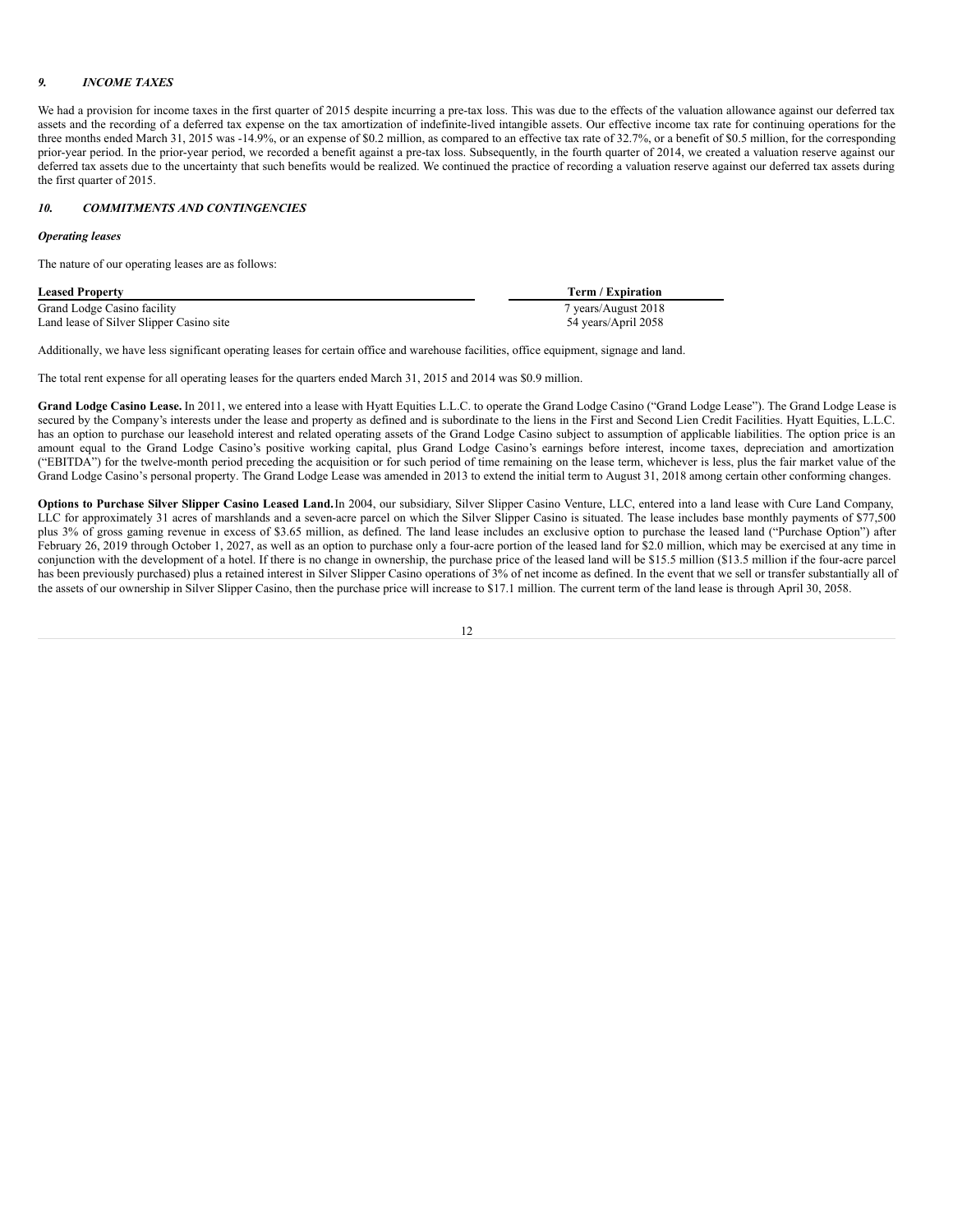# *9. INCOME TAXES*

We had a provision for income taxes in the first quarter of 2015 despite incurring a pre-tax loss. This was due to the effects of the valuation allowance against our deferred tax assets and the recording of a deferred tax expense on the tax amortization of indefinite-lived intangible assets. Our effective income tax rate for continuing operations for the three months ended March 31, 2015 was -14.9%, or an expense of \$0.2 million, as compared to an effective tax rate of 32.7%, or a benefit of \$0.5 million, for the corresponding prior-year period. In the prior-year period, we recorded a benefit against a pre-tax loss. Subsequently, in the fourth quarter of 2014, we created a valuation reserve against our deferred tax assets due to the uncertainty that such benefits would be realized. We continued the practice of recording a valuation reserve against our deferred tax assets during the first quarter of 2015.

#### *10. COMMITMENTS AND CONTINGENCIES*

#### *Operating leases*

The nature of our operating leases are as follows:

| <b>Leased Property</b>                   | Term / Expiration   |
|------------------------------------------|---------------------|
| Grand Lodge Casino facility              | 7 years/August 2018 |
| Land lease of Silver Slipper Casino site | 54 years/April 2058 |

Additionally, we have less significant operating leases for certain office and warehouse facilities, office equipment, signage and land.

The total rent expense for all operating leases for the quarters ended March 31, 2015 and 2014 was \$0.9 million.

**Grand Lodge Casino Lease.** In 2011, we entered into a lease with Hyatt Equities L.L.C. to operate the Grand Lodge Casino ("Grand Lodge Lease"). The Grand Lodge Lease is secured by the Company's interests under the lease and property as defined and is subordinate to the liens in the First and Second Lien Credit Facilities. Hyatt Equities, L.L.C. has an option to purchase our leasehold interest and related operating assets of the Grand Lodge Casino subject to assumption of applicable liabilities. The option price is an amount equal to the Grand Lodge Casino's positive working capital, plus Grand Lodge Casino's earnings before interest, income taxes, depreciation and amortization ("EBITDA") for the twelve-month period preceding the acquisition or for such period of time remaining on the lease term, whichever is less, plus the fair market value of the Grand Lodge Casino's personal property. The Grand Lodge Lease was amended in 2013 to extend the initial term to August 31, 2018 among certain other conforming changes.

**Options to Purchase Silver Slipper Casino Leased Land.**In 2004, our subsidiary, Silver Slipper Casino Venture, LLC, entered into a land lease with Cure Land Company, LLC for approximately 31 acres of marshlands and a seven-acre parcel on which the Silver Slipper Casino is situated. The lease includes base monthly payments of \$77,500 plus 3% of gross gaming revenue in excess of \$3.65 million, as defined. The land lease includes an exclusive option to purchase the leased land ("Purchase Option") after February 26, 2019 through October 1, 2027, as well as an option to purchase only a four-acre portion of the leased land for \$2.0 million, which may be exercised at any time in conjunction with the development of a hotel. If there is no change in ownership, the purchase price of the leased land will be \$15.5 million (\$13.5 million if the four-acre parcel has been previously purchased) plus a retained interest in Silver Slipper Casino operations of 3% of net income as defined. In the event that we sell or transfer substantially all of the assets of our ownership in Silver Slipper Casino, then the purchase price will increase to \$17.1 million. The current term of the land lease is through April 30, 2058.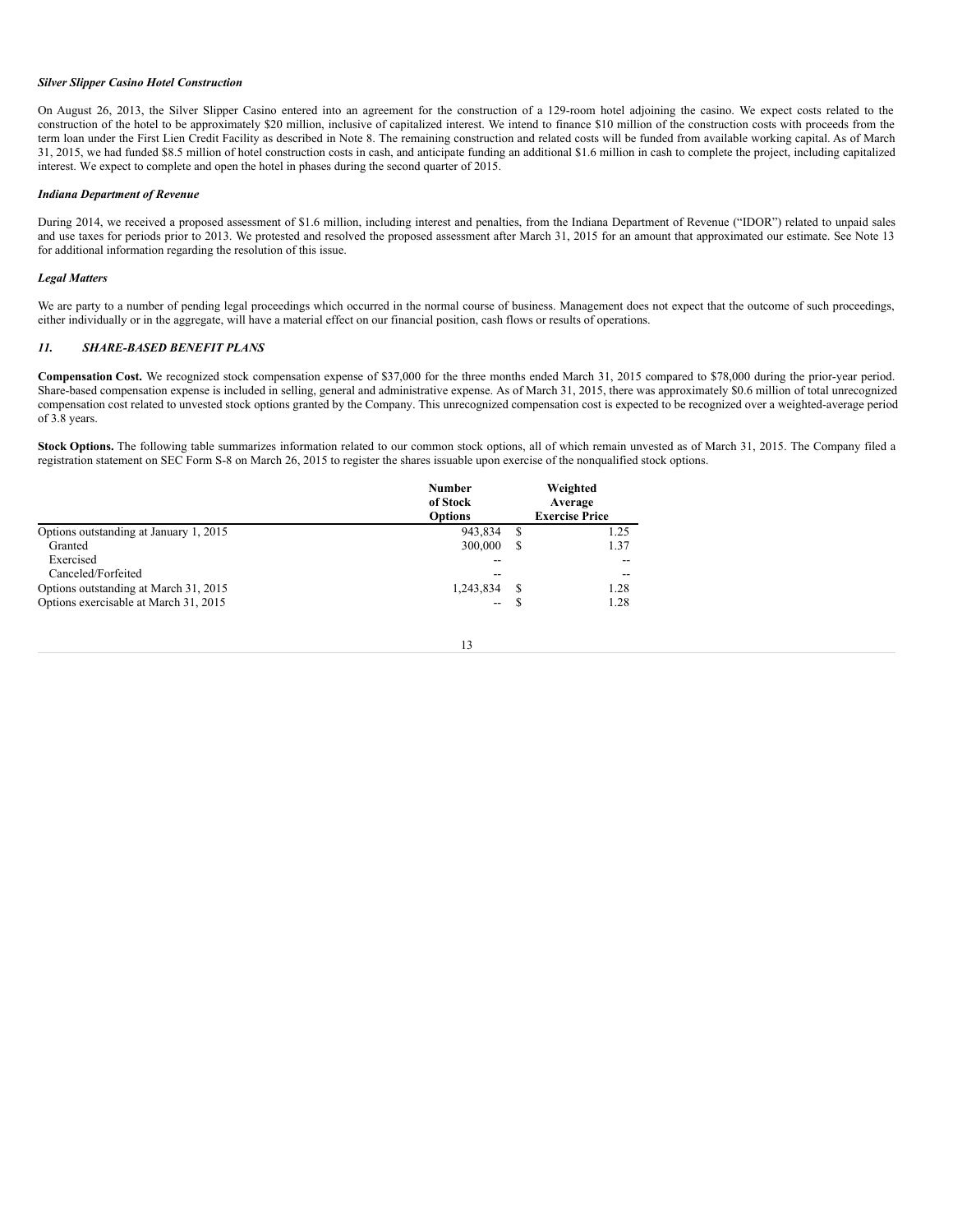## *Silver Slipper Casino Hotel Construction*

On August 26, 2013, the Silver Slipper Casino entered into an agreement for the construction of a 129-room hotel adjoining the casino. We expect costs related to the construction of the hotel to be approximately \$20 million, inclusive of capitalized interest. We intend to finance \$10 million of the construction costs with proceeds from the term loan under the First Lien Credit Facility as described in Note 8. The remaining construction and related costs will be funded from available working capital. As of March 31, 2015, we had funded \$8.5 million of hotel construction costs in cash, and anticipate funding an additional \$1.6 million in cash to complete the project, including capitalized interest. We expect to complete and open the hotel in phases during the second quarter of 2015.

#### *Indiana Department of Revenue*

During 2014, we received a proposed assessment of \$1.6 million, including interest and penalties, from the Indiana Department of Revenue ("IDOR") related to unpaid sales and use taxes for periods prior to 2013. We protested and resolved the proposed assessment after March 31, 2015 for an amount that approximated our estimate. See Note 13 for additional information regarding the resolution of this issue.

#### *Legal Matters*

We are party to a number of pending legal proceedings which occurred in the normal course of business. Management does not expect that the outcome of such proceedings, either individually or in the aggregate, will have a material effect on our financial position, cash flows or results of operations.

# *11. SHARE-BASED BENEFIT PLANS*

**Compensation Cost.** We recognized stock compensation expense of \$37,000 for the three months ended March 31, 2015 compared to \$78,000 during the prior-year period. Share-based compensation expense is included in selling, general and administrative expense. As of March 31, 2015, there was approximately \$0.6 million of total unrecognized compensation cost related to unvested stock options granted by the Company. This unrecognized compensation cost is expected to be recognized over a weighted-average period of 3.8 years.

**Stock Options.** The following table summarizes information related to our common stock options, all of which remain unvested as of March 31, 2015. The Company filed a registration statement on SEC Form S-8 on March 26, 2015 to register the shares issuable upon exercise of the nonqualified stock options.

|                                        | <b>Number</b><br>of Stock<br><b>Options</b> |    | Weighted<br>Average<br><b>Exercise Price</b> |  |  |  |
|----------------------------------------|---------------------------------------------|----|----------------------------------------------|--|--|--|
| Options outstanding at January 1, 2015 | 943.834                                     | -8 | 1.25                                         |  |  |  |
| Granted                                | 300,000                                     | -S | 1.37                                         |  |  |  |
| Exercised                              | --                                          |    |                                              |  |  |  |
| Canceled/Forfeited                     | --                                          |    |                                              |  |  |  |
| Options outstanding at March 31, 2015  | 1,243,834                                   | -8 | 1.28                                         |  |  |  |
| Options exercisable at March 31, 2015  | $\overline{\phantom{a}}$                    |    | 1.28                                         |  |  |  |
|                                        |                                             |    |                                              |  |  |  |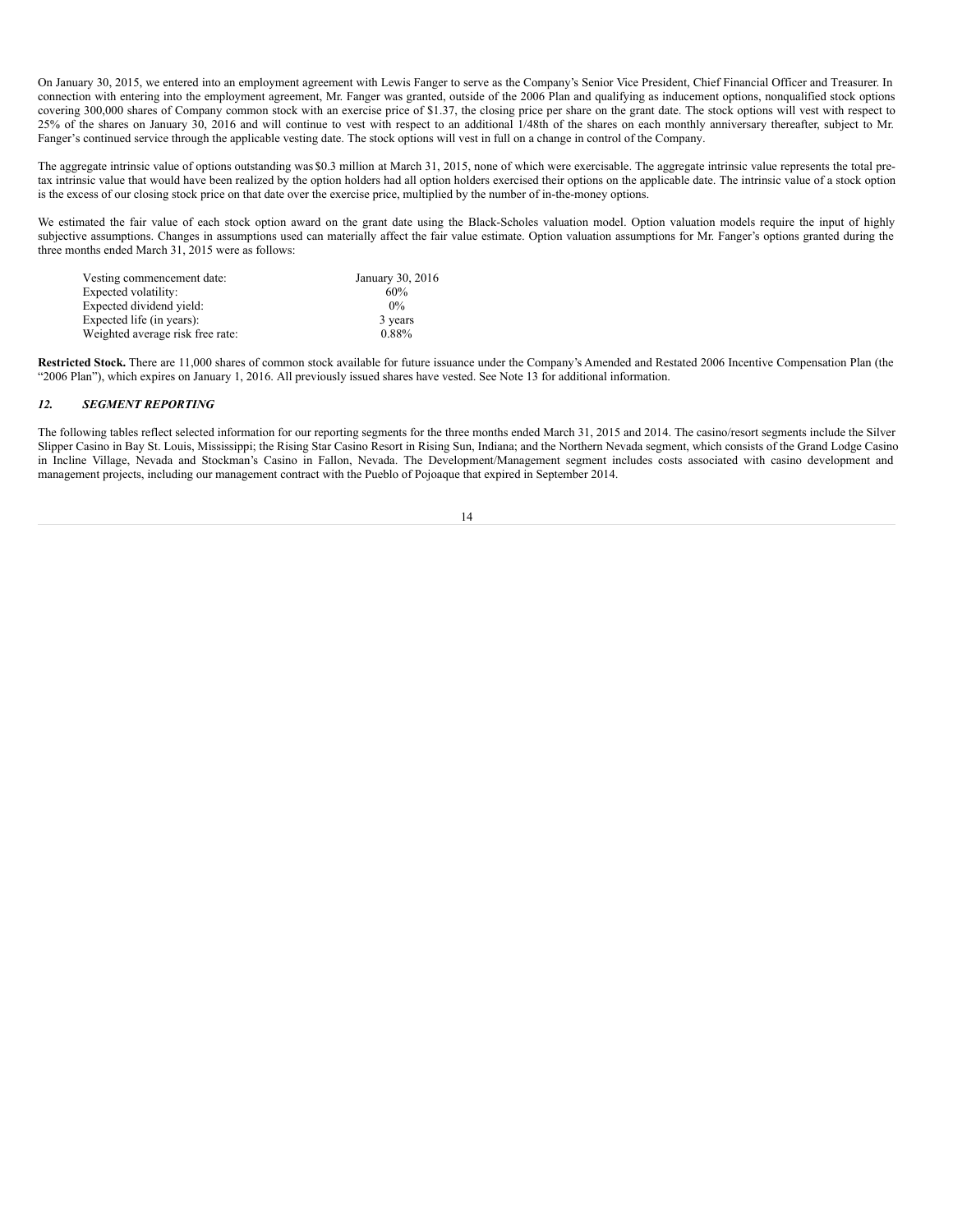On January 30, 2015, we entered into an employment agreement with Lewis Fanger to serve as the Company's Senior Vice President, Chief Financial Officer and Treasurer. In connection with entering into the employment agreement, Mr. Fanger was granted, outside of the 2006 Plan and qualifying as inducement options, nonqualified stock options covering 300,000 shares of Company common stock with an exercise price of \$1.37, the closing price per share on the grant date. The stock options will vest with respect to 25% of the shares on January 30, 2016 and will continue to vest with respect to an additional 1/48th of the shares on each monthly anniversary thereafter, subject to Mr. Fanger's continued service through the applicable vesting date. The stock options will vest in full on a change in control of the Company.

The aggregate intrinsic value of options outstanding was \$0.3 million at March 31, 2015, none of which were exercisable. The aggregate intrinsic value represents the total pretax intrinsic value that would have been realized by the option holders had all option holders exercised their options on the applicable date. The intrinsic value of a stock option is the excess of our closing stock price on that date over the exercise price, multiplied by the number of in-the-money options.

We estimated the fair value of each stock option award on the grant date using the Black-Scholes valuation model. Option valuation models require the input of highly subjective assumptions. Changes in assumptions used can materially affect the fair value estimate. Option valuation assumptions for Mr. Fanger's options granted during the three months ended March 31, 2015 were as follows:

| Vesting commencement date:       | January 30, 2016 |
|----------------------------------|------------------|
| Expected volatility:             | 60%              |
| Expected dividend yield:         | $0\%$            |
| Expected life (in years):        | 3 years          |
| Weighted average risk free rate: | $0.88\%$         |

**Restricted Stock.** There are 11,000 shares of common stock available for future issuance under the Company's Amended and Restated 2006 Incentive Compensation Plan (the "2006 Plan"), which expires on January 1, 2016. All previously issued shares have vested. See Note 13 for additional information.

# *12. SEGMENT REPORTING*

The following tables reflect selected information for our reporting segments for the three months ended March 31, 2015 and 2014. The casino/resort segments include the Silver Slipper Casino in Bay St. Louis, Mississippi; the Rising Star Casino Resort in Rising Sun, Indiana; and the Northern Nevada segment, which consists of the Grand Lodge Casino in Incline Village, Nevada and Stockman's Casino in Fallon, Nevada. The Development/Management segment includes costs associated with casino development and management projects, including our management contract with the Pueblo of Pojoaque that expired in September 2014.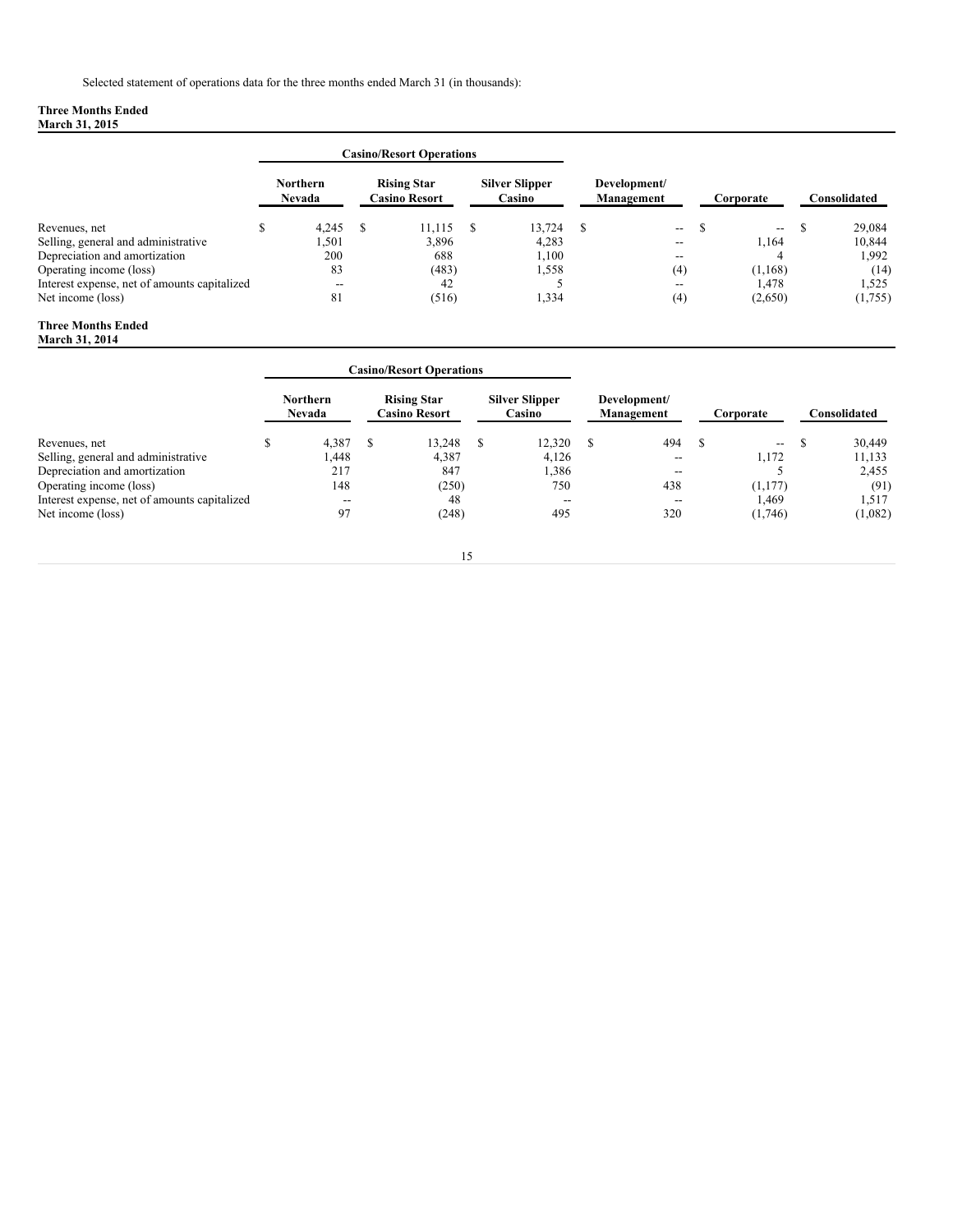#### **Three Months Ended March 31, 2015**

|                                              |                                  |   | <b>Casino/Resort Operations</b>            |   |                                 |                            |                  |           |                          |  |              |  |
|----------------------------------------------|----------------------------------|---|--------------------------------------------|---|---------------------------------|----------------------------|------------------|-----------|--------------------------|--|--------------|--|
|                                              | <b>Northern</b><br><b>Nevada</b> |   | <b>Rising Star</b><br><b>Casino Resort</b> |   | <b>Silver Slipper</b><br>Casino | Development/<br>Management |                  | Corporate |                          |  | Consolidated |  |
| Revenues, net                                | 4,245                            | S | 11.115                                     | S | 13.724                          | - \$                       | $--$             |           | $\overline{\phantom{a}}$ |  | 29,084       |  |
| Selling, general and administrative          | 501. ا                           |   | 3,896                                      |   | 4,283                           |                            | $- -$            |           | 1.164                    |  | 10.844       |  |
| Depreciation and amortization                | 200                              |   | 688                                        |   | 1,100                           |                            | --               |           |                          |  | 1,992        |  |
| Operating income (loss)                      | 83                               |   | (483)                                      |   | 1,558                           |                            | (4)              |           | (1,168)                  |  | (14)         |  |
| Interest expense, net of amounts capitalized | $\overline{\phantom{m}}$         |   | 42                                         |   |                                 |                            | $- -$            |           | 1.478                    |  | 1,525        |  |
| Net income (loss)                            | 81                               |   | (516)                                      |   | 1,334                           |                            | $\left(4\right)$ |           | (2,650)                  |  | (1,755)      |  |

#### **Three Months Ended March 31, 2014**

|                                              |   |                           | <b>Casino/Resort Operations</b> |                                            |    |                                 |                            |                   |           |                     |              |  |
|----------------------------------------------|---|---------------------------|---------------------------------|--------------------------------------------|----|---------------------------------|----------------------------|-------------------|-----------|---------------------|--------------|--|
|                                              |   | <b>Northern</b><br>Nevada |                                 | <b>Rising Star</b><br><b>Casino Resort</b> |    | <b>Silver Slipper</b><br>Casino | Development/<br>Management |                   | Corporate |                     | Consolidated |  |
| Revenues, net                                | D | 4,387                     | J.                              | 13.248                                     | -S | 12.320                          | S                          | 494               |           | $\hspace{0.05cm} -$ | 30,449       |  |
| Selling, general and administrative          |   | 1,448                     |                                 | 4,387                                      |    | 4,126                           |                            | $- -$             |           | 1.172               | 11,133       |  |
| Depreciation and amortization                |   | 217                       |                                 | 847                                        |    | 1,386                           |                            | $\hspace{0.05cm}$ |           |                     | 2,455        |  |
| Operating income (loss)                      |   | 148                       |                                 | (250)                                      |    | 750                             |                            | 438               |           | (1,177)             | (91)         |  |
| Interest expense, net of amounts capitalized |   | --                        |                                 | 48                                         |    | $\overline{\phantom{a}}$        |                            | $- -$             |           | 1.469               | 1,517        |  |
| Net income (loss)                            |   | 97                        |                                 | (248)                                      |    | 495                             |                            | 320               |           | (1,746)             | (1,082)      |  |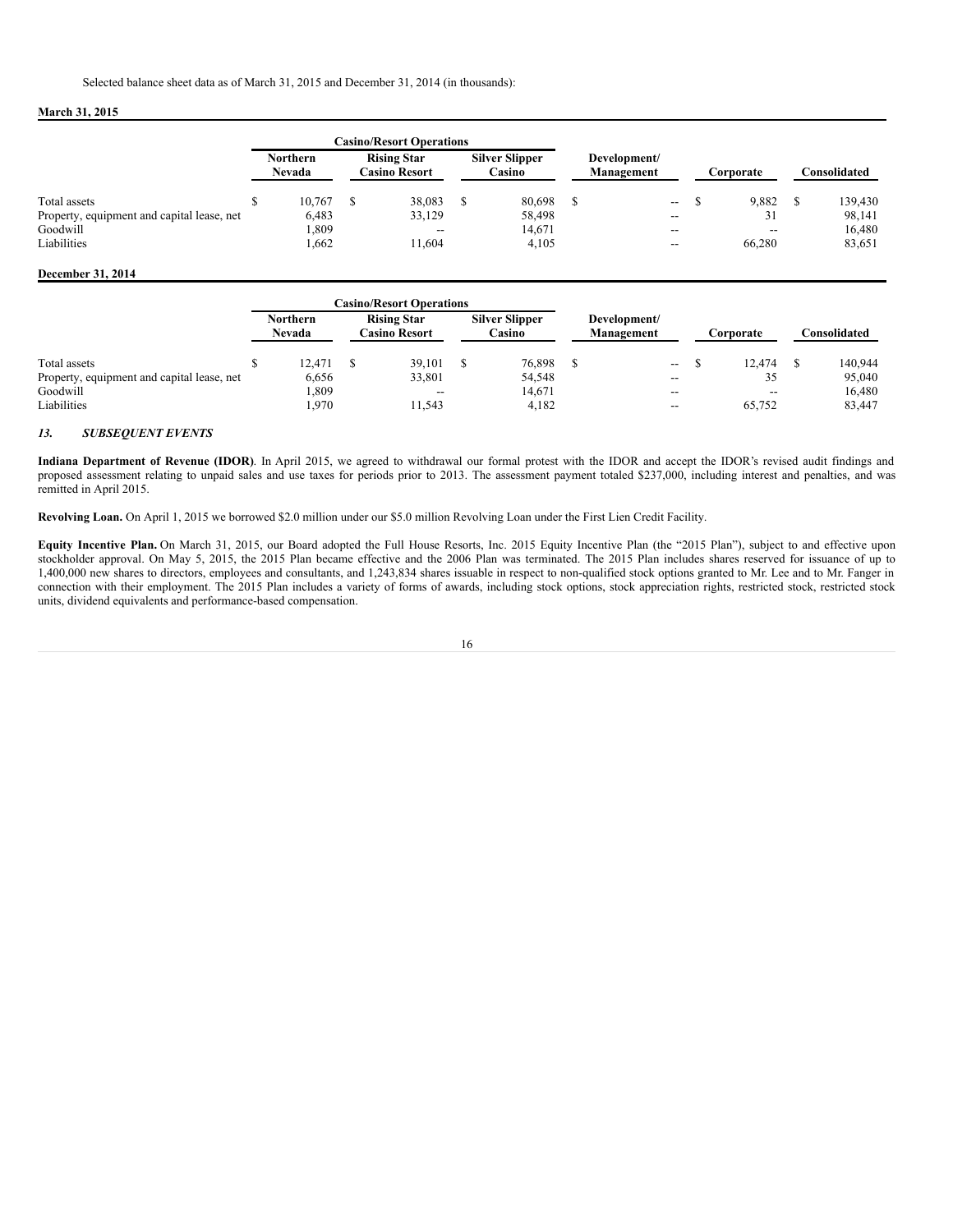# **March 31, 2015**

|                                            |                                                                                                                   |        | <b>Casino/Resort Operations</b>       |           |  |                          |        |  |         |
|--------------------------------------------|-------------------------------------------------------------------------------------------------------------------|--------|---------------------------------------|-----------|--|--------------------------|--------|--|---------|
|                                            | <b>Rising Star</b><br><b>Silver Slipper</b><br><b>Northern</b><br><b>Nevada</b><br>Casino<br><b>Casino Resort</b> |        | Development/<br>Management            | Corporate |  | Consolidated             |        |  |         |
| Total assets                               |                                                                                                                   | 10.767 | 38.083                                | 80.698    |  | $\overline{\phantom{a}}$ | 9,882  |  | 139,430 |
| Property, equipment and capital lease, net |                                                                                                                   | 6,483  | 33,129                                | 58,498    |  | $\overline{\phantom{m}}$ | 31     |  | 98.141  |
| Goodwill                                   |                                                                                                                   | .809   | $\hspace{0.05cm}$ – $\hspace{0.05cm}$ | 14.671    |  | $\overline{\phantom{m}}$ | $- -$  |  | 16.480  |
| Liabilities                                |                                                                                                                   | .662   | 11.604                                | 4,105     |  | $\overline{\phantom{m}}$ | 66.280 |  | 83,651  |

# **December 31, 2014**

|                                            |                                                                                                     |           | <b>Casino/Resort Operations</b>       |        |  |                          |              |        |  |         |
|--------------------------------------------|-----------------------------------------------------------------------------------------------------|-----------|---------------------------------------|--------|--|--------------------------|--------------|--------|--|---------|
|                                            | <b>Rising Star</b><br><b>Silver Slipper</b><br>Northern<br>Nevada<br>Casino<br><b>Casino Resort</b> |           | Development/<br>Management            |        |  | Corporate                | Consolidated |        |  |         |
| Total assets                               |                                                                                                     | 12,471 \$ | 39,101                                | 76.898 |  | $\overline{\phantom{a}}$ |              | 12.474 |  | 140,944 |
| Property, equipment and capital lease, net |                                                                                                     | 6,656     | 33,801                                | 54,548 |  | $\overline{\phantom{m}}$ |              | 35     |  | 95,040  |
| Goodwill                                   |                                                                                                     | .809      | $\hspace{0.05cm}$ – $\hspace{0.05cm}$ | 14.671 |  | $\overline{\phantom{m}}$ |              | --     |  | 16,480  |
| Liabilities                                |                                                                                                     | .970      | 11.543                                | 4,182  |  | $\overline{\phantom{m}}$ |              | 65.752 |  | 83,447  |

# *13. SUBSEQUENT EVENTS*

**Indiana Department of Revenue (IDOR)**. In April 2015, we agreed to withdrawal our formal protest with the IDOR and accept the IDOR's revised audit findings and proposed assessment relating to unpaid sales and use taxes for periods prior to 2013. The assessment payment totaled \$237,000, including interest and penalties, and was remitted in April 2015.

**Revolving Loan.** On April 1, 2015 we borrowed \$2.0 million under our \$5.0 million Revolving Loan under the First Lien Credit Facility.

**Equity Incentive Plan.** On March 31, 2015, our Board adopted the Full House Resorts, Inc. 2015 Equity Incentive Plan (the "2015 Plan"), subject to and effective upon stockholder approval. On May 5, 2015, the 2015 Plan became effective and the 2006 Plan was terminated. The 2015 Plan includes shares reserved for issuance of up to 1,400,000 new shares to directors, employees and consultants, and 1,243,834 shares issuable in respect to non-qualified stock options granted to Mr. Lee and to Mr. Fanger in connection with their employment. The 2015 Plan includes a variety of forms of awards, including stock options, stock appreciation rights, restricted stock, restricted stock units, dividend equivalents and performance-based compensation.

16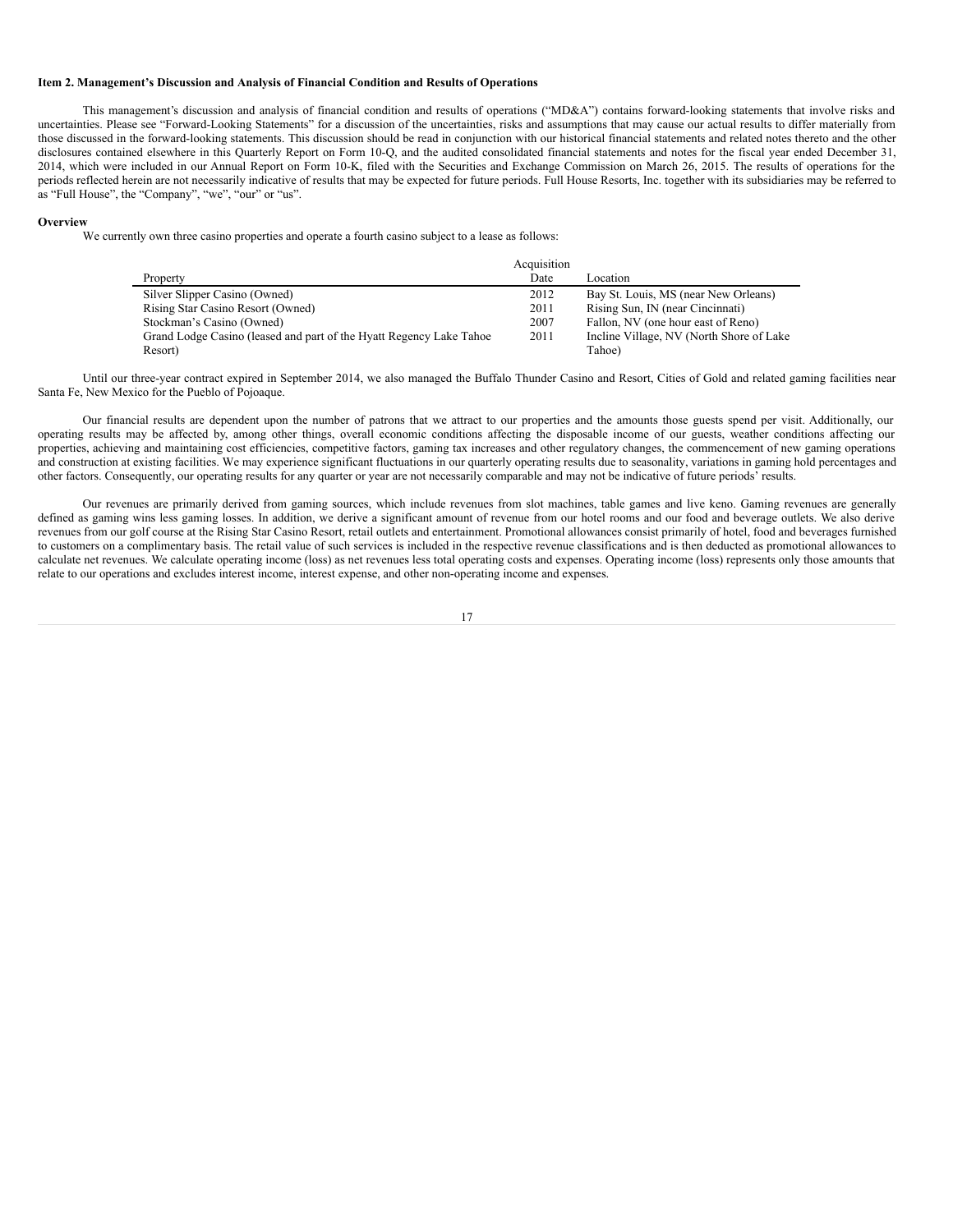#### **Item 2. Management's Discussion and Analysis of Financial Condition and Results of Operations**

This management's discussion and analysis of financial condition and results of operations ("MD&A") contains forward-looking statements that involve risks and uncertainties. Please see "Forward-Looking Statements" for a discussion of the uncertainties, risks and assumptions that may cause our actual results to differ materially from those discussed in the forward-looking statements. This discussion should be read in conjunction with our historical financial statements and related notes thereto and the other disclosures contained elsewhere in this Quarterly Report on Form 10-Q, and the audited consolidated financial statements and notes for the fiscal year ended December 31, 2014, which were included in our Annual Report on Form 10-K, filed with the Securities and Exchange Commission on March 26, 2015. The results of operations for the periods reflected herein are not necessarily indicative of results that may be expected for future periods. Full House Resorts, Inc. together with its subsidiaries may be referred to as "Full House", the "Company", "we", "our" or "us".

## **Overview**

We currently own three casino properties and operate a fourth casino subject to a lease as follows:

|                                                                      | Acquisition |                                           |
|----------------------------------------------------------------------|-------------|-------------------------------------------|
| Property                                                             | Date        | Location                                  |
| Silver Slipper Casino (Owned)                                        | 2012        | Bay St. Louis, MS (near New Orleans)      |
| Rising Star Casino Resort (Owned)                                    | 2011        | Rising Sun, IN (near Cincinnati)          |
| Stockman's Casino (Owned)                                            | 2007        | Fallon, NV (one hour east of Reno)        |
| Grand Lodge Casino (leased and part of the Hyatt Regency Lake Tahoe) | 2011        | Incline Village, NV (North Shore of Lake) |
| Resort)                                                              |             | Tahoe)                                    |

Until our three-year contract expired in September 2014, we also managed the Buffalo Thunder Casino and Resort, Cities of Gold and related gaming facilities near Santa Fe, New Mexico for the Pueblo of Pojoaque.

Our financial results are dependent upon the number of patrons that we attract to our properties and the amounts those guests spend per visit. Additionally, our operating results may be affected by, among other things, overall economic conditions affecting the disposable income of our guests, weather conditions affecting our properties, achieving and maintaining cost efficiencies, competitive factors, gaming tax increases and other regulatory changes, the commencement of new gaming operations and construction at existing facilities. We may experience significant fluctuations in our quarterly operating results due to seasonality, variations in gaming hold percentages and other factors. Consequently, our operating results for any quarter or year are not necessarily comparable and may not be indicative of future periods' results.

Our revenues are primarily derived from gaming sources, which include revenues from slot machines, table games and live keno. Gaming revenues are generally defined as gaming wins less gaming losses. In addition, we derive a significant amount of revenue from our hotel rooms and our food and beverage outlets. We also derive revenues from our golf course at the Rising Star Casino Resort, retail outlets and entertainment. Promotional allowances consist primarily of hotel, food and beverages furnished to customers on a complimentary basis. The retail value of such services is included in the respective revenue classifications and is then deducted as promotional allowances to calculate net revenues. We calculate operating income (loss) as net revenues less total operating costs and expenses. Operating income (loss) represents only those amounts that relate to our operations and excludes interest income, interest expense, and other non-operating income and expenses.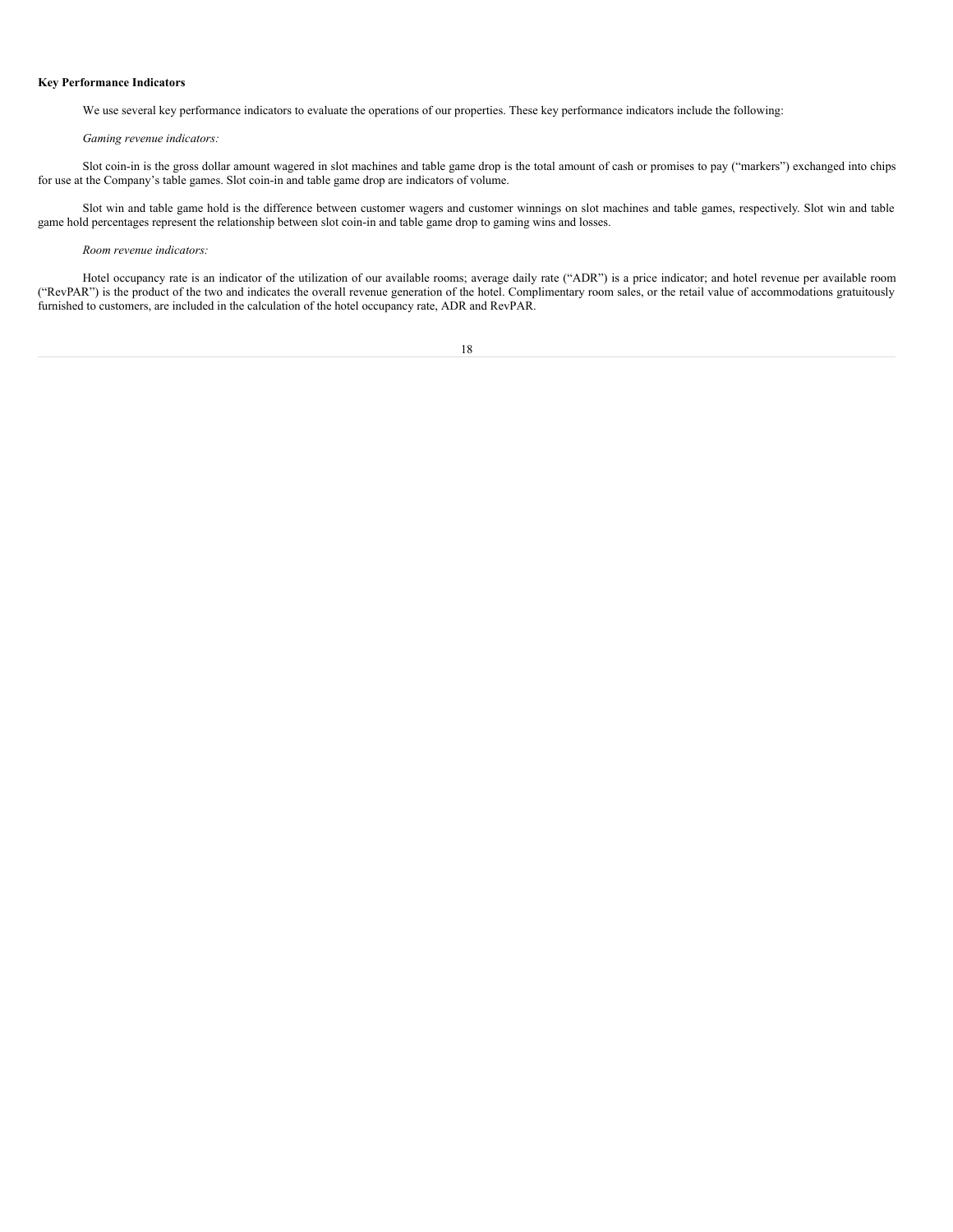#### **Key Performance Indicators**

We use several key performance indicators to evaluate the operations of our properties. These key performance indicators include the following:

#### *Gaming revenue indicators:*

Slot coin-in is the gross dollar amount wagered in slot machines and table game drop is the total amount of cash or promises to pay ("markers") exchanged into chips for use at the Company's table games. Slot coin-in and table game drop are indicators of volume.

Slot win and table game hold is the difference between customer wagers and customer winnings on slot machines and table games, respectively. Slot win and table game hold percentages represent the relationship between slot coin-in and table game drop to gaming wins and losses.

# *Room revenue indicators:*

Hotel occupancy rate is an indicator of the utilization of our available rooms; average daily rate ("ADR") is a price indicator; and hotel revenue per available room ("RevPAR") is the product of the two and indicates the overall revenue generation of the hotel. Complimentary room sales, or the retail value of accommodations gratuitously furnished to customers, are included in the calculation of the hotel occupancy rate, ADR and RevPAR.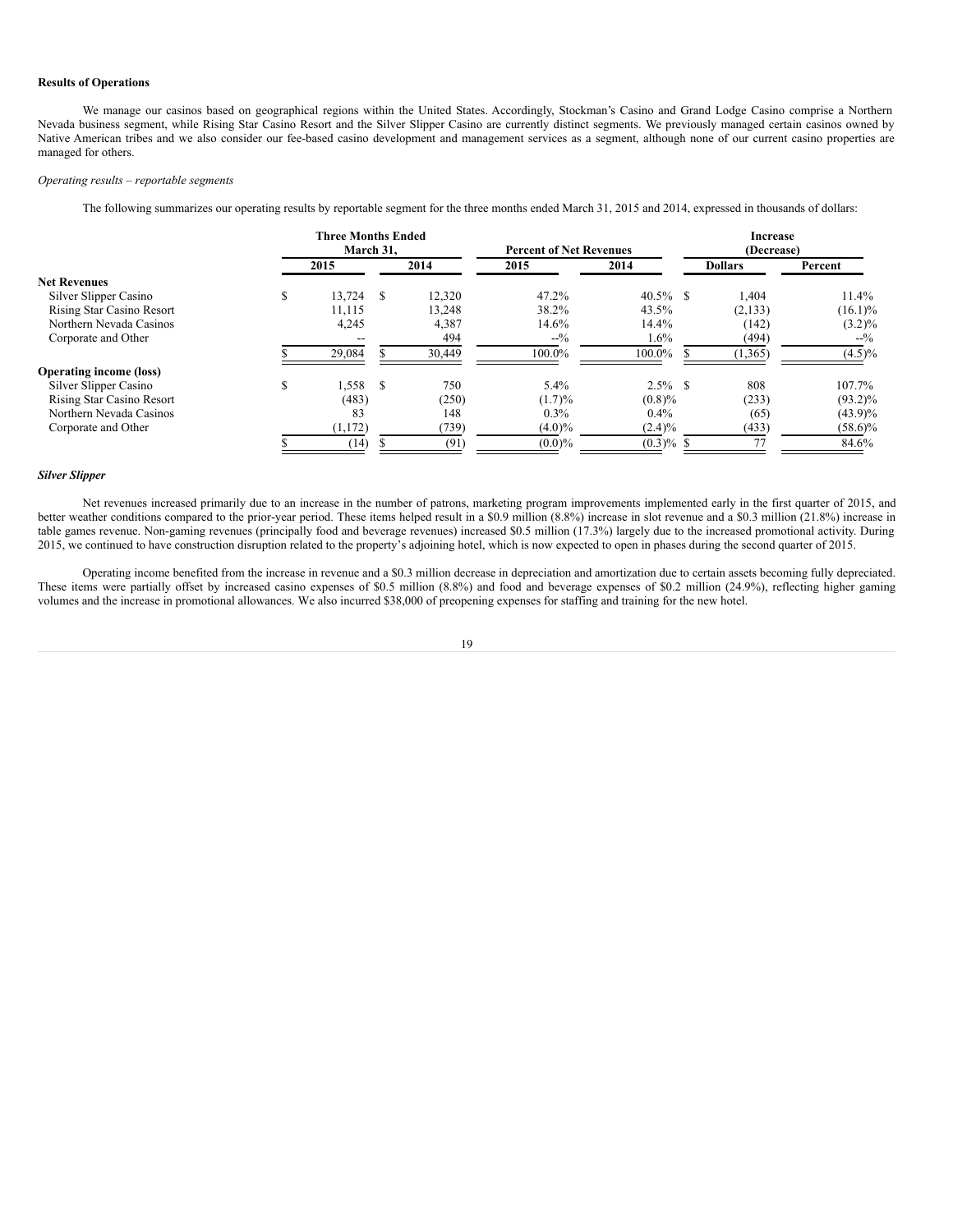#### **Results of Operations**

We manage our casinos based on geographical regions within the United States. Accordingly, Stockman's Casino and Grand Lodge Casino comprise a Northern Nevada business segment, while Rising Star Casino Resort and the Silver Slipper Casino are currently distinct segments. We previously managed certain casinos owned by Native American tribes and we also consider our fee-based casino development and management services as a segment, although none of our current casino properties are managed for others.

#### *Operating results – reportable segments*

The following summarizes our operating results by reportable segment for the three months ended March 31, 2015 and 2014, expressed in thousands of dollars:

|                                  |      | <b>Three Months Ended</b><br>March 31. |      |        | <b>Percent of Net Revenues</b> |              |  | <b>Increase</b><br>(Decrease) |            |  |  |
|----------------------------------|------|----------------------------------------|------|--------|--------------------------------|--------------|--|-------------------------------|------------|--|--|
|                                  | 2015 |                                        | 2014 |        | 2015                           | 2014         |  | <b>Dollars</b>                | Percent    |  |  |
| <b>Net Revenues</b>              |      |                                        |      |        |                                |              |  |                               |            |  |  |
| Silver Slipper Casino            | \$   | 13.724                                 | -S   | 12,320 | 47.2%                          | $40.5\%$ \$  |  | 1.404                         | $11.4\%$   |  |  |
| <b>Rising Star Casino Resort</b> |      | 11.115                                 |      | 13.248 | 38.2%                          | 43.5%        |  | (2, 133)                      | $(16.1)\%$ |  |  |
| Northern Nevada Casinos          |      | 4,245                                  |      | 4,387  | 14.6%                          | 14.4%        |  | (142)                         | $(3.2)\%$  |  |  |
| Corporate and Other              |      | $\overline{\phantom{m}}$               |      | 494    | $-2/6$                         | $1.6\%$      |  | (494)                         | $-2/6$     |  |  |
|                                  |      | 29,084                                 |      | 30,449 | 100.0%                         | 100.0%       |  | (1, 365)                      | $(4.5)\%$  |  |  |
| <b>Operating income (loss)</b>   |      |                                        |      |        |                                |              |  |                               |            |  |  |
| Silver Slipper Casino            | \$   | 1,558                                  | - \$ | 750    | 5.4%                           | $2.5\%$ \$   |  | 808                           | 107.7%     |  |  |
| <b>Rising Star Casino Resort</b> |      | (483)                                  |      | (250)  | (1.7)%                         | $(0.8)\%$    |  | (233)                         | $(93.2)\%$ |  |  |
| Northern Nevada Casinos          |      | 83                                     |      | 148    | $0.3\%$                        | $0.4\%$      |  | (65)                          | $(43.9)\%$ |  |  |
| Corporate and Other              |      | (1,172)                                |      | (739)  | $(4.0)\%$                      | $(2.4)\%$    |  | (433)                         | $(58.6)\%$ |  |  |
|                                  |      | (14)                                   |      | (91)   | $(0.0)\%$                      | $(0.3)\%$ \$ |  | 77                            | 84.6%      |  |  |

#### *Silver Slipper*

Net revenues increased primarily due to an increase in the number of patrons, marketing program improvements implemented early in the first quarter of 2015, and better weather conditions compared to the prior-year period. These items helped result in a \$0.9 million (8.8%) increase in slot revenue and a \$0.3 million (21.8%) increase in table games revenue. Non-gaming revenues (principally food and beverage revenues) increased \$0.5 million (17.3%) largely due to the increased promotional activity. During 2015, we continued to have construction disruption related to the property's adjoining hotel, which is now expected to open in phases during the second quarter of 2015.

Operating income benefited from the increase in revenue and a \$0.3 million decrease in depreciation and amortization due to certain assets becoming fully depreciated. These items were partially offset by increased casino expenses of \$0.5 million (8.8%) and food and beverage expenses of \$0.2 million (24.9%), reflecting higher gaming volumes and the increase in promotional allowances. We also incurred \$38,000 of preopening expenses for staffing and training for the new hotel.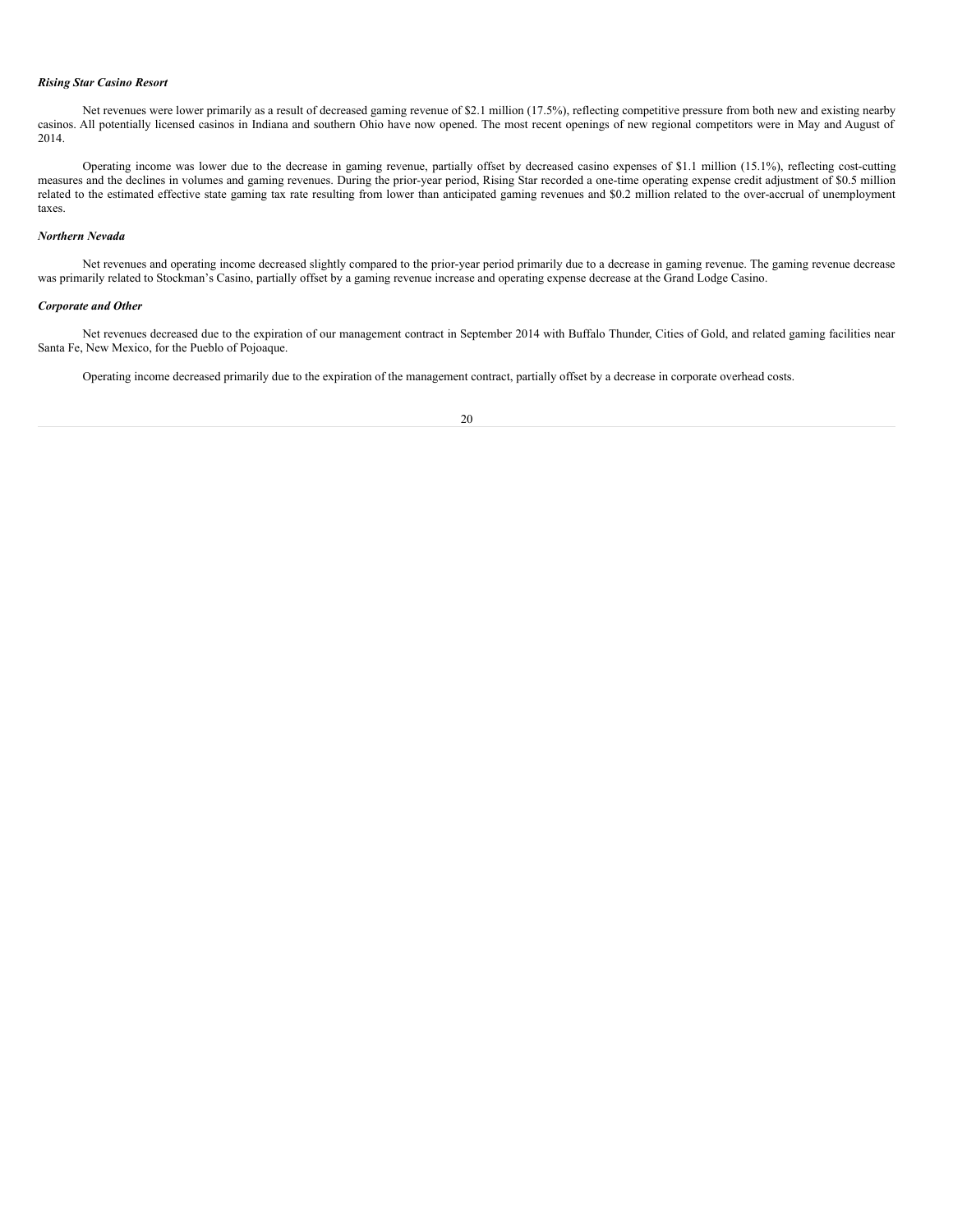#### *Rising Star Casino Resort*

Net revenues were lower primarily as a result of decreased gaming revenue of \$2.1 million (17.5%), reflecting competitive pressure from both new and existing nearby casinos. All potentially licensed casinos in Indiana and southern Ohio have now opened. The most recent openings of new regional competitors were in May and August of 2014.

Operating income was lower due to the decrease in gaming revenue, partially offset by decreased casino expenses of \$1.1 million (15.1%), reflecting cost-cutting measures and the declines in volumes and gaming revenues. During the prior-year period, Rising Star recorded a one-time operating expense credit adjustment of \$0.5 million related to the estimated effective state gaming tax rate resulting from lower than anticipated gaming revenues and \$0.2 million related to the over-accrual of unemployment taxes.

## *Northern Nevada*

Net revenues and operating income decreased slightly compared to the prior-year period primarily due to a decrease in gaming revenue. The gaming revenue decrease was primarily related to Stockman's Casino, partially offset by a gaming revenue increase and operating expense decrease at the Grand Lodge Casino.

# *Corporate and Other*

Net revenues decreased due to the expiration of our management contract in September 2014 with Buffalo Thunder, Cities of Gold, and related gaming facilities near Santa Fe, New Mexico, for the Pueblo of Pojoaque.

Operating income decreased primarily due to the expiration of the management contract, partially offset by a decrease in corporate overhead costs.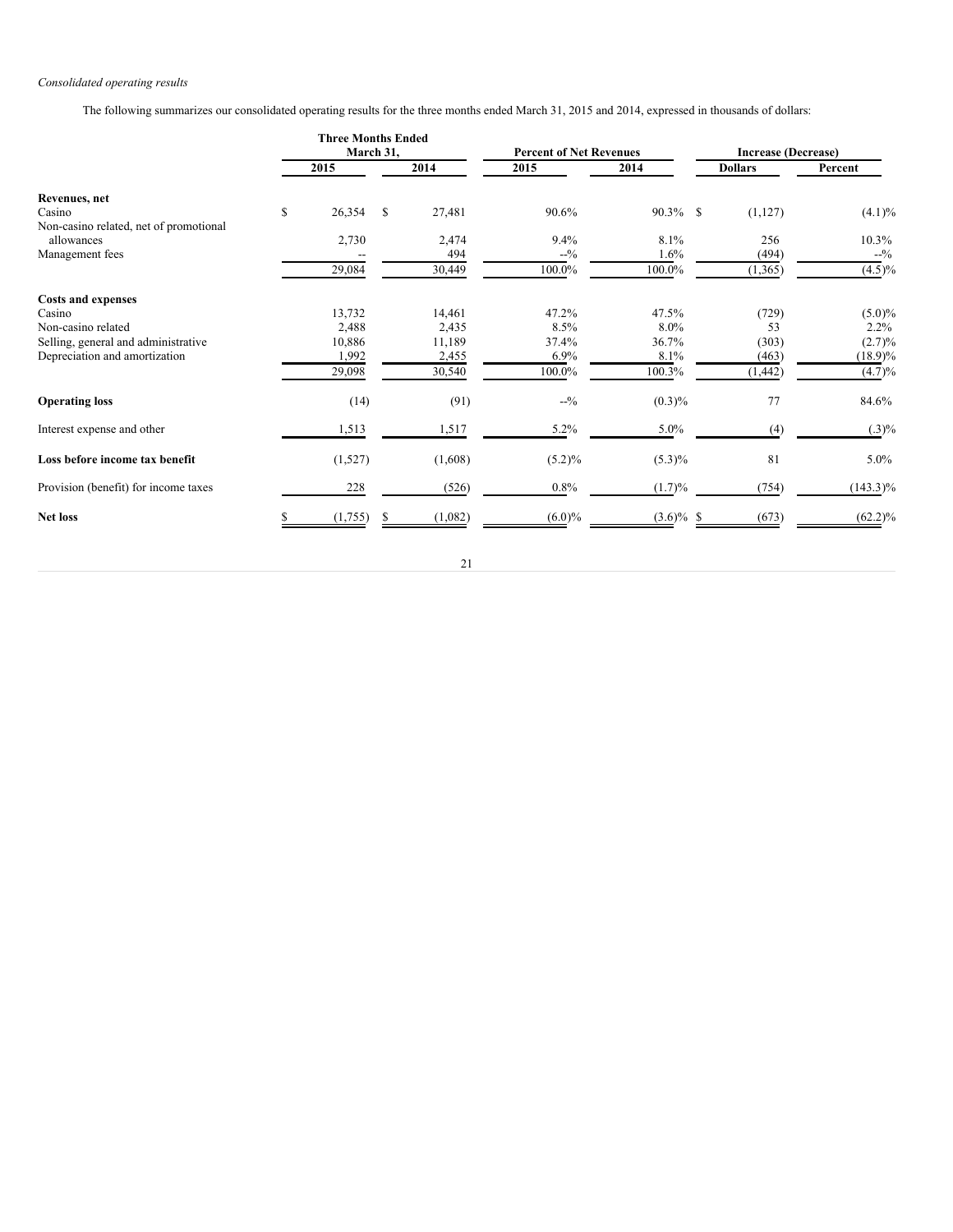# *Consolidated operating results*

The following summarizes our consolidated operating results for the three months ended March 31, 2015 and 2014, expressed in thousands of dollars:

|                                        | <b>Three Months Ended</b><br>March 31, |         | <b>Percent of Net Revenues</b> |              | <b>Increase (Decrease)</b> |             |  |  |
|----------------------------------------|----------------------------------------|---------|--------------------------------|--------------|----------------------------|-------------|--|--|
|                                        | 2015                                   | 2014    | 2015                           | 2014         | <b>Dollars</b>             | Percent     |  |  |
| Revenues, net                          |                                        |         |                                |              |                            |             |  |  |
| Casino                                 | \$<br>26,354<br>S                      | 27,481  | 90.6%                          | $90.3\%$ \$  | (1,127)                    | $(4.1)\%$   |  |  |
| Non-casino related, net of promotional |                                        |         |                                |              |                            |             |  |  |
| allowances                             | 2,730                                  | 2,474   | 9.4%                           | 8.1%         | 256                        | $10.3\%$    |  |  |
| Management fees                        |                                        | 494     | $-2/6$                         | 1.6%         | (494)                      | $-2/6$      |  |  |
|                                        | 29,084                                 | 30,449  | 100.0%                         | 100.0%       | (1,365)                    | $(4.5)\%$   |  |  |
| <b>Costs and expenses</b>              |                                        |         |                                |              |                            |             |  |  |
| Casino                                 | 13,732                                 | 14,461  | 47.2%                          | 47.5%        | (729)                      | $(5.0)\%$   |  |  |
| Non-casino related                     | 2,488                                  | 2,435   | 8.5%                           | $8.0\%$      | 53                         | $2.2\%$     |  |  |
| Selling, general and administrative    | 10,886                                 | 11,189  | 37.4%                          | 36.7%        | (303)                      | (2.7)%      |  |  |
| Depreciation and amortization          | 1,992                                  | 2,455   | 6.9%                           | 8.1%         | (463)                      | $(18.9)\%$  |  |  |
|                                        | 29,098                                 | 30,540  | 100.0%                         | 100.3%       | (1, 442)                   | $(4.7)\%$   |  |  |
| <b>Operating loss</b>                  | (14)                                   | (91)    | $-2/0$                         | $(0.3)\%$    | 77                         | 84.6%       |  |  |
| Interest expense and other             | 1,513                                  | 1,517   | $5.2\%$                        | 5.0%         | (4)                        | $(.3)\%$    |  |  |
| Loss before income tax benefit         | (1,527)                                | (1,608) | $(5.2)\%$                      | $(5.3)\%$    | 81                         | $5.0\%$     |  |  |
| Provision (benefit) for income taxes   | 228                                    | (526)   | $0.8\%$                        | $(1.7)\%$    | (754)                      | $(143.3)\%$ |  |  |
| <b>Net loss</b>                        | (1,755)<br>S                           | (1,082) | $(6.0)\%$                      | $(3.6)\%$ \$ | (673)                      | $(62.2)\%$  |  |  |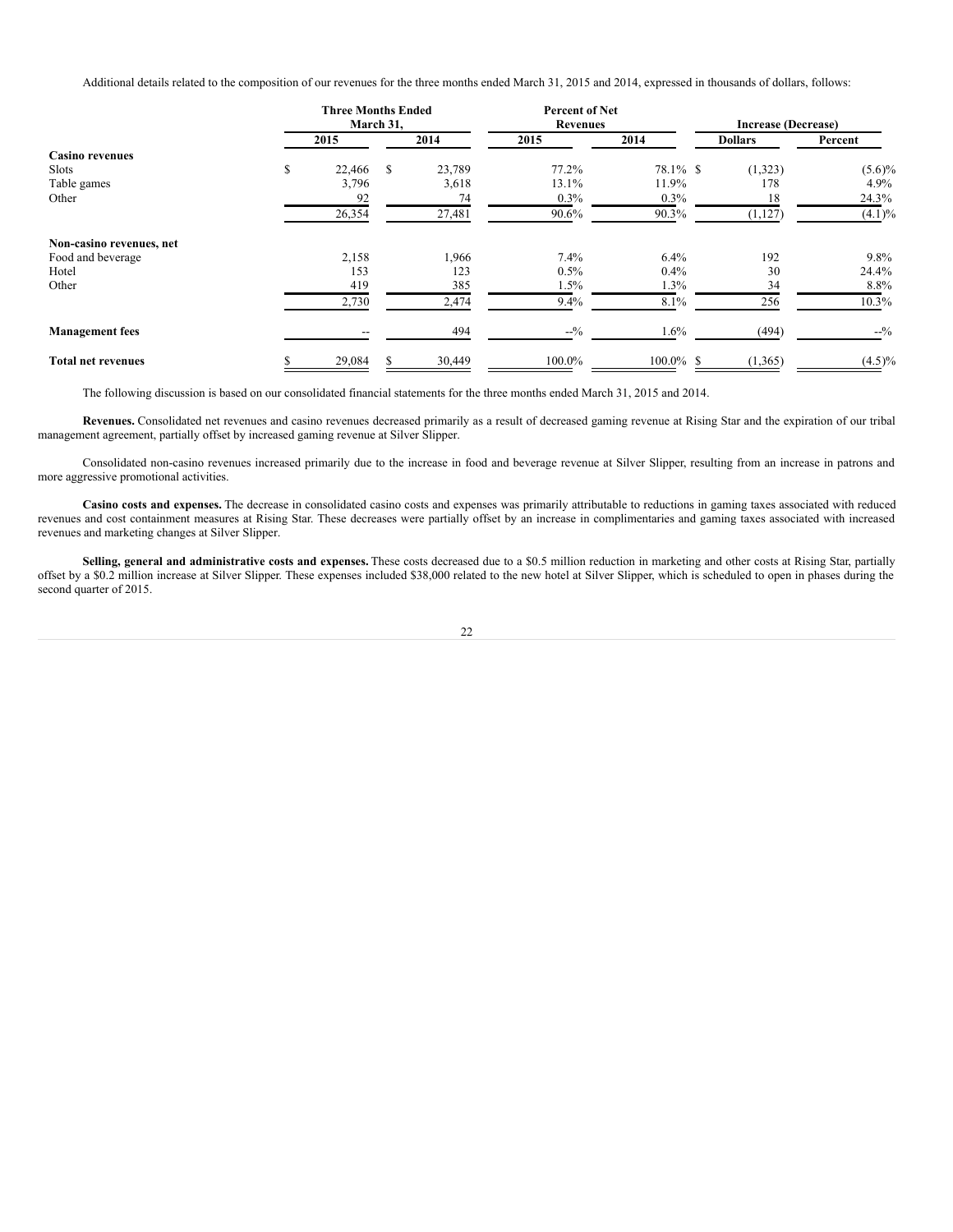Additional details related to the composition of our revenues for the three months ended March 31, 2015 and 2014, expressed in thousands of dollars, follows:

|                           | <b>Three Months Ended</b> | March 31,     |        | <b>Percent of Net</b><br><b>Revenues</b> |              | <b>Increase (Decrease)</b> |           |  |  |
|---------------------------|---------------------------|---------------|--------|------------------------------------------|--------------|----------------------------|-----------|--|--|
|                           | 2015                      |               | 2014   | 2015                                     | 2014         | <b>Dollars</b>             | Percent   |  |  |
| <b>Casino revenues</b>    |                           |               |        |                                          |              |                            |           |  |  |
| Slots                     | \$<br>22,466              | <sup>\$</sup> | 23,789 | 77.2%                                    | 78.1% \$     | (1,323)                    | $(5.6)\%$ |  |  |
| Table games               | 3,796                     |               | 3,618  | 13.1%                                    | 11.9%        | 178                        | 4.9%      |  |  |
| Other                     | 92                        |               | 74     | 0.3%                                     | $0.3\%$      | 18                         | 24.3%     |  |  |
|                           | 26,354                    |               | 27,481 | 90.6%                                    | 90.3%        | (1,127)                    | $(4.1)\%$ |  |  |
| Non-casino revenues, net  |                           |               |        |                                          |              |                            |           |  |  |
| Food and beverage         | 2,158                     |               | 1,966  | 7.4%                                     | 6.4%         | 192                        | 9.8%      |  |  |
| Hotel                     | 153                       |               | 123    | 0.5%                                     | 0.4%         | 30                         | 24.4%     |  |  |
| Other                     | 419                       |               | 385    | 1.5%                                     | $1.3\%$      | 34                         | 8.8%      |  |  |
|                           | 2,730                     |               | 2,474  | 9.4%                                     | 8.1%         | 256                        | $10.3\%$  |  |  |
| <b>Management</b> fees    |                           |               | 494    | $-2/6$                                   | 1.6%         | (494)                      | $-2/6$    |  |  |
| <b>Total net revenues</b> | 29,084                    | \$.           | 30,449 | 100.0%                                   | $100.0\%$ \$ | (1,365)                    | $(4.5)\%$ |  |  |

The following discussion is based on our consolidated financial statements for the three months ended March 31, 2015 and 2014.

**Revenues.** Consolidated net revenues and casino revenues decreased primarily as a result of decreased gaming revenue at Rising Star and the expiration of our tribal management agreement, partially offset by increased gaming revenue at Silver Slipper.

Consolidated non-casino revenues increased primarily due to the increase in food and beverage revenue at Silver Slipper, resulting from an increase in patrons and more aggressive promotional activities.

**Casino costs and expenses.** The decrease in consolidated casino costs and expenses was primarily attributable to reductions in gaming taxes associated with reduced revenues and cost containment measures at Rising Star. These decreases were partially offset by an increase in complimentaries and gaming taxes associated with increased revenues and marketing changes at Silver Slipper.

**Selling, general and administrative costs and expenses.** These costs decreased due to a \$0.5 million reduction in marketing and other costs at Rising Star, partially offset by a \$0.2 million increase at Silver Slipper. These expenses included \$38,000 related to the new hotel at Silver Slipper, which is scheduled to open in phases during the second quarter of 2015.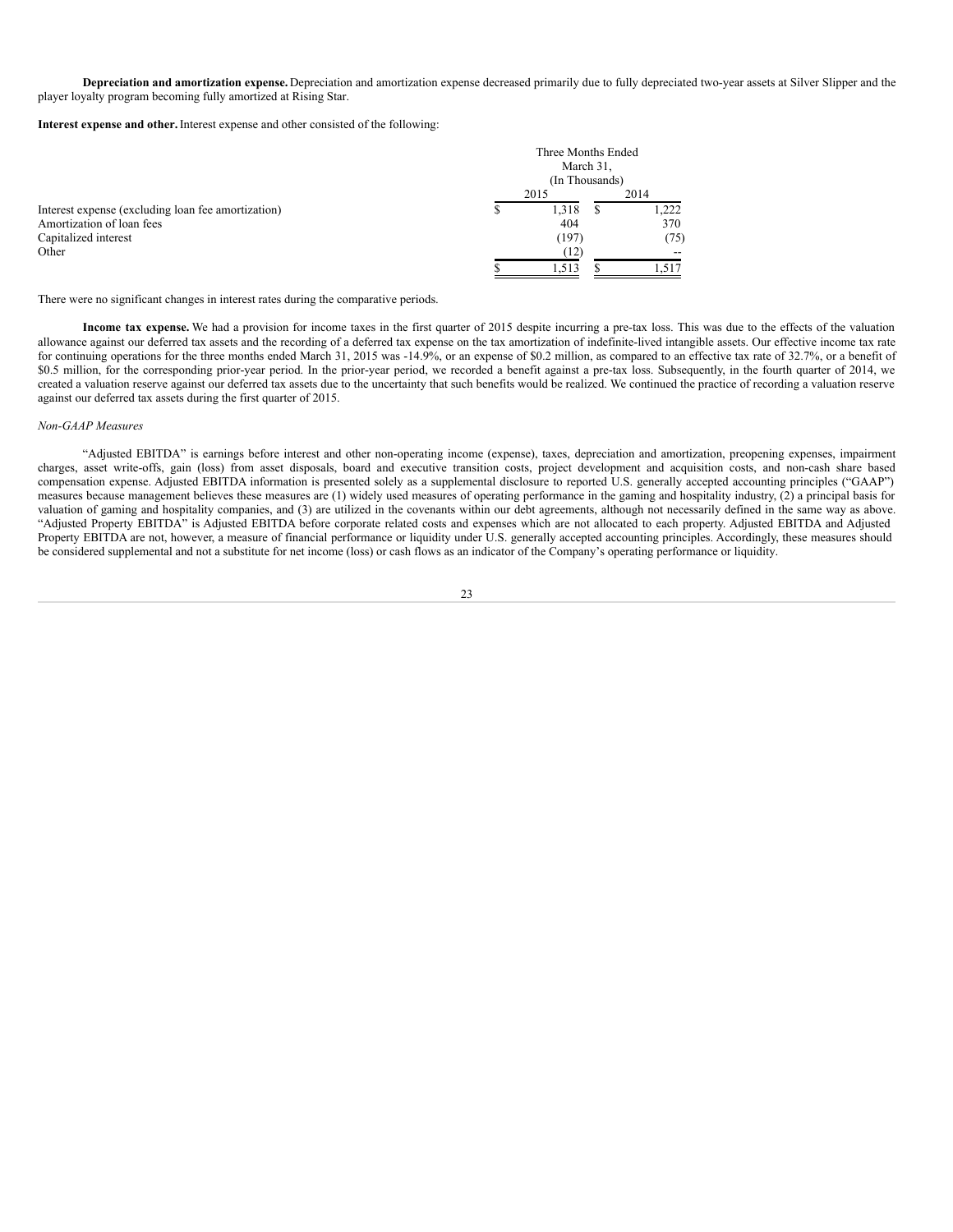**Depreciation and amortization expense.** Depreciation and amortization expense decreased primarily due to fully depreciated two-year assets at Silver Slipper and the player loyalty program becoming fully amortized at Rising Star.

**Interest expense and other.**Interest expense and other consisted of the following:

|                                                    |      | Three Months Ended<br>March 31,<br>(In Thousands) |       |
|----------------------------------------------------|------|---------------------------------------------------|-------|
|                                                    | 2015 |                                                   | 2014  |
| Interest expense (excluding loan fee amortization) |      | 1,318                                             | 1.222 |
| Amortization of loan fees                          |      | 404                                               | 370   |
| Capitalized interest                               |      | (197)                                             | (75)  |
| Other                                              |      | (12)                                              |       |
|                                                    |      | 1.513                                             | 1.517 |

There were no significant changes in interest rates during the comparative periods.

**Income tax expense.** We had a provision for income taxes in the first quarter of 2015 despite incurring a pre-tax loss. This was due to the effects of the valuation allowance against our deferred tax assets and the recording of a deferred tax expense on the tax amortization of indefinite-lived intangible assets. Our effective income tax rate for continuing operations for the three months ended March 31, 2015 was -14.9%, or an expense of \$0.2 million, as compared to an effective tax rate of 32.7%, or a benefit of \$0.5 million, for the corresponding prior-year period. In the prior-year period, we recorded a benefit against a pre-tax loss. Subsequently, in the fourth quarter of 2014, we created a valuation reserve against our deferred tax assets due to the uncertainty that such benefits would be realized. We continued the practice of recording a valuation reserve against our deferred tax assets during the first quarter of 2015.

#### *Non-GAAP Measures*

"Adjusted EBITDA" is earnings before interest and other non-operating income (expense), taxes, depreciation and amortization, preopening expenses, impairment charges, asset write-offs, gain (loss) from asset disposals, board and executive transition costs, project development and acquisition costs, and non-cash share based compensation expense. Adjusted EBITDA information is presented solely as a supplemental disclosure to reported U.S. generally accepted accounting principles ("GAAP") measures because management believes these measures are (1) widely used measures of operating performance in the gaming and hospitality industry, (2) a principal basis for valuation of gaming and hospitality companies, and (3) are utilized in the covenants within our debt agreements, although not necessarily defined in the same way as above. "Adjusted Property EBITDA" is Adjusted EBITDA before corporate related costs and expenses which are not allocated to each property. Adjusted EBITDA and Adjusted Property EBITDA are not, however, a measure of financial performance or liquidity under U.S. generally accepted accounting principles. Accordingly, these measures should be considered supplemental and not a substitute for net income (loss) or cash flows as an indicator of the Company's operating performance or liquidity.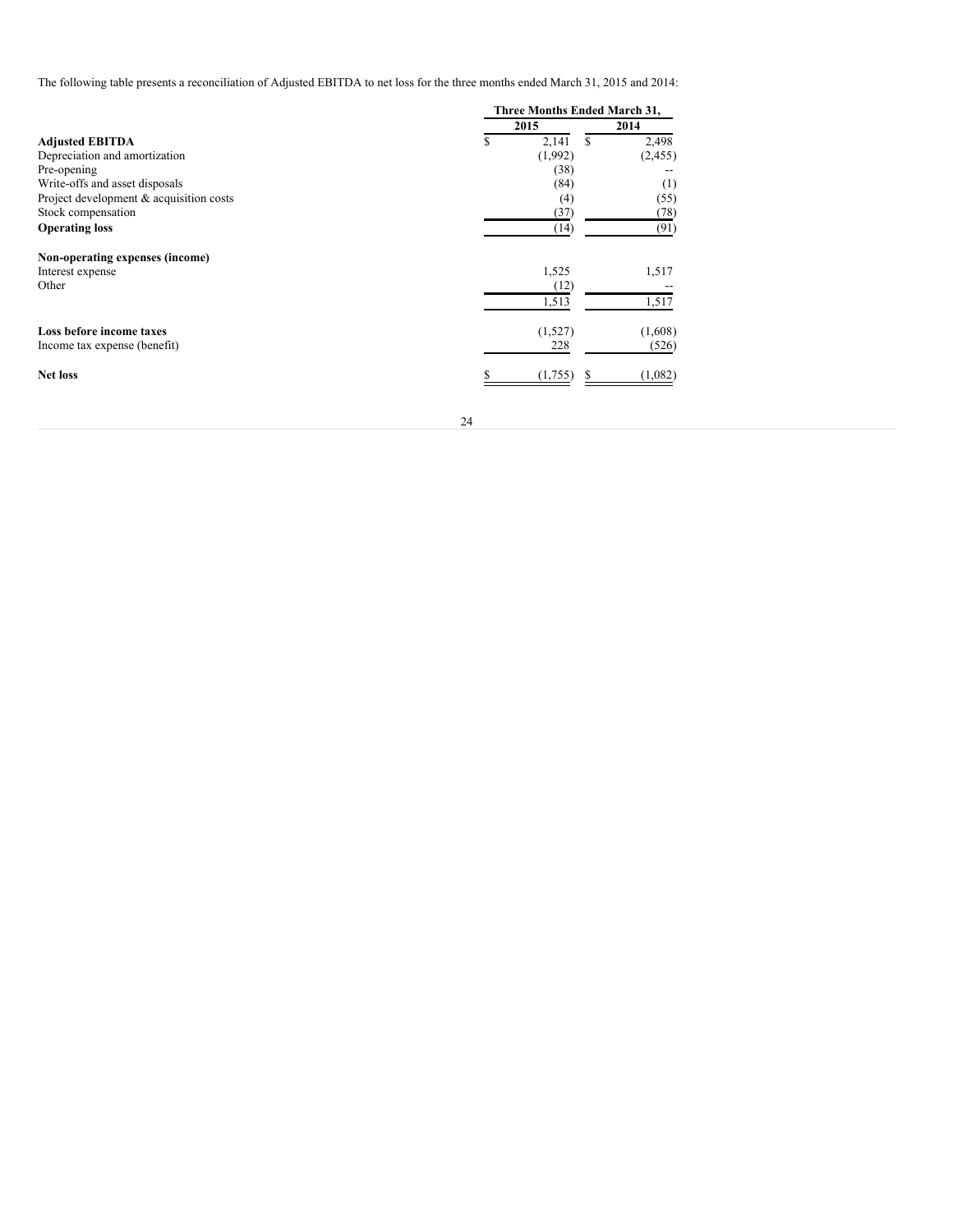The following table presents a reconciliation of Adjusted EBITDA to net loss for the three months ended March 31, 2015 and 2014:

|                                         |    | Three Months Ended March 31, |      |          |
|-----------------------------------------|----|------------------------------|------|----------|
|                                         |    | 2015                         | 2014 |          |
| <b>Adjusted EBITDA</b>                  | \$ | 2,141                        | S    | 2,498    |
| Depreciation and amortization           |    | (1,992)                      |      | (2, 455) |
| Pre-opening                             |    | (38)                         |      |          |
| Write-offs and asset disposals          |    | (84)                         |      | (1)      |
| Project development & acquisition costs |    | (4)                          |      | (55)     |
| Stock compensation                      |    | (37)                         |      | (78)     |
| <b>Operating loss</b>                   |    | (14)                         |      | (91)     |
| Non-operating expenses (income)         |    |                              |      |          |
| Interest expense                        |    | 1,525                        |      | 1,517    |
| Other                                   |    | (12)                         |      |          |
|                                         |    | 1,513                        |      | 1,517    |
| Loss before income taxes                |    | (1,527)                      |      | (1,608)  |
| Income tax expense (benefit)            |    | 228                          |      | (526)    |
| <b>Net loss</b>                         |    | (1,755)                      |      | (1,082)  |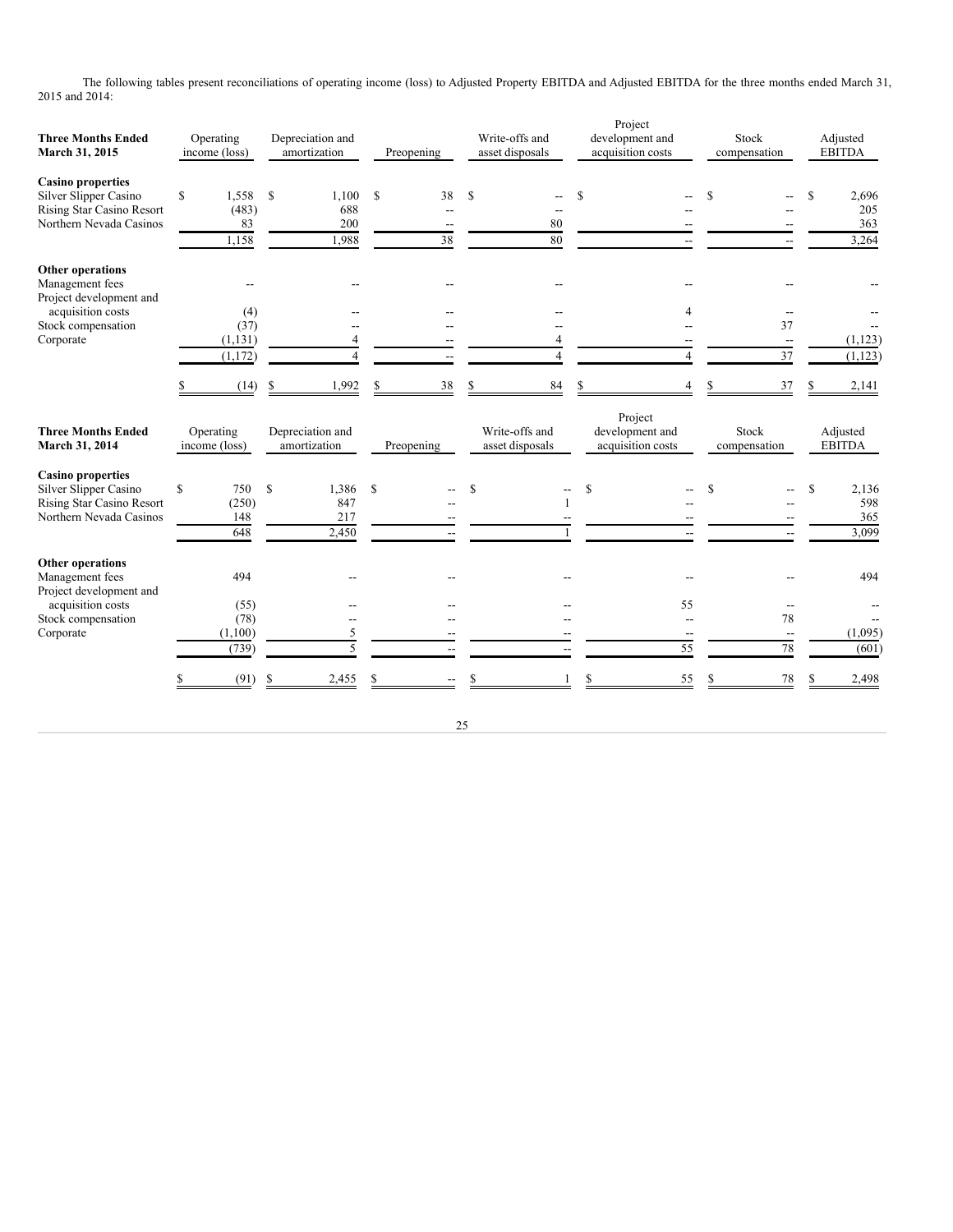The following tables present reconciliations of operating income (loss) to Adjusted Property EBITDA and Adjusted EBITDA for the three months ended March 31, 2015 and 2014:

| <b>Three Months Ended</b><br>March 31, 2015                                                                                   | Operating<br>income (loss)                    | Depreciation and<br>amortization                | Preopening             | Write-offs and<br>asset disposals       | Project<br>development and<br>acquisition costs             | Stock<br>compensation                                            | Adjusted<br><b>EBITDA</b>          |
|-------------------------------------------------------------------------------------------------------------------------------|-----------------------------------------------|-------------------------------------------------|------------------------|-----------------------------------------|-------------------------------------------------------------|------------------------------------------------------------------|------------------------------------|
| <b>Casino properties</b><br><b>Silver Slipper Casino</b><br>Rising Star Casino Resort<br>Northern Nevada Casinos              | $\mathbb{S}$<br>1,558<br>(483)<br>83<br>1,158 | S<br>1,100<br>688<br>200<br>1,988               | \$<br>38<br>38         | $\mathcal{S}$<br>80<br>80               | S                                                           | S                                                                | 2,696<br>\$<br>205<br>363<br>3,264 |
| <b>Other operations</b><br>Management fees<br>Project development and<br>acquisition costs<br>Stock compensation<br>Corporate | (4)<br>(37)<br>(1, 131)<br>(1, 172)           |                                                 |                        |                                         | 4                                                           | 37<br>$\overline{\phantom{a}}$<br>37                             | (1, 123)<br>(1, 123)               |
| <b>Three Months Ended</b><br>March 31, 2014                                                                                   | (14)<br>Operating<br>income (loss)            | 1,992<br>-S<br>Depreciation and<br>amortization | 38<br>\$<br>Preopening | 84<br>Write-offs and<br>asset disposals | $\Delta$<br>Project<br>development and<br>acquisition costs | 37<br>Stock<br>compensation                                      | 2,141<br>Adjusted<br><b>EBITDA</b> |
| <b>Casino properties</b><br><b>Silver Slipper Casino</b><br>Rising Star Casino Resort<br>Northern Nevada Casinos              | \$<br>750<br>(250)<br>148<br>648              | \$<br>1,386<br>847<br>217<br>2,450              | \$                     | \$                                      | <sup>\$</sup>                                               | \$                                                               | 2,136<br>S<br>598<br>365<br>3,099  |
| Other operations<br>Management fees<br>Project development and<br>acquisition costs<br>Stock compensation<br>Corporate        | 494<br>(55)<br>(78)<br>(1,100)<br>(739)       | 5<br>5                                          |                        |                                         | 55<br>55                                                    | $\overline{\phantom{a}}$<br>78<br>$\overline{\phantom{a}}$<br>78 | 494<br>(1,095)<br>(601)            |
|                                                                                                                               | (91)                                          | 2,455<br>S                                      |                        |                                         | 55                                                          | 78                                                               | 2,498                              |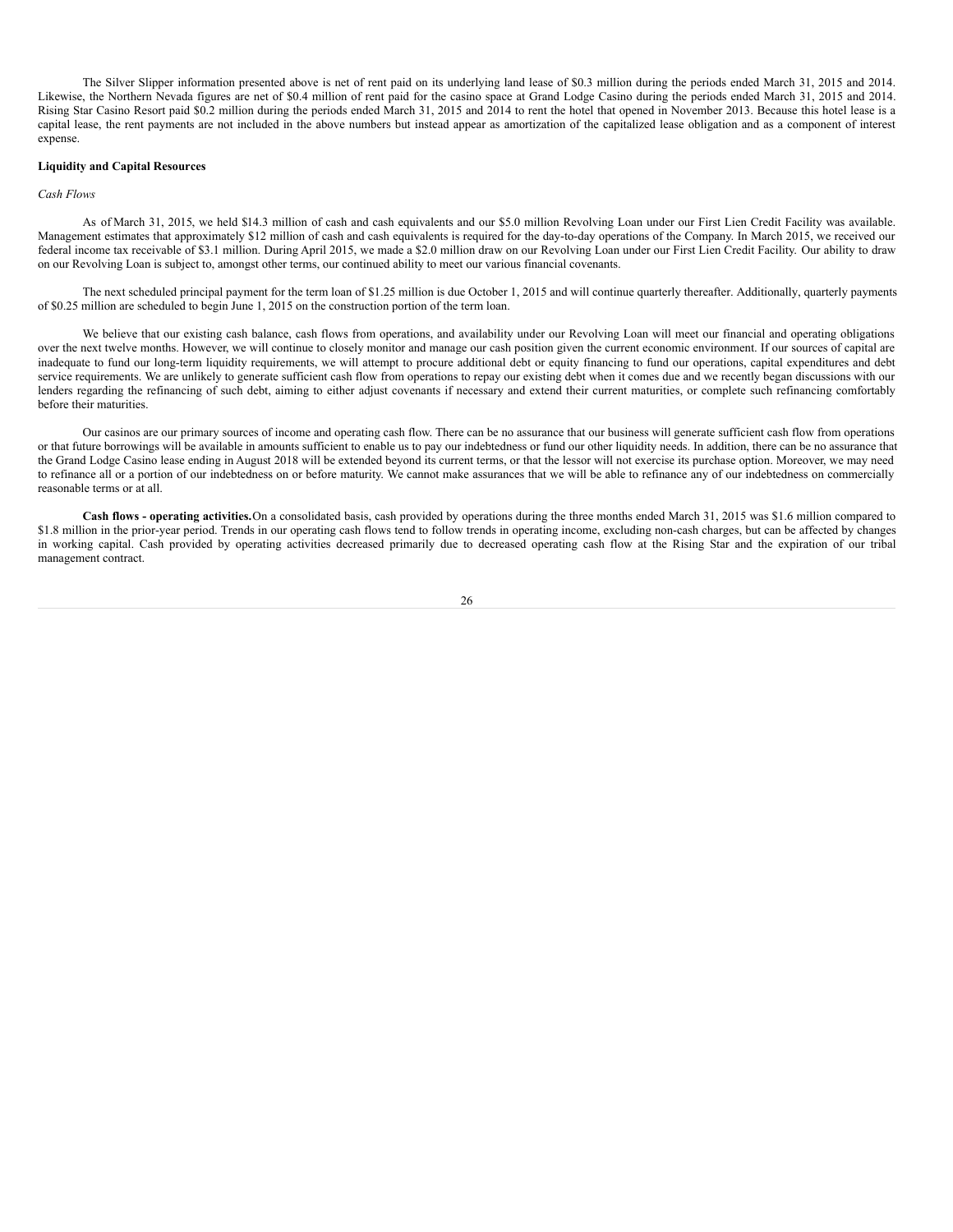The Silver Slipper information presented above is net of rent paid on its underlying land lease of \$0.3 million during the periods ended March 31, 2015 and 2014. Likewise, the Northern Nevada figures are net of \$0.4 million of rent paid for the casino space at Grand Lodge Casino during the periods ended March 31, 2015 and 2014. Rising Star Casino Resort paid \$0.2 million during the periods ended March 31, 2015 and 2014 to rent the hotel that opened in November 2013. Because this hotel lease is a capital lease, the rent payments are not included in the above numbers but instead appear as amortization of the capitalized lease obligation and as a component of interest expense.

#### **Liquidity and Capital Resources**

#### *Cash Flows*

As of March 31, 2015, we held \$14.3 million of cash and cash equivalents and our \$5.0 million Revolving Loan under our First Lien Credit Facility was available. Management estimates that approximately \$12 million of cash and cash equivalents is required for the day-to-day operations of the Company. In March 2015, we received our federal income tax receivable of \$3.1 million. During April 2015, we made a \$2.0 million draw on our Revolving Loan under our First Lien Credit Facility. Our ability to draw on our Revolving Loan is subject to, amongst other terms, our continued ability to meet our various financial covenants.

The next scheduled principal payment for the term loan of \$1.25 million is due October 1, 2015 and will continue quarterly thereafter. Additionally, quarterly payments of \$0.25 million are scheduled to begin June 1, 2015 on the construction portion of the term loan.

We believe that our existing cash balance, cash flows from operations, and availability under our Revolving Loan will meet our financial and operating obligations over the next twelve months. However, we will continue to closely monitor and manage our cash position given the current economic environment. If our sources of capital are inadequate to fund our long-term liquidity requirements, we will attempt to procure additional debt or equity financing to fund our operations, capital expenditures and debt service requirements. We are unlikely to generate sufficient cash flow from operations to repay our existing debt when it comes due and we recently began discussions with our lenders regarding the refinancing of such debt, aiming to either adjust covenants if necessary and extend their current maturities, or complete such refinancing comfortably before their maturities.

Our casinos are our primary sources of income and operating cash flow. There can be no assurance that our business will generate sufficient cash flow from operations or that future borrowings will be available in amounts sufficient to enable us to pay our indebtedness or fund our other liquidity needs. In addition, there can be no assurance that the Grand Lodge Casino lease ending in August 2018 will be extended beyond its current terms, or that the lessor will not exercise its purchase option. Moreover, we may need to refinance all or a portion of our indebtedness on or before maturity. We cannot make assurances that we will be able to refinance any of our indebtedness on commercially reasonable terms or at all.

**Cash flows - operating activities.**On a consolidated basis, cash provided by operations during the three months ended March 31, 2015 was \$1.6 million compared to \$1.8 million in the prior-year period. Trends in our operating cash flows tend to follow trends in operating income, excluding non-cash charges, but can be affected by changes in working capital. Cash provided by operating activities decreased primarily due to decreased operating cash flow at the Rising Star and the expiration of our tribal management contract.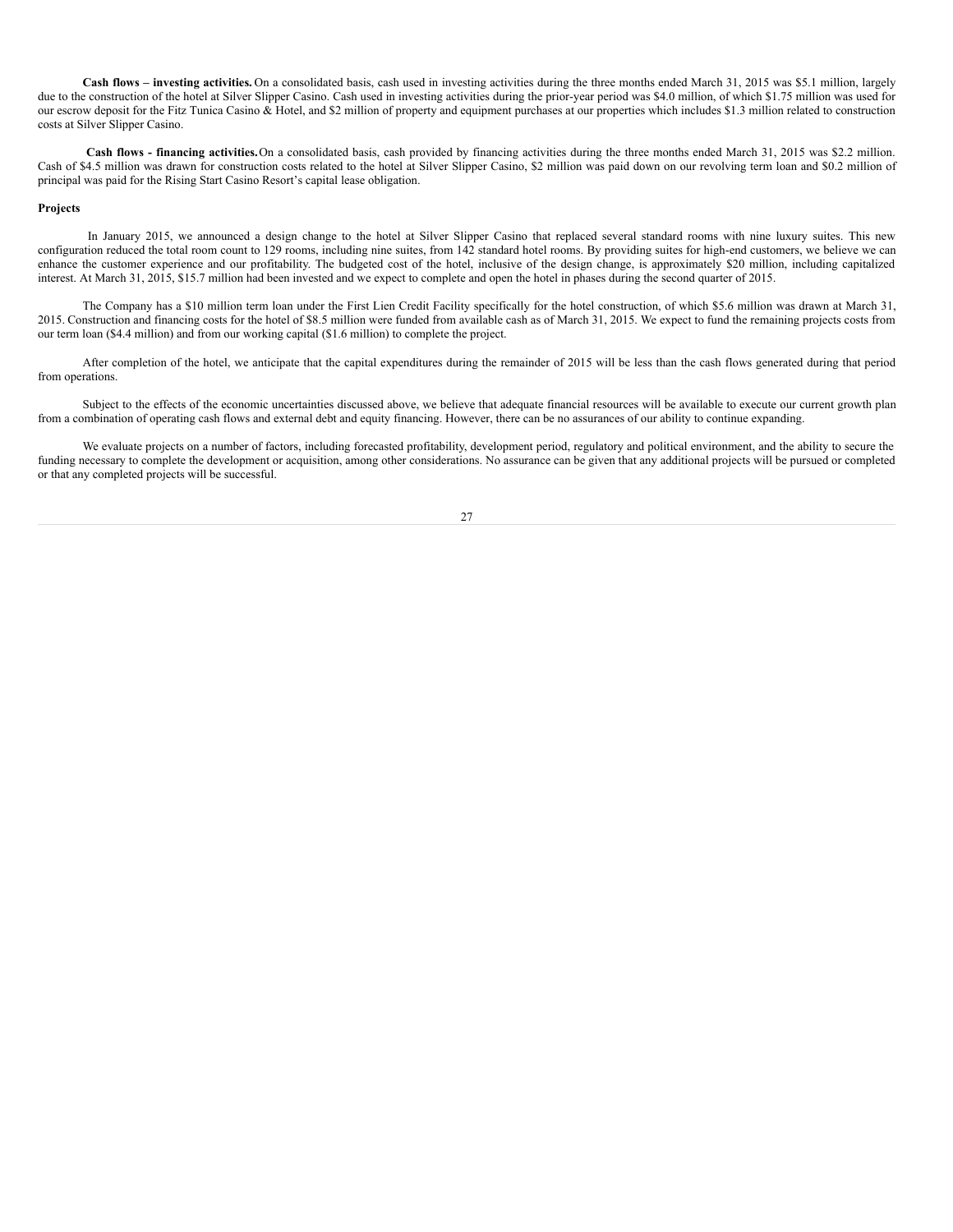**Cash flows – investing activities.** On a consolidated basis, cash used in investing activities during the three months ended March 31, 2015 was \$5.1 million, largely due to the construction of the hotel at Silver Slipper Casino. Cash used in investing activities during the prior-year period was \$4.0 million, of which \$1.75 million was used for our escrow deposit for the Fitz Tunica Casino & Hotel, and \$2 million of property and equipment purchases at our properties which includes \$1.3 million related to construction costs at Silver Slipper Casino.

**Cash flows - financing activities.**On a consolidated basis, cash provided by financing activities during the three months ended March 31, 2015 was \$2.2 million. Cash of \$4.5 million was drawn for construction costs related to the hotel at Silver Slipper Casino, \$2 million was paid down on our revolving term loan and \$0.2 million of principal was paid for the Rising Start Casino Resort's capital lease obligation.

#### **Projects**

In January 2015, we announced a design change to the hotel at Silver Slipper Casino that replaced several standard rooms with nine luxury suites. This new configuration reduced the total room count to 129 rooms, including nine suites, from 142 standard hotel rooms. By providing suites for high-end customers, we believe we can enhance the customer experience and our profitability. The budgeted cost of the hotel, inclusive of the design change, is approximately \$20 million, including capitalized interest. At March 31, 2015, \$15.7 million had been invested and we expect to complete and open the hotel in phases during the second quarter of 2015.

The Company has a \$10 million term loan under the First Lien Credit Facility specifically for the hotel construction, of which \$5.6 million was drawn at March 31, 2015. Construction and financing costs for the hotel of \$8.5 million were funded from available cash as of March 31, 2015. We expect to fund the remaining projects costs from our term loan (\$4.4 million) and from our working capital (\$1.6 million) to complete the project.

After completion of the hotel, we anticipate that the capital expenditures during the remainder of 2015 will be less than the cash flows generated during that period from operations.

Subject to the effects of the economic uncertainties discussed above, we believe that adequate financial resources will be available to execute our current growth plan from a combination of operating cash flows and external debt and equity financing. However, there can be no assurances of our ability to continue expanding.

We evaluate projects on a number of factors, including forecasted profitability, development period, regulatory and political environment, and the ability to secure the funding necessary to complete the development or acquisition, among other considerations. No assurance can be given that any additional projects will be pursued or completed or that any completed projects will be successful.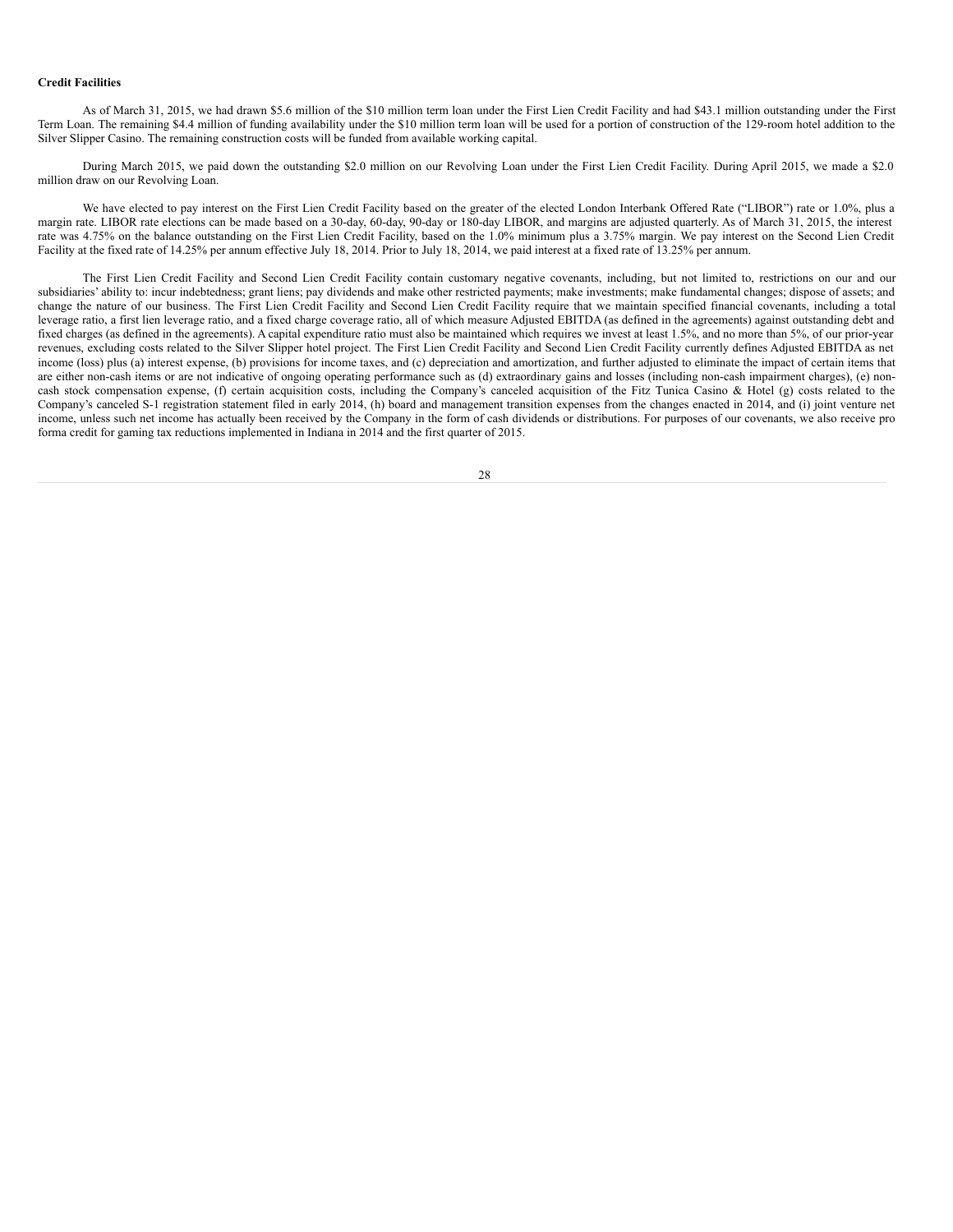#### **Credit Facilities**

As of March 31, 2015, we had drawn \$5.6 million of the \$10 million term loan under the First Lien Credit Facility and had \$43.1 million outstanding under the First Term Loan. The remaining \$4.4 million of funding availability under the \$10 million term loan will be used for a portion of construction of the 129-room hotel addition to the Silver Slipper Casino. The remaining construction costs will be funded from available working capital.

During March 2015, we paid down the outstanding \$2.0 million on our Revolving Loan under the First Lien Credit Facility. During April 2015, we made a \$2.0 million draw on our Revolving Loan.

We have elected to pay interest on the First Lien Credit Facility based on the greater of the elected London Interbank Offered Rate ("LIBOR") rate or 1.0%, plus a margin rate. LIBOR rate elections can be made based on a 30-day, 60-day, 90-day or 180-day LIBOR, and margins are adjusted quarterly. As of March 31, 2015, the interest rate was 4.75% on the balance outstanding on the First Lien Credit Facility, based on the 1.0% minimum plus a 3.75% margin. We pay interest on the Second Lien Credit Facility at the fixed rate of 14.25% per annum effective July 18, 2014. Prior to July 18, 2014, we paid interest at a fixed rate of 13.25% per annum.

The First Lien Credit Facility and Second Lien Credit Facility contain customary negative covenants, including, but not limited to, restrictions on our and our subsidiaries' ability to: incur indebtedness; grant liens; pay dividends and make other restricted payments; make investments; make fundamental changes; dispose of assets; and change the nature of our business. The First Lien Credit Facility and Second Lien Credit Facility require that we maintain specified financial covenants, including a total leverage ratio, a first lien leverage ratio, and a fixed charge coverage ratio, all of which measure Adjusted EBITDA (as defined in the agreements) against outstanding debt and fixed charges (as defined in the agreements). A capital expenditure ratio must also be maintained which requires we invest at least 1.5%, and no more than 5%, of our prior-year revenues, excluding costs related to the Silver Slipper hotel project. The First Lien Credit Facility and Second Lien Credit Facility currently defines Adjusted EBITDA as net income (loss) plus (a) interest expense, (b) provisions for income taxes, and (c) depreciation and amortization, and further adjusted to eliminate the impact of certain items that are either non-cash items or are not indicative of ongoing operating performance such as (d) extraordinary gains and losses (including non-cash impairment charges), (e) noncash stock compensation expense, (f) certain acquisition costs, including the Company's canceled acquisition of the Fitz Tunica Casino & Hotel (g) costs related to the Company's canceled S-1 registration statement filed in early 2014, (h) board and management transition expenses from the changes enacted in 2014, and (i) joint venture net income, unless such net income has actually been received by the Company in the form of cash dividends or distributions. For purposes of our covenants, we also receive pro forma credit for gaming tax reductions implemented in Indiana in 2014 and the first quarter of 2015.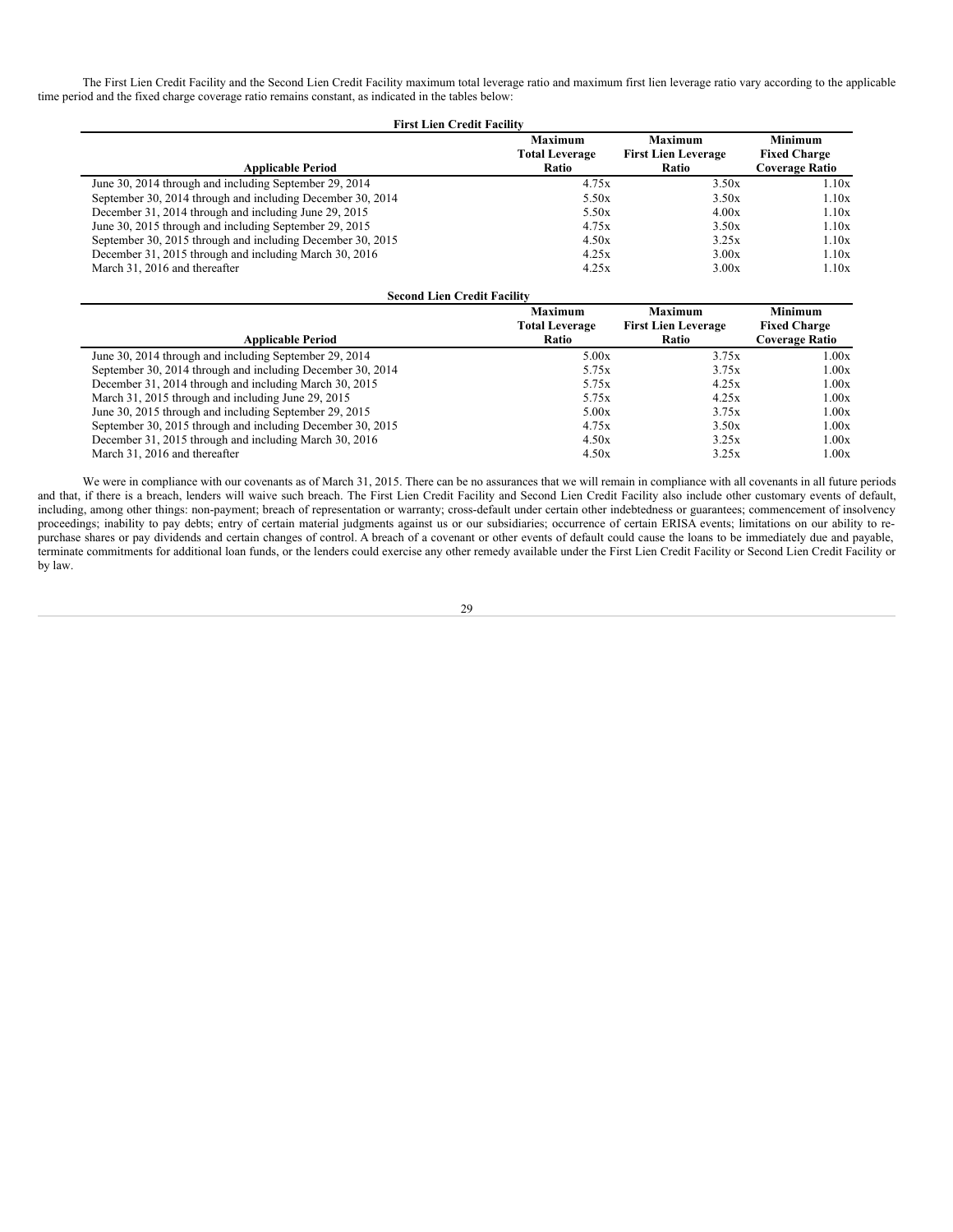The First Lien Credit Facility and the Second Lien Credit Facility maximum total leverage ratio and maximum first lien leverage ratio vary according to the applicable time period and the fixed charge coverage ratio remains constant, as indicated in the tables below:

| <b>First Lien Credit Facility</b>                          |                                                  |                                                       |                                                                |  |  |
|------------------------------------------------------------|--------------------------------------------------|-------------------------------------------------------|----------------------------------------------------------------|--|--|
| <b>Applicable Period</b>                                   | <b>Maximum</b><br><b>Total Leverage</b><br>Ratio | <b>Maximum</b><br><b>First Lien Leverage</b><br>Ratio | <b>Minimum</b><br><b>Fixed Charge</b><br><b>Coverage Ratio</b> |  |  |
| June 30, 2014 through and including September 29, 2014     | 4.75x                                            | 3.50x                                                 | 1.10x                                                          |  |  |
| September 30, 2014 through and including December 30, 2014 | 5.50x                                            | 3.50x                                                 | 1.10x                                                          |  |  |
| December 31, 2014 through and including June 29, 2015      | 5.50x                                            | 4.00x                                                 | 1.10x                                                          |  |  |
| June 30, 2015 through and including September 29, 2015     | 4.75x                                            | 3.50x                                                 | 1.10x                                                          |  |  |
| September 30, 2015 through and including December 30, 2015 | 4.50x                                            | 3.25x                                                 | 1.10x                                                          |  |  |
| December 31, 2015 through and including March 30, 2016     | 4.25x                                            | 3.00x                                                 | 1.10x                                                          |  |  |
| March 31, 2016 and thereafter                              | 4.25x                                            | 3.00x                                                 | 1.10x                                                          |  |  |

| <b>Second Lien Credit Facility</b>                         |                       |                            |                     |  |  |
|------------------------------------------------------------|-----------------------|----------------------------|---------------------|--|--|
|                                                            | <b>Maximum</b>        | <b>Maximum</b>             | <b>Minimum</b>      |  |  |
|                                                            | <b>Total Leverage</b> | <b>First Lien Leverage</b> | <b>Fixed Charge</b> |  |  |
| <b>Applicable Period</b>                                   | Ratio                 | Ratio                      | Coverage Ratio      |  |  |
| June 30, 2014 through and including September 29, 2014     | 5.00x                 | 3.75x                      | 1.00x               |  |  |
| September 30, 2014 through and including December 30, 2014 | 5.75x                 | 3.75x                      | 1.00x               |  |  |
| December 31, 2014 through and including March 30, 2015     | 5.75x                 | 4.25x                      | 1.00x               |  |  |
| March 31, 2015 through and including June 29, 2015         | 5.75x                 | 4.25x                      | 1.00x               |  |  |
| June 30, 2015 through and including September 29, 2015     | 5.00x                 | 3.75x                      | 1.00x               |  |  |
| September 30, 2015 through and including December 30, 2015 | 4.75x                 | 3.50x                      | 1.00x               |  |  |
| December 31, 2015 through and including March 30, 2016     | 4.50x                 | 3.25x                      | 1.00x               |  |  |
| March 31, 2016 and thereafter                              | 4.50x                 | 3.25x                      | 1.00x               |  |  |

We were in compliance with our covenants as of March 31, 2015. There can be no assurances that we will remain in compliance with all covenants in all future periods and that, if there is a breach, lenders will waive such breach. The First Lien Credit Facility and Second Lien Credit Facility also include other customary events of default, including, among other things: non-payment; breach of representation or warranty; cross-default under certain other indebtedness or guarantees; commencement of insolvency proceedings; inability to pay debts; entry of certain material judgments against us or our subsidiaries; occurrence of certain ERISA events; limitations on our ability to repurchase shares or pay dividends and certain changes of control. A breach of a covenant or other events of default could cause the loans to be immediately due and payable, terminate commitments for additional loan funds, or the lenders could exercise any other remedy available under the First Lien Credit Facility or Second Lien Credit Facility or by law.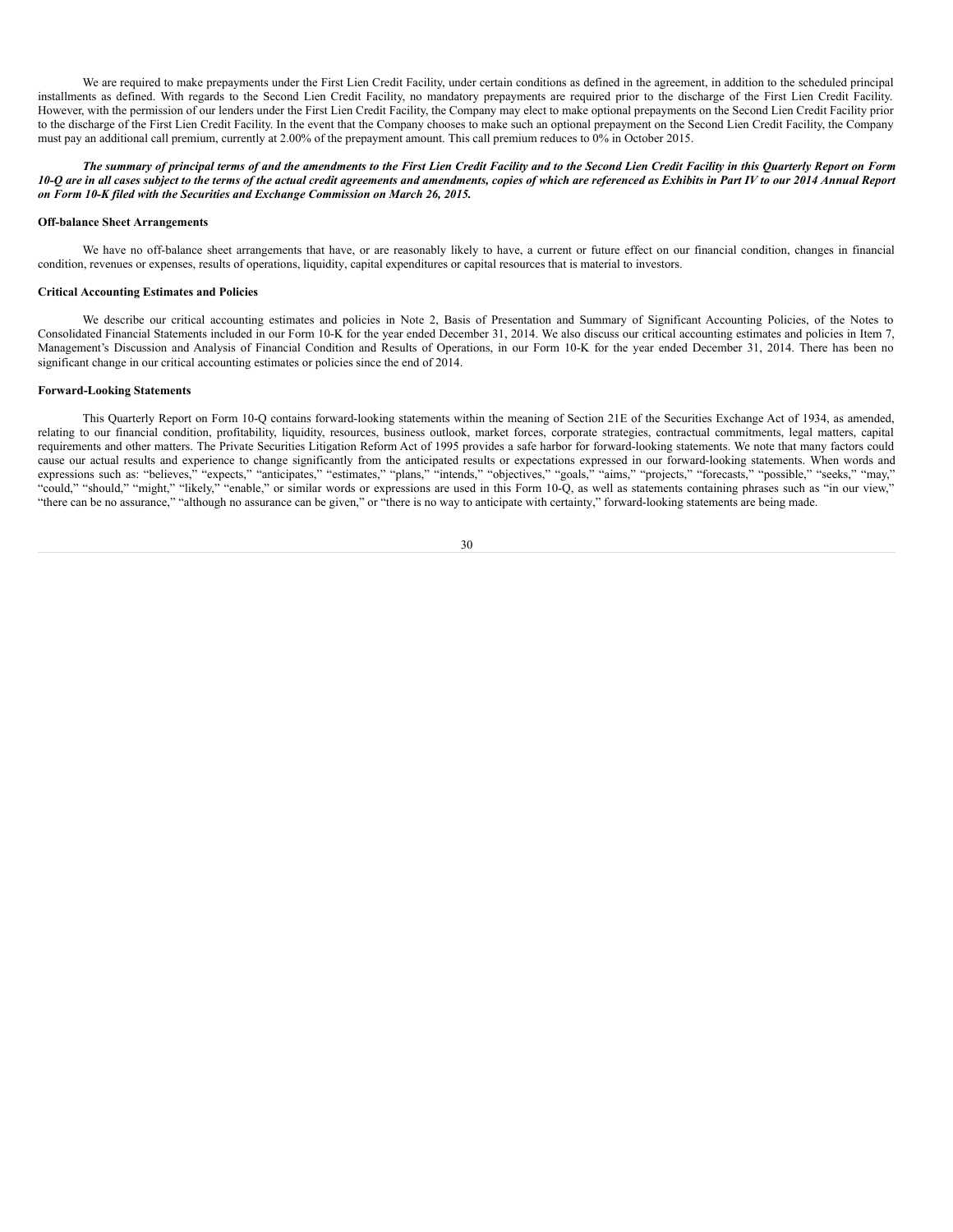We are required to make prepayments under the First Lien Credit Facility, under certain conditions as defined in the agreement, in addition to the scheduled principal installments as defined. With regards to the Second Lien Credit Facility, no mandatory prepayments are required prior to the discharge of the First Lien Credit Facility. However, with the permission of our lenders under the First Lien Credit Facility, the Company may elect to make optional prepayments on the Second Lien Credit Facility prior to the discharge of the First Lien Credit Facility. In the event that the Company chooses to make such an optional prepayment on the Second Lien Credit Facility, the Company must pay an additional call premium, currently at 2.00% of the prepayment amount. This call premium reduces to 0% in October 2015.

#### The summary of principal terms of and the amendments to the First Lien Credit Facility and to the Second Lien Credit Facility in this Quarterly Report on Form 10-Q are in all cases subject to the terms of the actual credit agreements and amendments, copies of which are referenced as Exhibits in Part IV to our 2014 Annual Report *on Form 10-K filed with the Securities and Exchange Commission on March 26, 2015.*

#### **Off-balance Sheet Arrangements**

We have no off-balance sheet arrangements that have, or are reasonably likely to have, a current or future effect on our financial condition, changes in financial condition, revenues or expenses, results of operations, liquidity, capital expenditures or capital resources that is material to investors.

#### **Critical Accounting Estimates and Policies**

We describe our critical accounting estimates and policies in Note 2, Basis of Presentation and Summary of Significant Accounting Policies, of the Notes to Consolidated Financial Statements included in our Form 10-K for the year ended December 31, 2014. We also discuss our critical accounting estimates and policies in Item 7, Management's Discussion and Analysis of Financial Condition and Results of Operations, in our Form 10-K for the year ended December 31, 2014. There has been no significant change in our critical accounting estimates or policies since the end of 2014.

#### **Forward-Looking Statements**

This Quarterly Report on Form 10-Q contains forward-looking statements within the meaning of Section 21E of the Securities Exchange Act of 1934, as amended, relating to our financial condition, profitability, liquidity, resources, business outlook, market forces, corporate strategies, contractual commitments, legal matters, capital requirements and other matters. The Private Securities Litigation Reform Act of 1995 provides a safe harbor for forward-looking statements. We note that many factors could cause our actual results and experience to change significantly from the anticipated results or expectations expressed in our forward-looking statements. When words and expressions such as: "believes," "expects," "anticipates," "estimates," "plans," "intends," "objectives," "goals," "aims," "projects," "forecasts," "possible," "seeks," "may," "could," "should," "might," "likely," "enable," or similar words or expressions are used in this Form 10-Q, as well as statements containing phrases such as "in our view," "there can be no assurance," "although no assurance can be given," or "there is no way to anticipate with certainty," forward-looking statements are being made.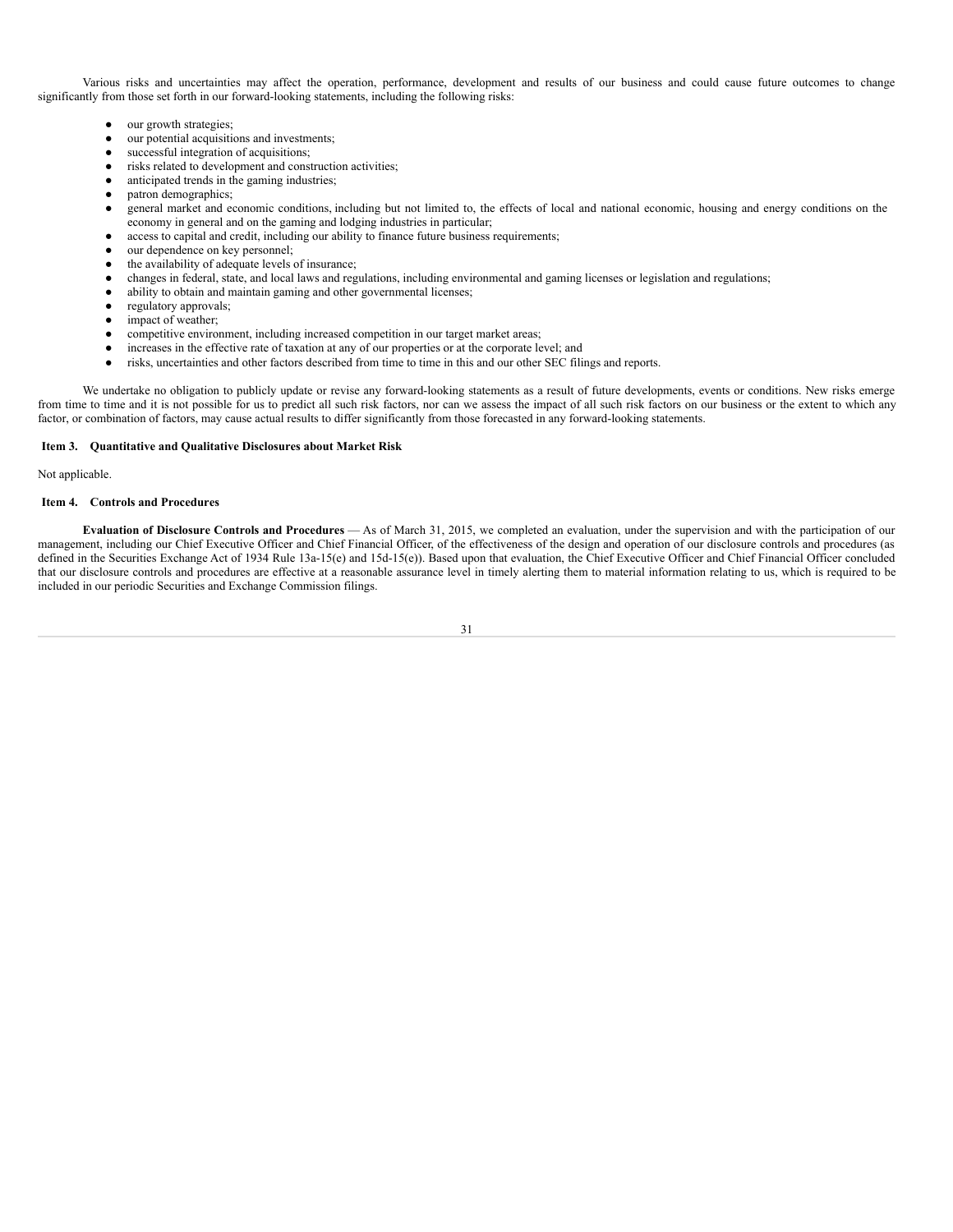Various risks and uncertainties may affect the operation, performance, development and results of our business and could cause future outcomes to change significantly from those set forth in our forward-looking statements, including the following risks:

- our growth strategies:
- our potential acquisitions and investments;
- successful integration of acquisitions;
- risks related to development and construction activities;
- anticipated trends in the gaming industries;
- patron demographics;
- general market and economic conditions, including but not limited to, the effects of local and national economic, housing and energy conditions on the economy in general and on the gaming and lodging industries in particular;
- access to capital and credit, including our ability to finance future business requirements;
- our dependence on key personnel;
- the availability of adequate levels of insurance;
- changes in federal, state, and local laws and regulations, including environmental and gaming licenses or legislation and regulations;
- ability to obtain and maintain gaming and other governmental licenses;
- regulatory approvals;
- impact of weather;
- competitive environment, including increased competition in our target market areas;
- increases in the effective rate of taxation at any of our properties or at the corporate level; and
- risks, uncertainties and other factors described from time to time in this and our other SEC filings and reports.

We undertake no obligation to publicly update or revise any forward-looking statements as a result of future developments, events or conditions. New risks emerge from time to time and it is not possible for us to predict all such risk factors, nor can we assess the impact of all such risk factors on our business or the extent to which any factor, or combination of factors, may cause actual results to differ significantly from those forecasted in any forward-looking statements.

#### **Item 3. Quantitative and Qualitative Disclosures about Market Risk**

Not applicable.

# **Item 4. Controls and Procedures**

**Evaluation of Disclosure Controls and Procedures** — As of March 31, 2015, we completed an evaluation, under the supervision and with the participation of our management, including our Chief Executive Officer and Chief Financial Officer, of the effectiveness of the design and operation of our disclosure controls and procedures (as defined in the Securities Exchange Act of 1934 Rule 13a-15(e) and 15d-15(e)). Based upon that evaluation, the Chief Executive Officer and Chief Financial Officer concluded that our disclosure controls and procedures are effective at a reasonable assurance level in timely alerting them to material information relating to us, which is required to be included in our periodic Securities and Exchange Commission filings.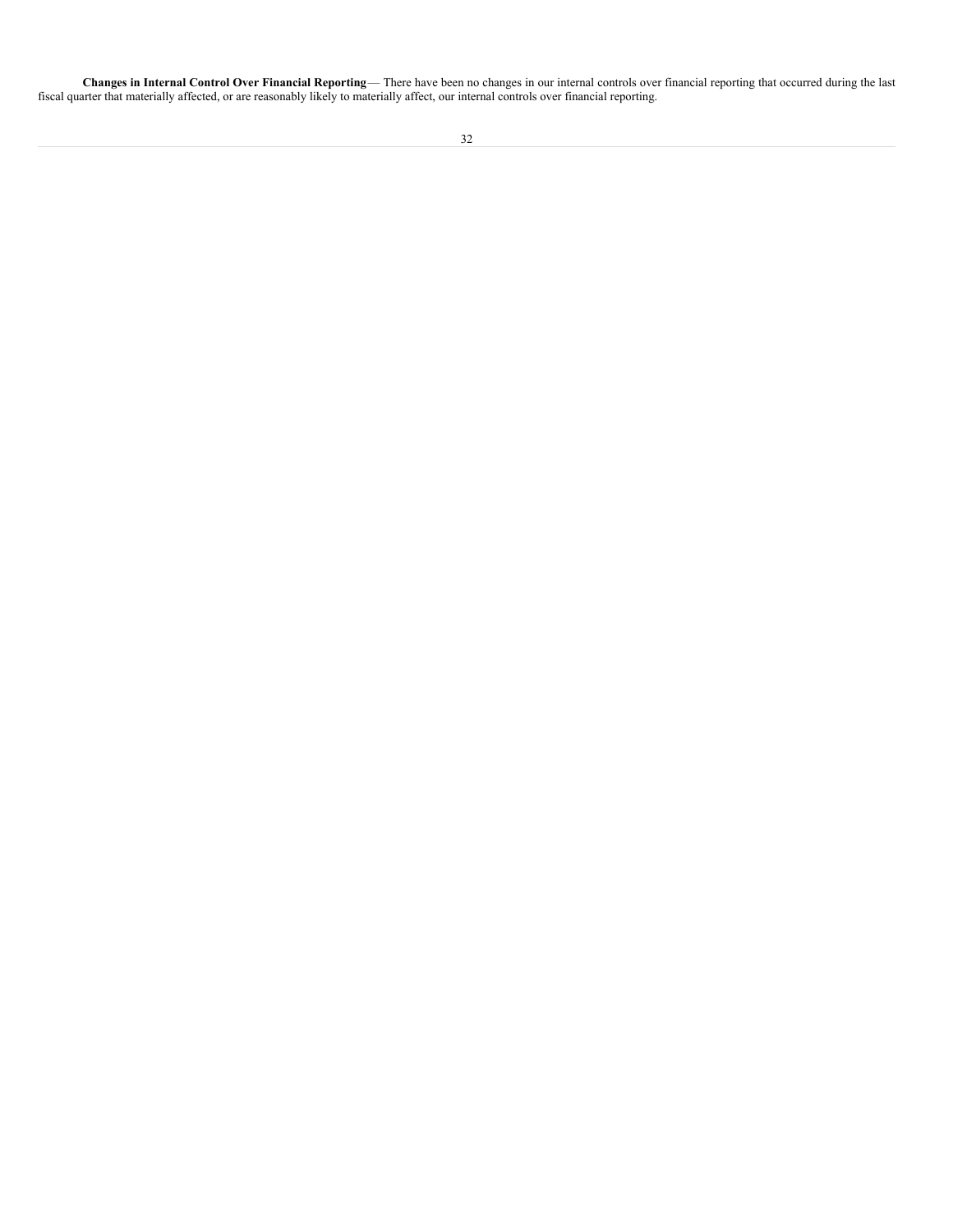**Changes in Internal Control Over Financial Reporting**— There have been no changes in our internal controls over financial reporting that occurred during the last fiscal quarter that materially affected, or are reasonably likely to materially affect, our internal controls over financial reporting.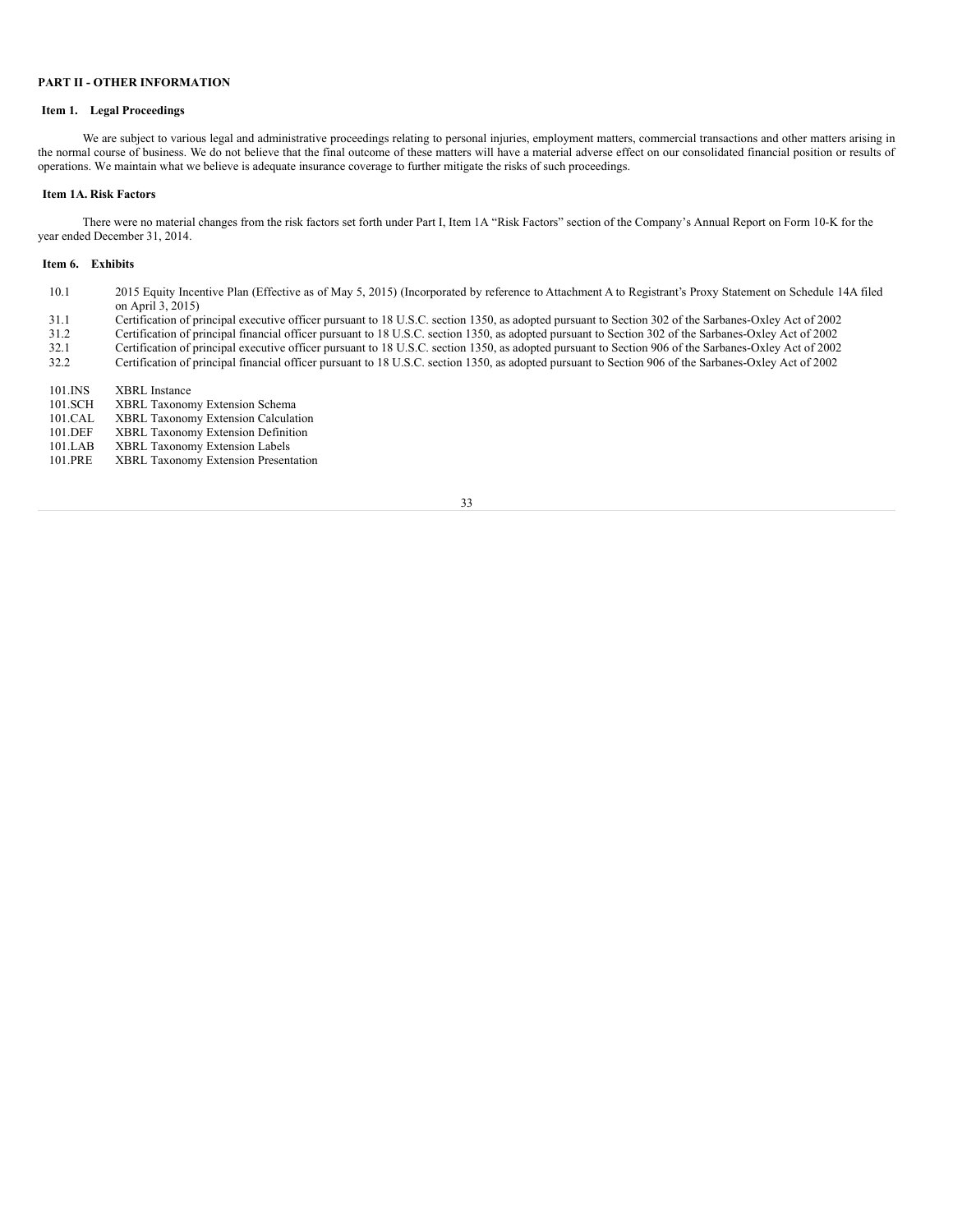#### **PART II - OTHER INFORMATION**

# **Item 1. Legal Proceedings**

We are subject to various legal and administrative proceedings relating to personal injuries, employment matters, commercial transactions and other matters arising in the normal course of business. We do not believe that the final outcome of these matters will have a material adverse effect on our consolidated financial position or results of operations. We maintain what we believe is adequate insurance coverage to further mitigate the risks of such proceedings.

## **Item 1A. Risk Factors**

There were no material changes from the risk factors set forth under Part I, Item 1A "Risk Factors" section of the Company's Annual Report on Form 10-K for the year ended December 31, 2014.

# **Item 6. Exhibits**

- 10.1 2015 Equity Incentive Plan (Effective as of May 5, 2015) (Incorporated by reference to Attachment A to Registrant's Proxy Statement on Schedule 14A filed on April 3, 2015)
- 31.1 Certification of principal executive officer pursuant to 18 U.S.C. section 1350, as adopted pursuant to Section 302 of the Sarbanes-Oxley Act of 2002
- 31.2 Certification of principal financial officer pursuant to 18 U.S.C. section 1350, as adopted pursuant to Section 302 of the Sarbanes-Oxley Act of 2002
- 32.1 Certification of principal executive officer pursuant to 18 U.S.C. section 1350, as adopted pursuant to Section 906 of the Sarbanes-Oxley Act of 2002
- 32.2 Certification of principal financial officer pursuant to 18 U.S.C. section 1350, as adopted pursuant to Section 906 of the Sarbanes-Oxley Act of 2002
- 101.INS XBRL Instance<br>101.SCH XBRL Taxonon
- 101.SCH XBRL Taxonomy Extension Schema<br>101.CAL XBRL Taxonomy Extension Calculat
- 101.CAL XBRL Taxonomy Extension Calculation<br>101.DEF XBRL Taxonomy Extension Definition
- 101.DEF XBRL Taxonomy Extension Definition<br>101.LAB XBRL Taxonomy Extension Labels
- 101.LAB XBRL Taxonomy Extension Labels<br>101.PRE XBRL Taxonomy Extension Present
- XBRL Taxonomy Extension Presentation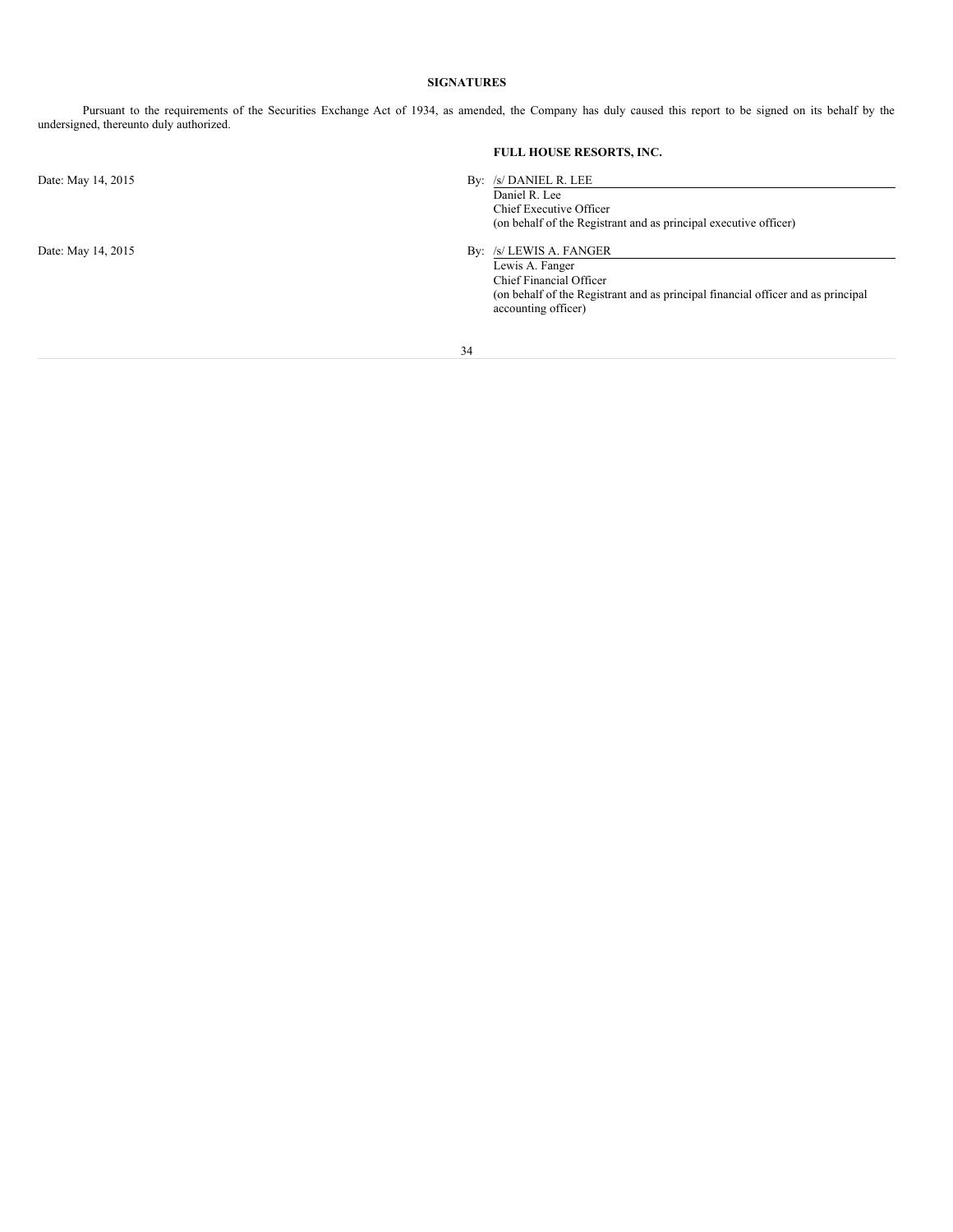# **SIGNATURES**

Pursuant to the requirements of the Securities Exchange Act of 1934, as amended, the Company has duly caused this report to be signed on its behalf by the undersigned, thereunto duly authorized.

|                    | <b>FULL HOUSE RESORTS, INC.</b>                                                                                                                                                  |
|--------------------|----------------------------------------------------------------------------------------------------------------------------------------------------------------------------------|
| Date: May 14, 2015 | By: /s/ DANIEL R. LEE<br>Daniel R. Lee<br>Chief Executive Officer<br>(on behalf of the Registrant and as principal executive officer)                                            |
| Date: May 14, 2015 | By: /s/ LEWIS A. FANGER<br>Lewis A. Fanger<br>Chief Financial Officer<br>(on behalf of the Registrant and as principal financial officer and as principal<br>accounting officer) |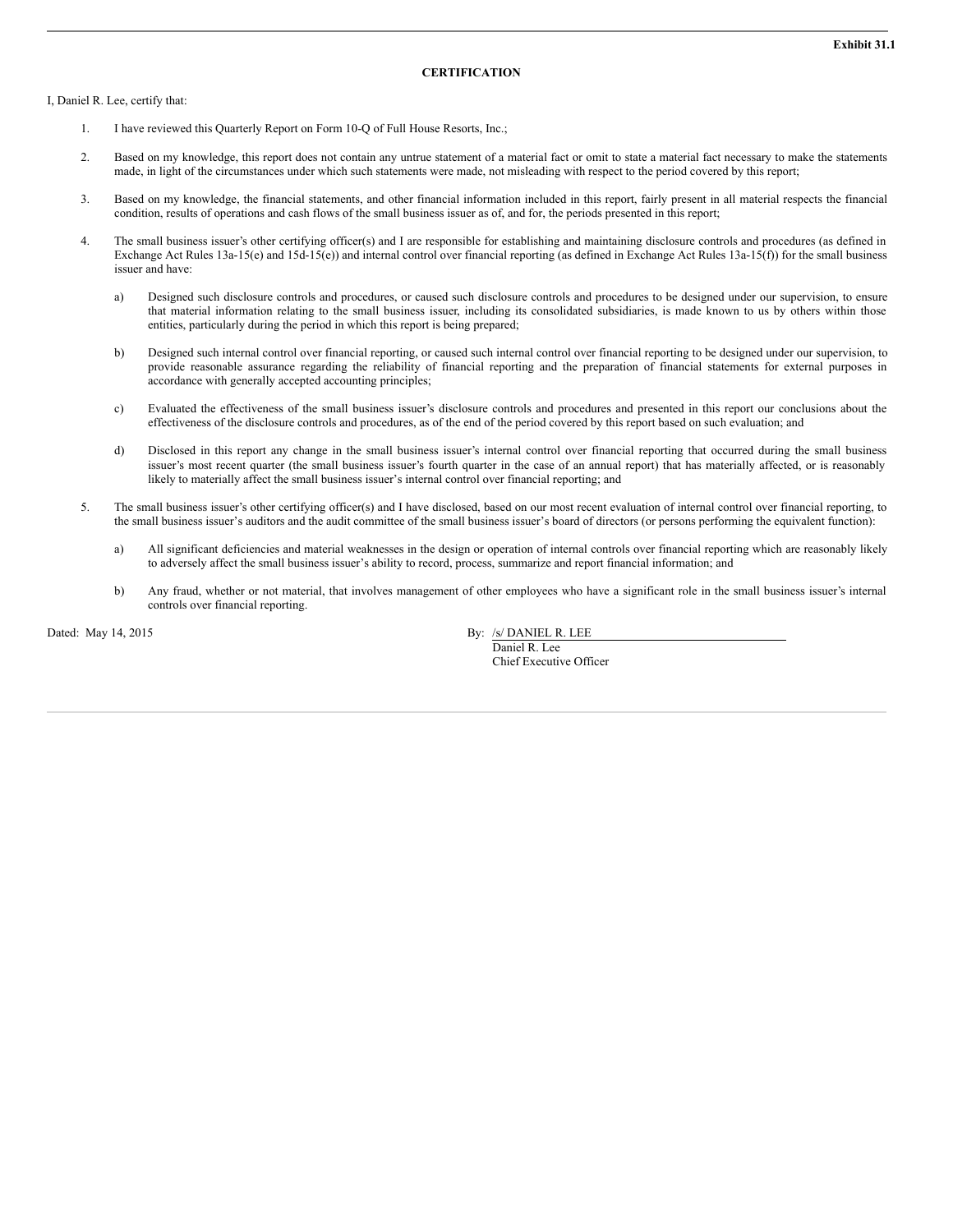#### **CERTIFICATION**

I, Daniel R. Lee, certify that:

- 1. I have reviewed this Quarterly Report on Form 10-Q of Full House Resorts, Inc.;
- 2. Based on my knowledge, this report does not contain any untrue statement of a material fact or omit to state a material fact necessary to make the statements made, in light of the circumstances under which such statements were made, not misleading with respect to the period covered by this report;
- 3. Based on my knowledge, the financial statements, and other financial information included in this report, fairly present in all material respects the financial condition, results of operations and cash flows of the small business issuer as of, and for, the periods presented in this report;
- 4. The small business issuer's other certifying officer(s) and I are responsible for establishing and maintaining disclosure controls and procedures (as defined in Exchange Act Rules 13a-15(e) and 15d-15(e)) and internal control over financial reporting (as defined in Exchange Act Rules 13a-15(f)) for the small business issuer and have:
	- a) Designed such disclosure controls and procedures, or caused such disclosure controls and procedures to be designed under our supervision, to ensure that material information relating to the small business issuer, including its consolidated subsidiaries, is made known to us by others within those entities, particularly during the period in which this report is being prepared;
	- b) Designed such internal control over financial reporting, or caused such internal control over financial reporting to be designed under our supervision, to provide reasonable assurance regarding the reliability of financial reporting and the preparation of financial statements for external purposes in accordance with generally accepted accounting principles;
	- c) Evaluated the effectiveness of the small business issuer's disclosure controls and procedures and presented in this report our conclusions about the effectiveness of the disclosure controls and procedures, as of the end of the period covered by this report based on such evaluation; and
	- d) Disclosed in this report any change in the small business issuer's internal control over financial reporting that occurred during the small business issuer's most recent quarter (the small business issuer's fourth quarter in the case of an annual report) that has materially affected, or is reasonably likely to materially affect the small business issuer's internal control over financial reporting; and
- 5. The small business issuer's other certifying officer(s) and I have disclosed, based on our most recent evaluation of internal control over financial reporting, to the small business issuer's auditors and the audit committee of the small business issuer's board of directors (or persons performing the equivalent function):
	- a) All significant deficiencies and material weaknesses in the design or operation of internal controls over financial reporting which are reasonably likely to adversely affect the small business issuer's ability to record, process, summarize and report financial information; and
	- b) Any fraud, whether or not material, that involves management of other employees who have a significant role in the small business issuer's internal controls over financial reporting.

Dated: May 14, 2015 By: /s/ DANIEL R. LEE Daniel R. Lee Chief Executive Officer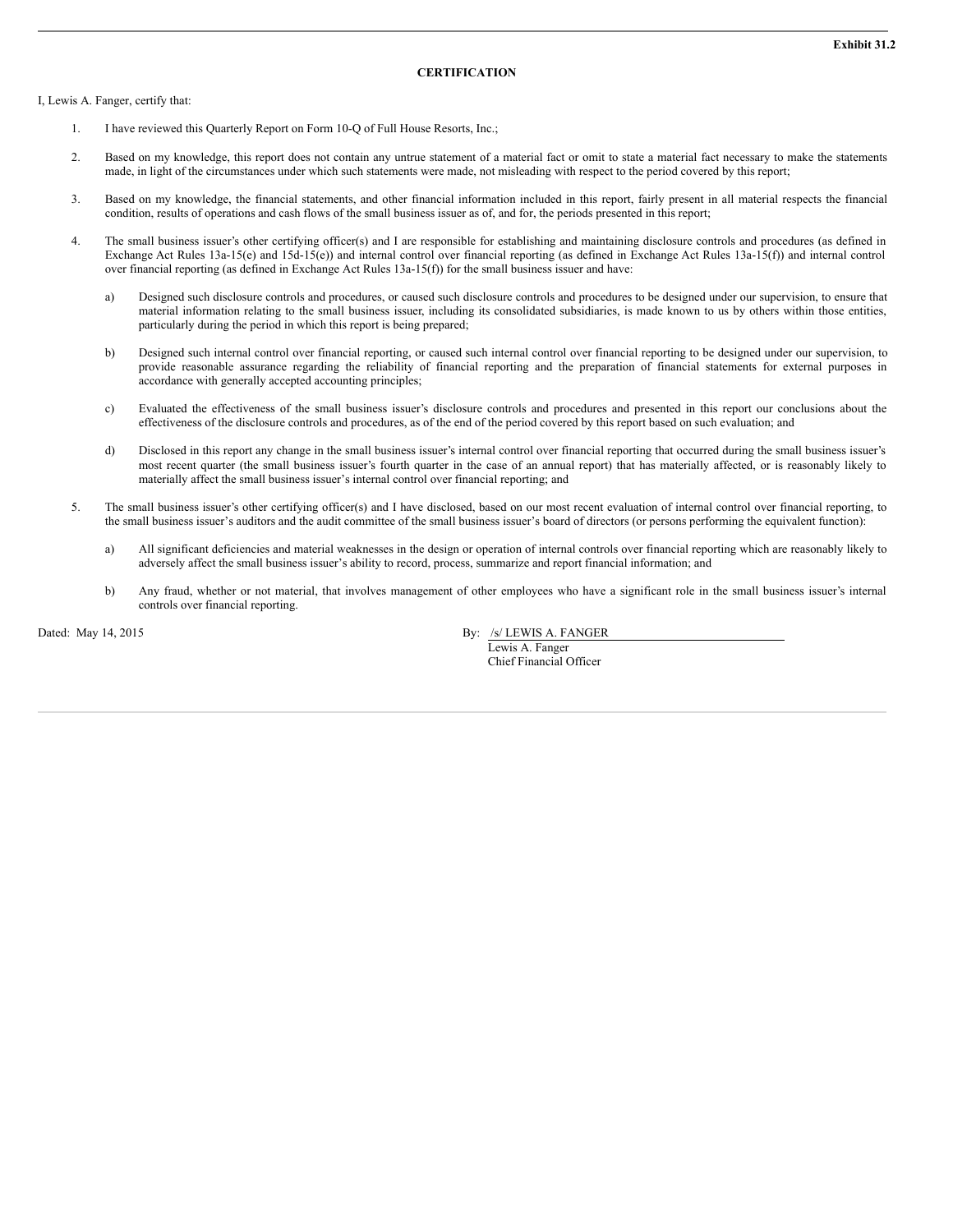#### **CERTIFICATION**

I, Lewis A. Fanger, certify that:

- 1. I have reviewed this Quarterly Report on Form 10-Q of Full House Resorts, Inc.;
- 2. Based on my knowledge, this report does not contain any untrue statement of a material fact or omit to state a material fact necessary to make the statements made, in light of the circumstances under which such statements were made, not misleading with respect to the period covered by this report;
- 3. Based on my knowledge, the financial statements, and other financial information included in this report, fairly present in all material respects the financial condition, results of operations and cash flows of the small business issuer as of, and for, the periods presented in this report;
- 4. The small business issuer's other certifying officer(s) and I are responsible for establishing and maintaining disclosure controls and procedures (as defined in Exchange Act Rules 13a-15(e) and 15d-15(e)) and internal control over financial reporting (as defined in Exchange Act Rules 13a-15(f)) and internal control over financial reporting (as defined in Exchange Act Rules 13a-15(f)) for the small business issuer and have:
	- a) Designed such disclosure controls and procedures, or caused such disclosure controls and procedures to be designed under our supervision, to ensure that material information relating to the small business issuer, including its consolidated subsidiaries, is made known to us by others within those entities, particularly during the period in which this report is being prepared;
	- b) Designed such internal control over financial reporting, or caused such internal control over financial reporting to be designed under our supervision, to provide reasonable assurance regarding the reliability of financial reporting and the preparation of financial statements for external purposes in accordance with generally accepted accounting principles;
	- c) Evaluated the effectiveness of the small business issuer's disclosure controls and procedures and presented in this report our conclusions about the effectiveness of the disclosure controls and procedures, as of the end of the period covered by this report based on such evaluation; and
	- d) Disclosed in this report any change in the small business issuer's internal control over financial reporting that occurred during the small business issuer's most recent quarter (the small business issuer's fourth quarter in the case of an annual report) that has materially affected, or is reasonably likely to materially affect the small business issuer's internal control over financial reporting; and
- 5. The small business issuer's other certifying officer(s) and I have disclosed, based on our most recent evaluation of internal control over financial reporting, to the small business issuer's auditors and the audit committee of the small business issuer's board of directors (or persons performing the equivalent function):
	- a) All significant deficiencies and material weaknesses in the design or operation of internal controls over financial reporting which are reasonably likely to adversely affect the small business issuer's ability to record, process, summarize and report financial information; and
	- b) Any fraud, whether or not material, that involves management of other employees who have a significant role in the small business issuer's internal controls over financial reporting.

Dated: May 14, 2015 By: /s/ LEWIS A. FANGER Lewis A. Fanger

Chief Financial Officer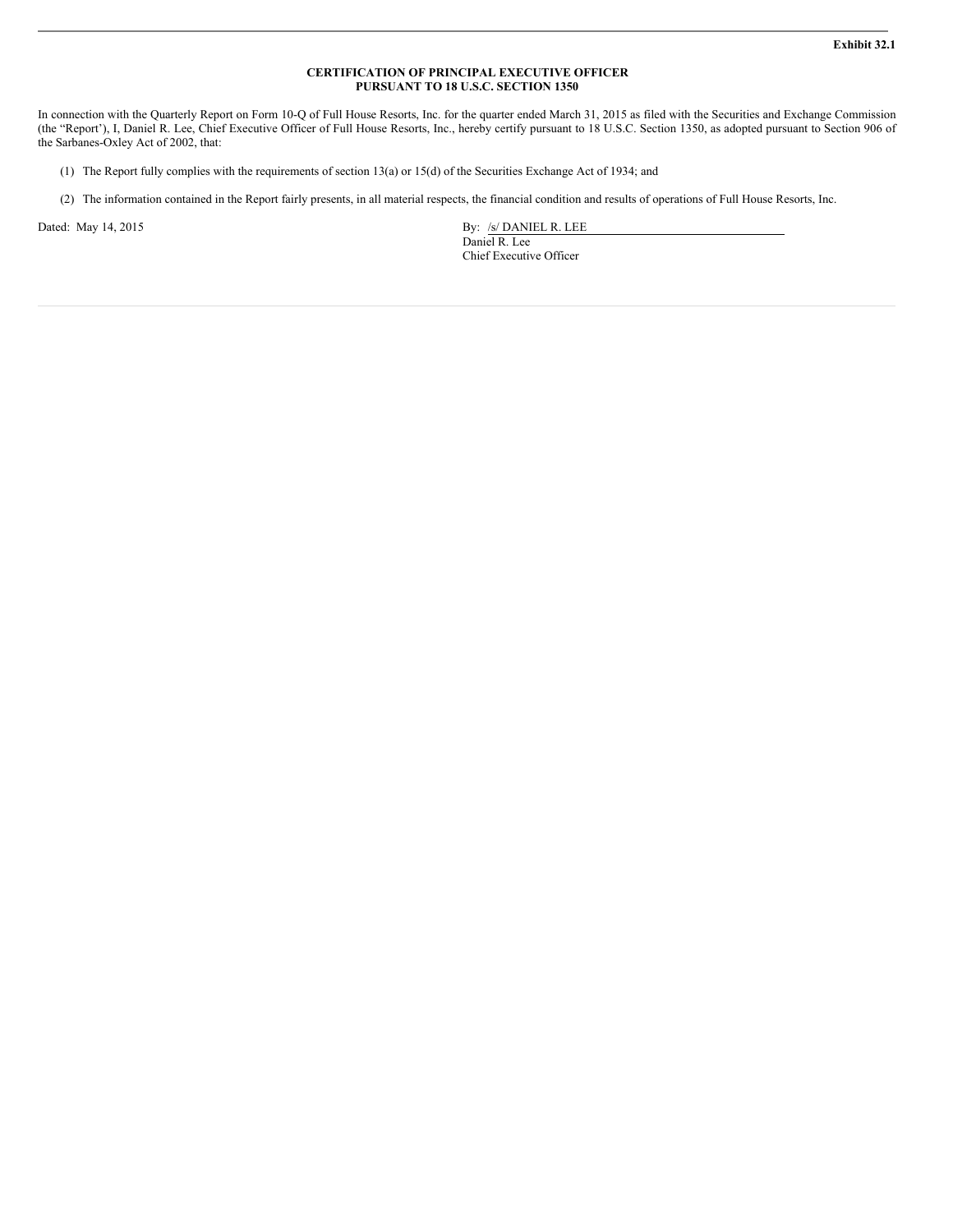#### **CERTIFICATION OF PRINCIPAL EXECUTIVE OFFICER PURSUANT TO 18 U.S.C. SECTION 1350**

In connection with the Quarterly Report on Form 10-Q of Full House Resorts, Inc. for the quarter ended March 31, 2015 as filed with the Securities and Exchange Commission (the "Report'), I, Daniel R. Lee, Chief Executive Officer of Full House Resorts, Inc., hereby certify pursuant to 18 U.S.C. Section 1350, as adopted pursuant to Section 906 of the Sarbanes-Oxley Act of 2002, that:

- (1) The Report fully complies with the requirements of section 13(a) or 15(d) of the Securities Exchange Act of 1934; and
- (2) The information contained in the Report fairly presents, in all material respects, the financial condition and results of operations of Full House Resorts, Inc.

Dated: May 14, 2015 By: /s/ DANIEL R. LEE Daniel R. Lee Chief Executive Officer